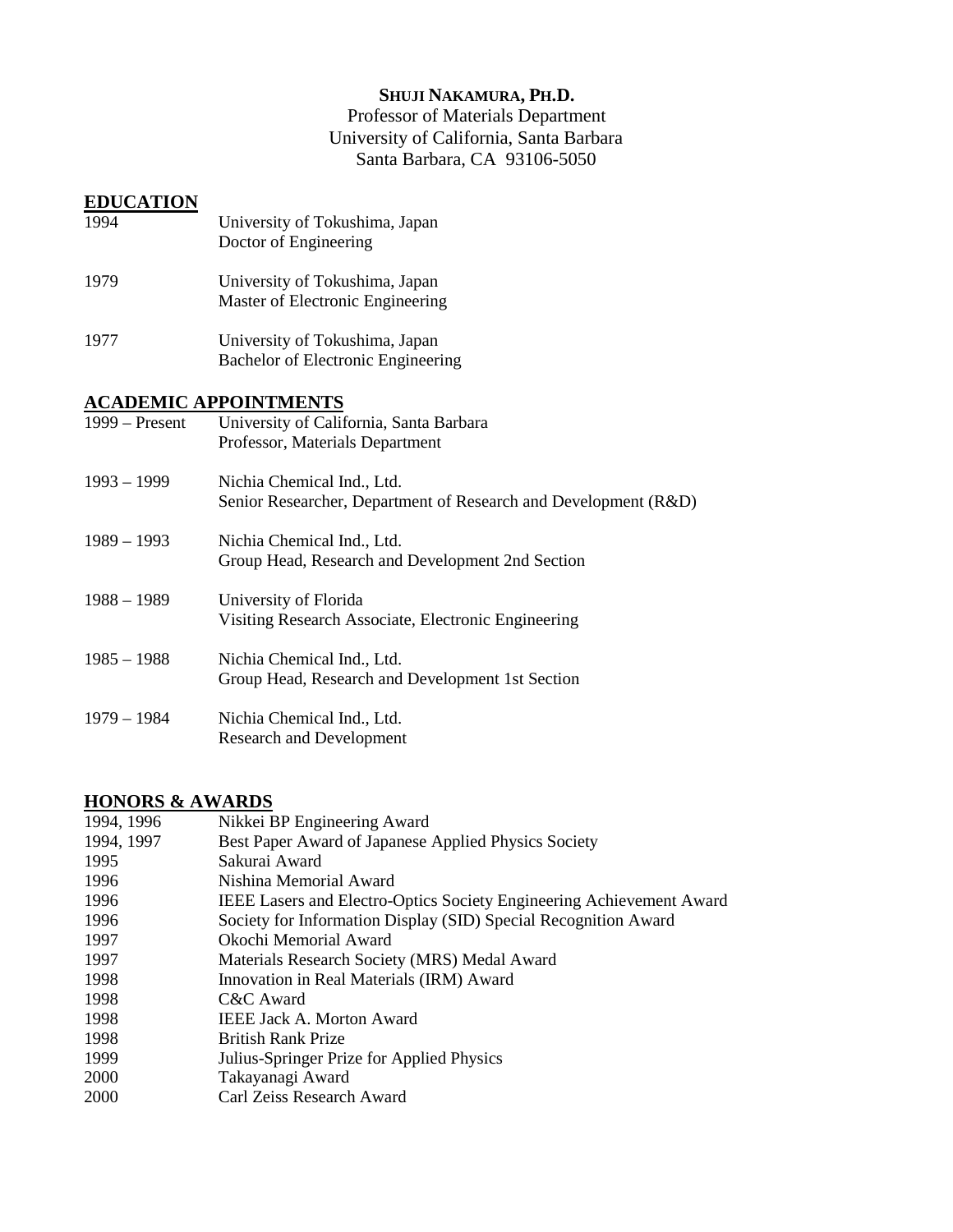## **SHUJI NAKAMURA, PH.D.**

Professor of Materials Department University of California, Santa Barbara Santa Barbara, CA 93106-5050

#### **EDUCATION**

| 1994             | University of Tokushima, Japan<br>Doctor of Engineering                                       |
|------------------|-----------------------------------------------------------------------------------------------|
| 1979             | University of Tokushima, Japan<br>Master of Electronic Engineering                            |
| 1977             | University of Tokushima, Japan<br>Bachelor of Electronic Engineering                          |
|                  | <b>ACADEMIC APPOINTMENTS</b>                                                                  |
| $1999 - Present$ | University of California, Santa Barbara<br>Professor, Materials Department                    |
| $1993 - 1999$    | Nichia Chemical Ind., Ltd.<br>Senior Researcher, Department of Research and Development (R&D) |
| $1989 - 1993$    | Nichia Chemical Ind., Ltd.<br>Group Head, Research and Development 2nd Section                |
| $1988 - 1989$    | University of Florida<br>Visiting Research Associate, Electronic Engineering                  |
| $1985 - 1988$    | Nichia Chemical Ind., Ltd.<br>Group Head, Research and Development 1st Section                |
| $1979 - 1984$    | Nichia Chemical Ind., Ltd.<br><b>Research and Development</b>                                 |

### **HONORS & AWARDS**

| 1994, 1996 | Nikkei BP Engineering Award                                                 |
|------------|-----------------------------------------------------------------------------|
| 1994, 1997 | Best Paper Award of Japanese Applied Physics Society                        |
| 1995       | Sakurai Award                                                               |
| 1996       | Nishina Memorial Award                                                      |
| 1996       | <b>IEEE Lasers and Electro-Optics Society Engineering Achievement Award</b> |
| 1996       | Society for Information Display (SID) Special Recognition Award             |
| 1997       | Okochi Memorial Award                                                       |
| 1997       | Materials Research Society (MRS) Medal Award                                |
| 1998       | Innovation in Real Materials (IRM) Award                                    |
| 1998       | C&C Award                                                                   |
| 1998       | <b>IEEE Jack A. Morton Award</b>                                            |
| 1998       | <b>British Rank Prize</b>                                                   |
| 1999       | Julius-Springer Prize for Applied Physics                                   |
| 2000       | Takayanagi Award                                                            |
| 2000       | Carl Zeiss Research Award                                                   |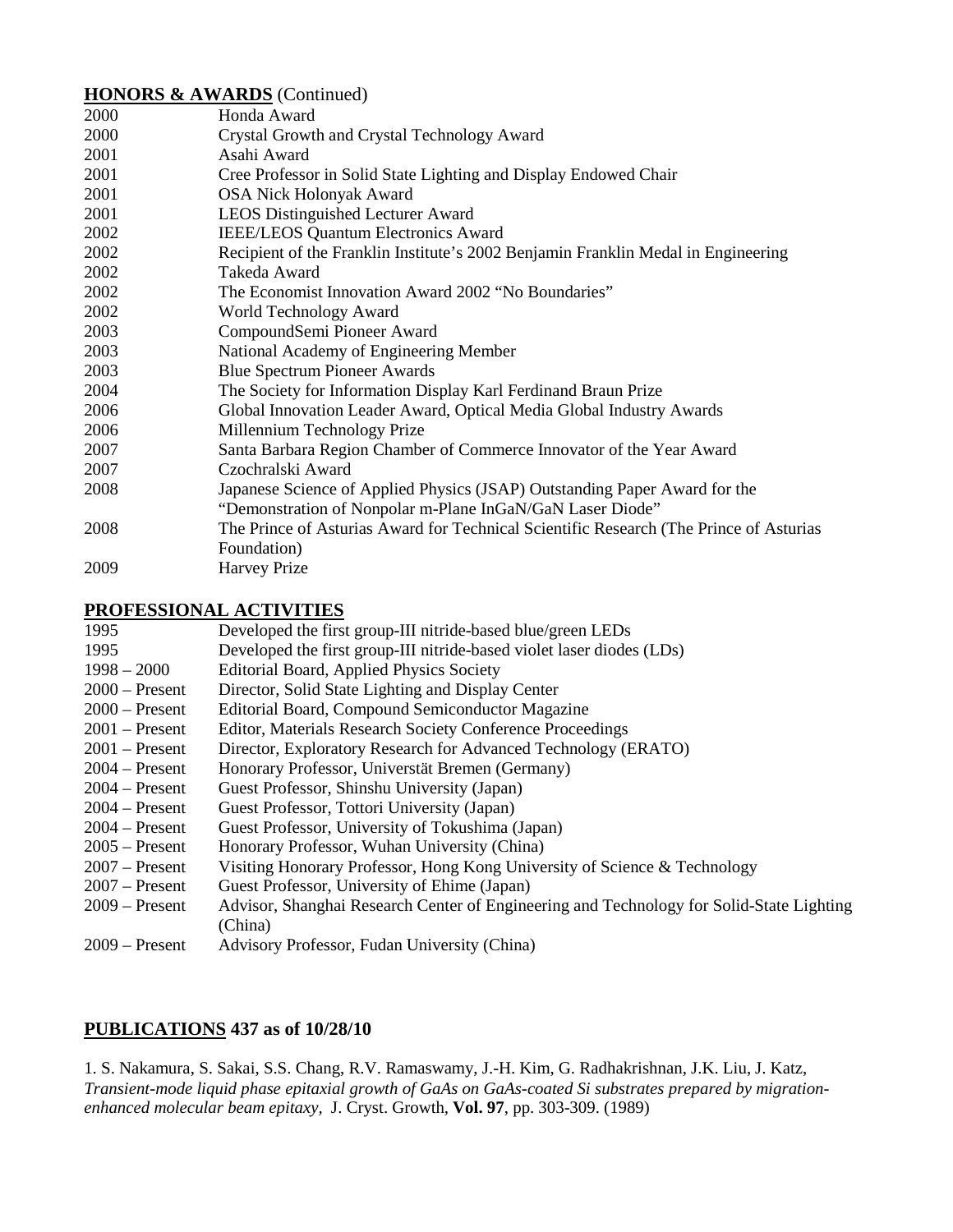#### **HONORS & AWARDS** (Continued)

| 2000 | Honda Award                                                                            |
|------|----------------------------------------------------------------------------------------|
| 2000 | Crystal Growth and Crystal Technology Award                                            |
| 2001 | Asahi Award                                                                            |
| 2001 | Cree Professor in Solid State Lighting and Display Endowed Chair                       |
| 2001 | <b>OSA Nick Holonyak Award</b>                                                         |
| 2001 | LEOS Distinguished Lecturer Award                                                      |
| 2002 | <b>IEEE/LEOS Quantum Electronics Award</b>                                             |
| 2002 | Recipient of the Franklin Institute's 2002 Benjamin Franklin Medal in Engineering      |
| 2002 | Takeda Award                                                                           |
| 2002 | The Economist Innovation Award 2002 "No Boundaries"                                    |
| 2002 | World Technology Award                                                                 |
| 2003 | CompoundSemi Pioneer Award                                                             |
| 2003 | National Academy of Engineering Member                                                 |
| 2003 | <b>Blue Spectrum Pioneer Awards</b>                                                    |
| 2004 | The Society for Information Display Karl Ferdinand Braun Prize                         |
| 2006 | Global Innovation Leader Award, Optical Media Global Industry Awards                   |
| 2006 | Millennium Technology Prize                                                            |
| 2007 | Santa Barbara Region Chamber of Commerce Innovator of the Year Award                   |
| 2007 | Czochralski Award                                                                      |
| 2008 | Japanese Science of Applied Physics (JSAP) Outstanding Paper Award for the             |
|      | "Demonstration of Nonpolar m-Plane InGaN/GaN Laser Diode"                              |
| 2008 | The Prince of Asturias Award for Technical Scientific Research (The Prince of Asturias |
|      | Foundation)                                                                            |
| 2009 | <b>Harvey Prize</b>                                                                    |

#### **PROFESSIONAL ACTIVITIES**

| Developed the first group-III nitride-based blue/green LEDs                              |
|------------------------------------------------------------------------------------------|
| Developed the first group-III nitride-based violet laser diodes (LDs)                    |
| Editorial Board, Applied Physics Society                                                 |
| Director, Solid State Lighting and Display Center                                        |
| Editorial Board, Compound Semiconductor Magazine                                         |
| Editor, Materials Research Society Conference Proceedings                                |
| Director, Exploratory Research for Advanced Technology (ERATO)                           |
| Honorary Professor, Universtät Bremen (Germany)                                          |
| Guest Professor, Shinshu University (Japan)                                              |
| Guest Professor, Tottori University (Japan)                                              |
| Guest Professor, University of Tokushima (Japan)                                         |
| Honorary Professor, Wuhan University (China)                                             |
| Visiting Honorary Professor, Hong Kong University of Science & Technology                |
| Guest Professor, University of Ehime (Japan)                                             |
| Advisor, Shanghai Research Center of Engineering and Technology for Solid-State Lighting |
| (China)                                                                                  |
| Advisory Professor, Fudan University (China)                                             |
|                                                                                          |

## **PUBLICATIONS 437 as of 10/28/10**

1. S. Nakamura, S. Sakai, S.S. Chang, R.V. Ramaswamy, J.-H. Kim, G. Radhakrishnan, J.K. Liu, J. Katz, *Transient-mode liquid phase epitaxial growth of GaAs on GaAs-coated Si substrates prepared by migrationenhanced molecular beam epitaxy,* J. Cryst. Growth, **Vol. 97**, pp. 303-309. (1989)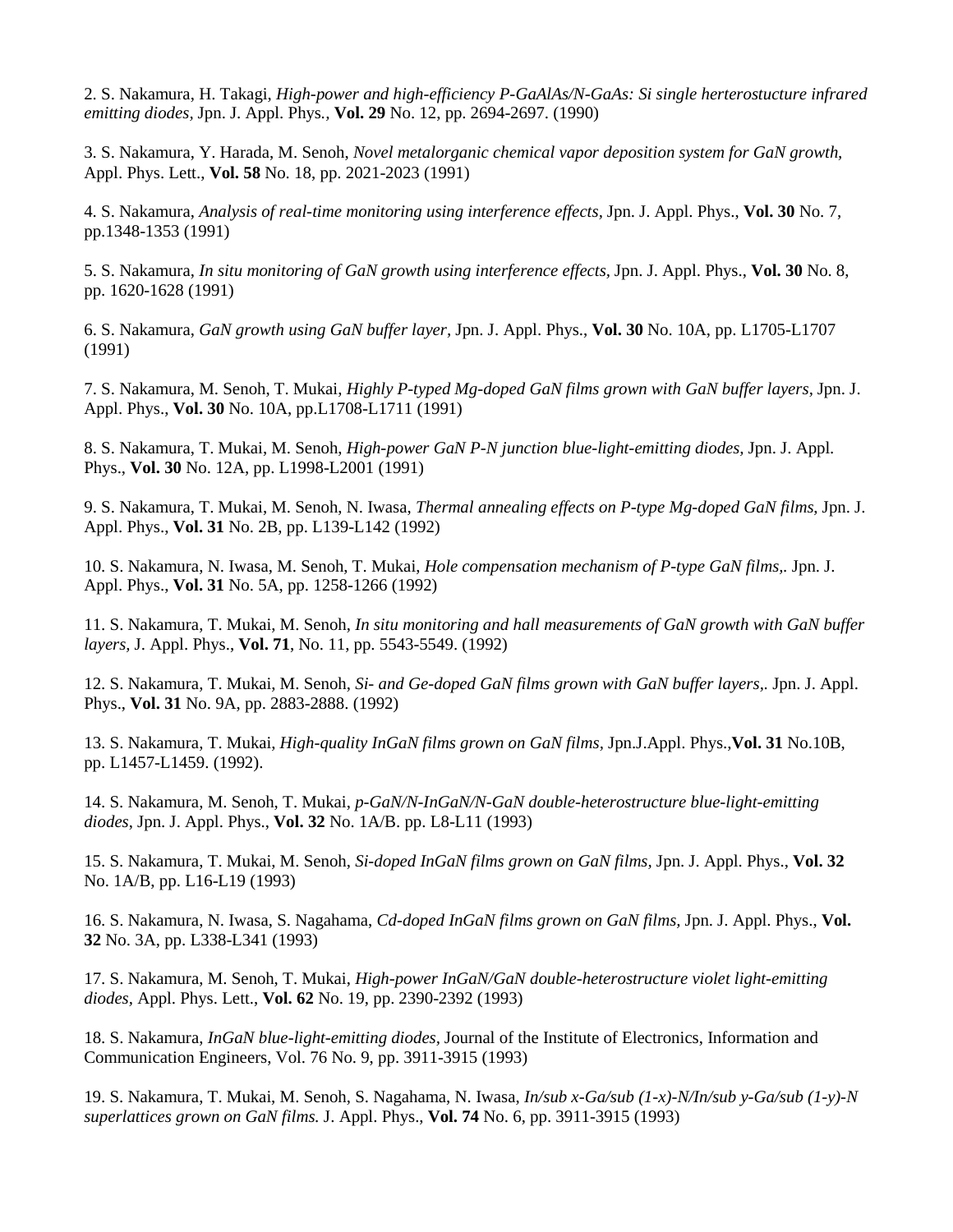2. S. Nakamura, H. Takagi, *High-power and high-efficiency P-GaAlAs/N-GaAs: Si single herterostucture infrared emitting diodes,* Jpn. J. Appl. Phys*.,* **Vol. 29** No. 12, pp. 2694-2697. (1990)

3. S. Nakamura, Y. Harada, M. Senoh, *Novel metalorganic chemical vapor deposition system for GaN growth,*  Appl. Phys. Lett., **Vol. 58** No. 18, pp. 2021-2023 (1991)

4. S. Nakamura, *Analysis of real-time monitoring using interference effects,* Jpn. J. Appl. Phys., **Vol. 30** No. 7, pp.1348-1353 (1991)

5. S. Nakamura, *In situ monitoring of GaN growth using interference effects,* Jpn. J. Appl. Phys., **Vol. 30** No. 8, pp. 1620-1628 (1991)

6. S. Nakamura, *GaN growth using GaN buffer layer,* Jpn. J. Appl. Phys., **Vol. 30** No. 10A, pp. L1705-L1707 (1991)

7. S. Nakamura, M. Senoh, T. Mukai, *Highly P-typed Mg-doped GaN films grown with GaN buffer layers,* Jpn. J. Appl. Phys., **Vol. 30** No. 10A, pp.L1708-L1711 (1991)

8. S. Nakamura, T. Mukai, M. Senoh, *High-power GaN P-N junction blue-light-emitting diodes,* Jpn. J. Appl. Phys., **Vol. 30** No. 12A, pp. L1998-L2001 (1991)

9. S. Nakamura, T. Mukai, M. Senoh, N. Iwasa, *Thermal annealing effects on P-type Mg-doped GaN films*, Jpn. J. Appl. Phys., **Vol. 31** No. 2B, pp. L139-L142 (1992)

10. S. Nakamura, N. Iwasa, M. Senoh, T. Mukai, *Hole compensation mechanism of P-type GaN films,.* Jpn. J. Appl. Phys., **Vol. 31** No. 5A, pp. 1258-1266 (1992)

11. S. Nakamura, T. Mukai, M. Senoh, *In situ monitoring and hall measurements of GaN growth with GaN buffer layers,* J. Appl. Phys., **Vol. 71**, No. 11, pp. 5543-5549. (1992)

12. S. Nakamura, T. Mukai, M. Senoh, *Si- and Ge-doped GaN films grown with GaN buffer layers,.* Jpn. J. Appl. Phys., **Vol. 31** No. 9A, pp. 2883-2888. (1992)

13. S. Nakamura, T. Mukai, *High-quality InGaN films grown on GaN films,* Jpn.J.Appl. Phys.,**Vol. 31** No.10B, pp. L1457-L1459. (1992).

14. S. Nakamura, M. Senoh, T. Mukai, *p-GaN/N-InGaN/N-GaN double-heterostructure blue-light-emitting diodes*, Jpn. J. Appl. Phys., **Vol. 32** No. 1A/B. pp. L8-L11 (1993)

15. S. Nakamura, T. Mukai, M. Senoh, *Si-doped InGaN films grown on GaN films,* Jpn. J. Appl. Phys., **Vol. 32**  No. 1A/B, pp. L16-L19 (1993)

16. S. Nakamura, N. Iwasa, S. Nagahama, *Cd-doped InGaN films grown on GaN films,* Jpn. J. Appl. Phys., **Vol. 32** No. 3A, pp. L338-L341 (1993)

17. S. Nakamura, M. Senoh, T. Mukai, *High-power InGaN/GaN double-heterostructure violet light-emitting diodes,* Appl. Phys. Lett., **Vol. 62** No. 19, pp. 2390-2392 (1993)

18. S. Nakamura, *InGaN blue-light-emitting diodes,* Journal of the Institute of Electronics, Information and Communication Engineers, Vol. 76 No. 9, pp. 3911-3915 (1993)

19. S. Nakamura, T. Mukai, M. Senoh, S. Nagahama, N. Iwasa, *In/sub x-Ga/sub (1-x)-N/In/sub y-Ga/sub (1-y)-N superlattices grown on GaN films.* J. Appl. Phys., **Vol. 74** No. 6, pp. 3911-3915 (1993)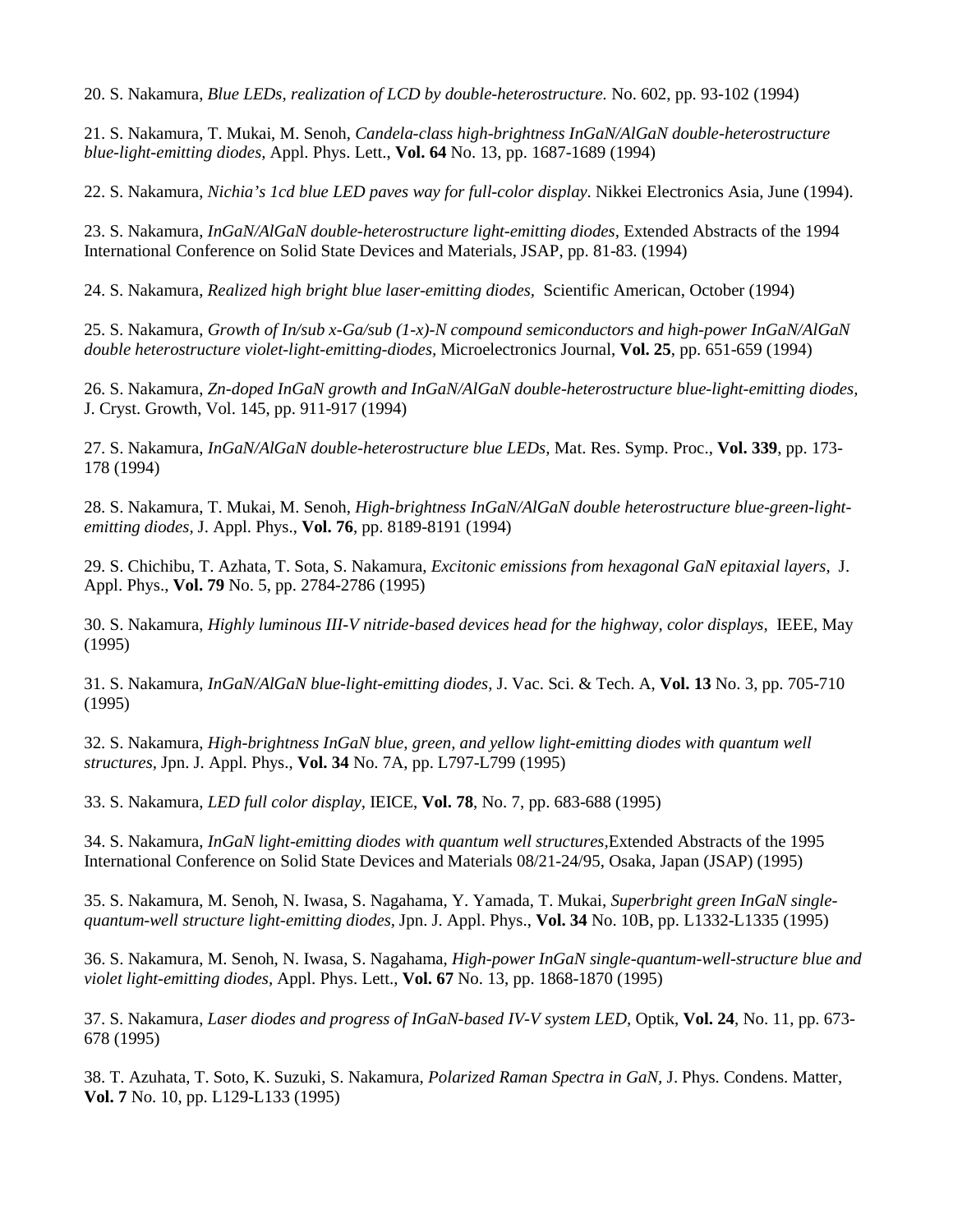20. S. Nakamura, *Blue LEDs, realization of LCD by double-heterostructure.* No. 602, pp. 93-102 (1994)

21. S. Nakamura, T. Mukai, M. Senoh, *Candela-class high-brightness InGaN/AlGaN double-heterostructure blue-light-emitting diodes,* Appl. Phys. Lett., **Vol. 64** No. 13, pp. 1687-1689 (1994)

22. S. Nakamura, *Nichia's 1cd blue LED paves way for full-color display.* Nikkei Electronics Asia, June (1994).

23. S. Nakamura, *InGaN/AlGaN double-heterostructure light-emitting diodes,* Extended Abstracts of the 1994 International Conference on Solid State Devices and Materials, JSAP, pp. 81-83. (1994)

24. S. Nakamura, *Realized high bright blue laser-emitting diodes,* Scientific American, October (1994)

25. S. Nakamura, *Growth of In/sub x-Ga/sub (1-x)-N compound semiconductors and high-power InGaN/AlGaN double heterostructure violet-light-emitting-diodes,* Microelectronics Journal, **Vol. 25**, pp. 651-659 (1994)

26. S. Nakamura, *Zn-doped InGaN growth and InGaN/AlGaN double-heterostructure blue-light-emitting diodes,* J. Cryst. Growth, Vol. 145, pp. 911-917 (1994)

27. S. Nakamura, *InGaN/AlGaN double-heterostructure blue LEDs,* Mat. Res. Symp. Proc., **Vol. 339**, pp. 173- 178 (1994)

28. S. Nakamura, T. Mukai, M. Senoh, *High-brightness InGaN/AlGaN double heterostructure blue-green-lightemitting diodes,* J. Appl. Phys., **Vol. 76**, pp. 8189-8191 (1994)

29. S. Chichibu, T. Azhata, T. Sota, S. Nakamura, *Excitonic emissions from hexagonal GaN epitaxial layers,* J. Appl. Phys., **Vol. 79** No. 5, pp. 2784-2786 (1995)

30. S. Nakamura, *Highly luminous III-V nitride-based devices head for the highway, color displays,* IEEE, May (1995)

31. S. Nakamura, *InGaN/AlGaN blue-light-emitting diodes,* J. Vac. Sci. & Tech. A, **Vol. 13** No. 3, pp. 705-710 (1995)

32. S. Nakamura, *High-brightness InGaN blue, green, and yellow light-emitting diodes with quantum well structures,* Jpn. J. Appl. Phys., **Vol. 34** No. 7A, pp. L797-L799 (1995)

33. S. Nakamura, *LED full color display,* IEICE, **Vol. 78**, No. 7, pp. 683-688 (1995)

34. S. Nakamura, *InGaN light-emitting diodes with quantum well structures,*Extended Abstracts of the 1995 International Conference on Solid State Devices and Materials 08/21-24/95, Osaka, Japan (JSAP) (1995)

35. S. Nakamura, M. Senoh, N. Iwasa, S. Nagahama, Y. Yamada, T. Mukai, *Superbright green InGaN singlequantum-well structure light-emitting diodes,* Jpn. J. Appl. Phys., **Vol. 34** No. 10B, pp. L1332-L1335 (1995)

36. S. Nakamura, M. Senoh, N. Iwasa, S. Nagahama, *High-power InGaN single-quantum-well-structure blue and violet light-emitting diodes,* Appl. Phys. Lett., **Vol. 67** No. 13, pp. 1868-1870 (1995)

37. S. Nakamura, *Laser diodes and progress of InGaN-based IV-V system LED,* Optik, **Vol. 24**, No. 11, pp. 673- 678 (1995)

38. T. Azuhata, T. Soto, K. Suzuki, S. Nakamura, *Polarized Raman Spectra in GaN,* J. Phys. Condens. Matter, **Vol. 7** No. 10, pp. L129-L133 (1995)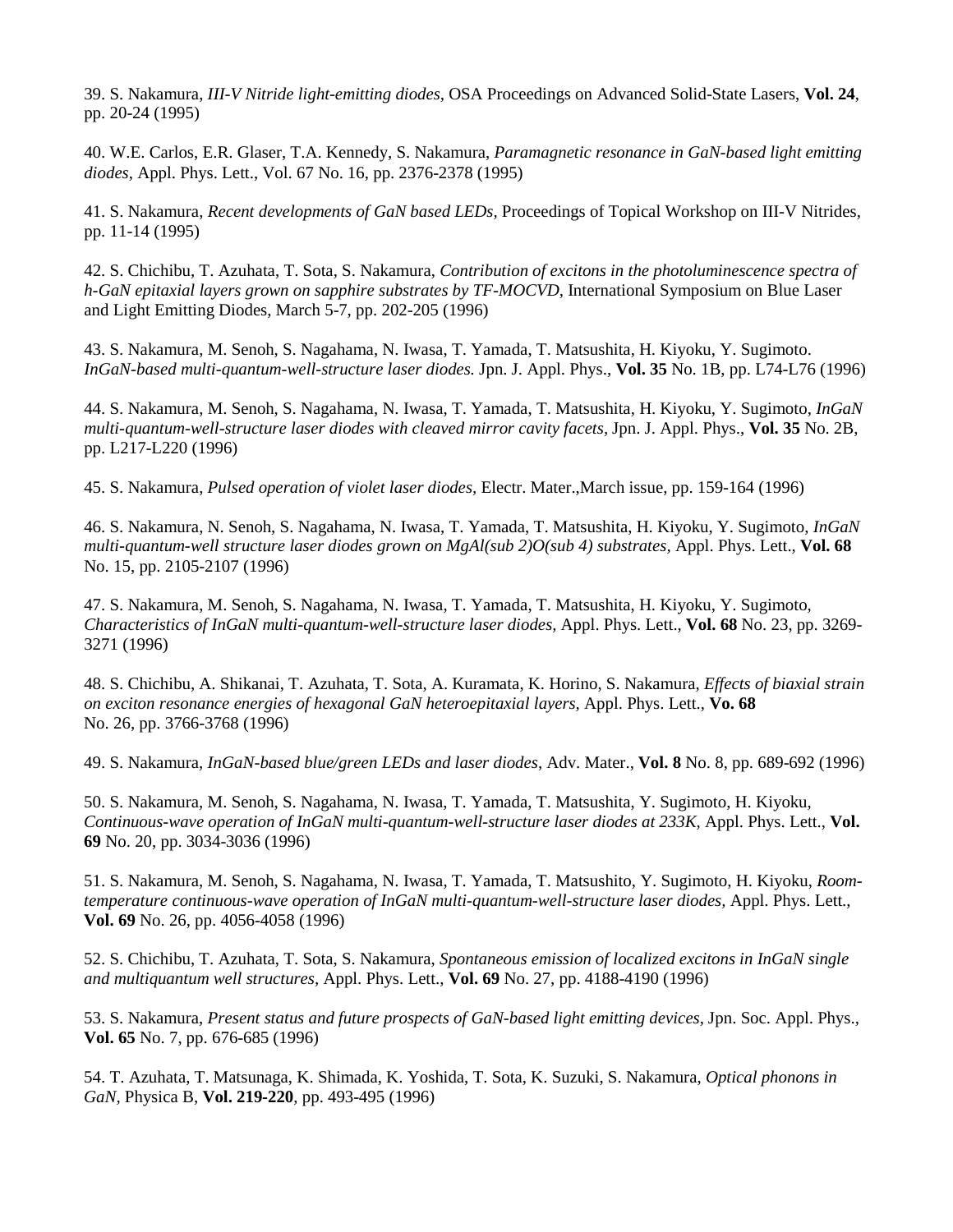39. S. Nakamura, *III-V Nitride light-emitting diodes,* OSA Proceedings on Advanced Solid-State Lasers, **Vol. 24**, pp. 20-24 (1995)

40. W.E. Carlos, E.R. Glaser, T.A. Kennedy, S. Nakamura, *Paramagnetic resonance in GaN-based light emitting diodes,* Appl. Phys. Lett., Vol. 67 No. 16, pp. 2376-2378 (1995)

41. S. Nakamura, *Recent developments of GaN based LEDs,* Proceedings of Topical Workshop on III-V Nitrides, pp. 11-14 (1995)

42. S. Chichibu, T. Azuhata, T. Sota, S. Nakamura, *Contribution of excitons in the photoluminescence spectra of h-GaN epitaxial layers grown on sapphire substrates by TF-MOCVD,* International Symposium on Blue Laser and Light Emitting Diodes, March 5-7, pp. 202-205 (1996)

43. S. Nakamura, M. Senoh, S. Nagahama, N. Iwasa, T. Yamada, T. Matsushita, H. Kiyoku, Y. Sugimoto. *InGaN-based multi-quantum-well-structure laser diodes.* Jpn. J. Appl. Phys., **Vol. 35** No. 1B, pp. L74-L76 (1996)

44. S. Nakamura, M. Senoh, S. Nagahama, N. Iwasa, T. Yamada, T. Matsushita, H. Kiyoku, Y. Sugimoto, *InGaN multi-quantum-well-structure laser diodes with cleaved mirror cavity facets,* Jpn. J. Appl. Phys., **Vol. 35** No. 2B, pp. L217-L220 (1996)

45. S. Nakamura, *Pulsed operation of violet laser diodes,* Electr. Mater.,March issue, pp. 159-164 (1996)

46. S. Nakamura, N. Senoh, S. Nagahama, N. Iwasa, T. Yamada, T. Matsushita, H. Kiyoku, Y. Sugimoto, *InGaN multi-quantum-well structure laser diodes grown on MgAl(sub 2)O(sub 4) substrates,* Appl. Phys. Lett., **Vol. 68** No. 15, pp. 2105-2107 (1996)

47. S. Nakamura, M. Senoh, S. Nagahama, N. Iwasa, T. Yamada, T. Matsushita, H. Kiyoku, Y. Sugimoto, *Characteristics of InGaN multi-quantum-well-structure laser diodes,* Appl. Phys. Lett., **Vol. 68** No. 23, pp. 3269- 3271 (1996)

48. S. Chichibu, A. Shikanai, T. Azuhata, T. Sota, A. Kuramata, K. Horino, S. Nakamura, *Effects of biaxial strain on exciton resonance energies of hexagonal GaN heteroepitaxial layers,* Appl. Phys. Lett., **Vo. 68** No. 26, pp. 3766-3768 (1996)

49. S. Nakamura, *InGaN-based blue/green LEDs and laser diodes,* Adv. Mater., **Vol. 8** No. 8, pp. 689-692 (1996)

50. S. Nakamura, M. Senoh, S. Nagahama, N. Iwasa, T. Yamada, T. Matsushita, Y. Sugimoto, H. Kiyoku, *Continuous-wave operation of InGaN multi-quantum-well-structure laser diodes at 233K,* Appl. Phys. Lett., **Vol. 69** No. 20, pp. 3034-3036 (1996)

51. S. Nakamura, M. Senoh, S. Nagahama, N. Iwasa, T. Yamada, T. Matsushito, Y. Sugimoto, H. Kiyoku, *Roomtemperature continuous-wave operation of InGaN multi-quantum-well-structure laser diodes,* Appl. Phys. Lett., **Vol. 69** No. 26, pp. 4056-4058 (1996)

52. S. Chichibu, T. Azuhata, T. Sota, S. Nakamura, *Spontaneous emission of localized excitons in InGaN single and multiquantum well structures,* Appl. Phys. Lett., **Vol. 69** No. 27, pp. 4188-4190 (1996)

53. S. Nakamura, *Present status and future prospects of GaN-based light emitting devices,* Jpn. Soc. Appl. Phys., **Vol. 65** No. 7, pp. 676-685 (1996)

54. T. Azuhata, T. Matsunaga, K. Shimada, K. Yoshida, T. Sota, K. Suzuki, S. Nakamura, *Optical phonons in GaN,* Physica B, **Vol. 219-220**, pp. 493-495 (1996)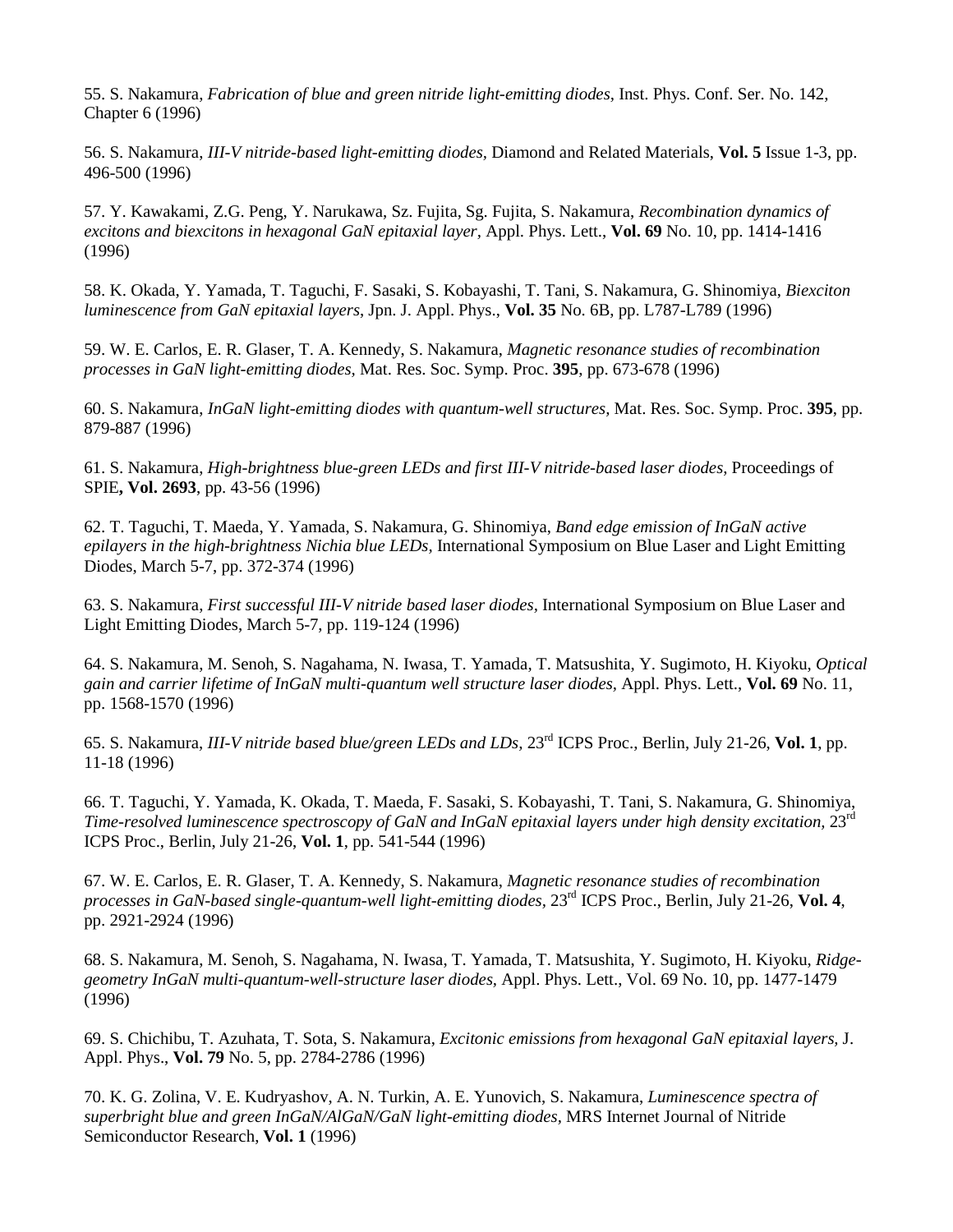55. S. Nakamura, *Fabrication of blue and green nitride light-emitting diodes,* Inst. Phys. Conf. Ser. No. 142, Chapter 6 (1996)

56. S. Nakamura, *III-V nitride-based light-emitting diodes,* Diamond and Related Materials, **Vol. 5** Issue 1-3, pp. 496-500 (1996)

57. Y. Kawakami, Z.G. Peng, Y. Narukawa, Sz. Fujita, Sg. Fujita, S. Nakamura, *Recombination dynamics of excitons and biexcitons in hexagonal GaN epitaxial layer,* Appl. Phys. Lett., **Vol. 69** No. 10, pp. 1414-1416 (1996)

58. K. Okada, Y. Yamada, T. Taguchi, F. Sasaki, S. Kobayashi, T. Tani, S. Nakamura, G. Shinomiya, *Biexciton luminescence from GaN epitaxial layers*, Jpn. J. Appl. Phys., **Vol. 35** No. 6B, pp. L787-L789 (1996)

59. W. E. Carlos, E. R. Glaser, T. A. Kennedy, S. Nakamura, *Magnetic resonance studies of recombination processes in GaN light-emitting diodes,* Mat. Res. Soc. Symp. Proc. **395**, pp. 673-678 (1996)

60. S. Nakamura, *InGaN light-emitting diodes with quantum-well structures,* Mat. Res. Soc. Symp. Proc. **395**, pp. 879-887 (1996)

61. S. Nakamura, *High-brightness blue-green LEDs and first III-V nitride-based laser diodes*, Proceedings of SPIE**, Vol. 2693**, pp. 43-56 (1996)

62. T. Taguchi, T. Maeda, Y. Yamada, S. Nakamura, G. Shinomiya, *Band edge emission of InGaN active epilayers in the high-brightness Nichia blue LEDs,* International Symposium on Blue Laser and Light Emitting Diodes, March 5-7, pp. 372-374 (1996)

63. S. Nakamura, *First successful III-V nitride based laser diodes,* International Symposium on Blue Laser and Light Emitting Diodes, March 5-7, pp. 119-124 (1996)

64. S. Nakamura, M. Senoh, S. Nagahama, N. Iwasa, T. Yamada, T. Matsushita, Y. Sugimoto, H. Kiyoku, *Optical gain and carrier lifetime of InGaN multi-quantum well structure laser diodes,* Appl. Phys. Lett., **Vol. 69** No. 11, pp. 1568-1570 (1996)

65. S. Nakamura, *III-V nitride based blue/green LEDs and LDs,* 23rd ICPS Proc., Berlin, July 21-26, **Vol. 1**, pp. 11-18 (1996)

66. T. Taguchi, Y. Yamada, K. Okada, T. Maeda, F. Sasaki, S. Kobayashi, T. Tani, S. Nakamura, G. Shinomiya, *Time-resolved luminescence spectroscopy of GaN and InGaN epitaxial layers under high density excitation,* 23<sup>rd</sup> ICPS Proc., Berlin, July 21-26, **Vol. 1**, pp. 541-544 (1996)

67. W. E. Carlos, E. R. Glaser, T. A. Kennedy, S. Nakamura, *Magnetic resonance studies of recombination processes in GaN-based single-quantum-well light-emitting diodes,* 23rd ICPS Proc., Berlin, July 21-26, **Vol. 4**, pp. 2921-2924 (1996)

68. S. Nakamura, M. Senoh, S. Nagahama, N. Iwasa, T. Yamada, T. Matsushita, Y. Sugimoto, H. Kiyoku, *Ridgegeometry InGaN multi-quantum-well-structure laser diodes,* Appl. Phys. Lett., Vol. 69 No. 10, pp. 1477-1479 (1996)

69. S. Chichibu, T. Azuhata, T. Sota, S. Nakamura, *Excitonic emissions from hexagonal GaN epitaxial layers,* J. Appl. Phys., **Vol. 79** No. 5, pp. 2784-2786 (1996)

70. K. G. Zolina, V. E. Kudryashov, A. N. Turkin, A. E. Yunovich, S. Nakamura, *Luminescence spectra of superbright blue and green InGaN/AlGaN/GaN light-emitting diodes,* MRS Internet Journal of Nitride Semiconductor Research, **Vol. 1** (1996)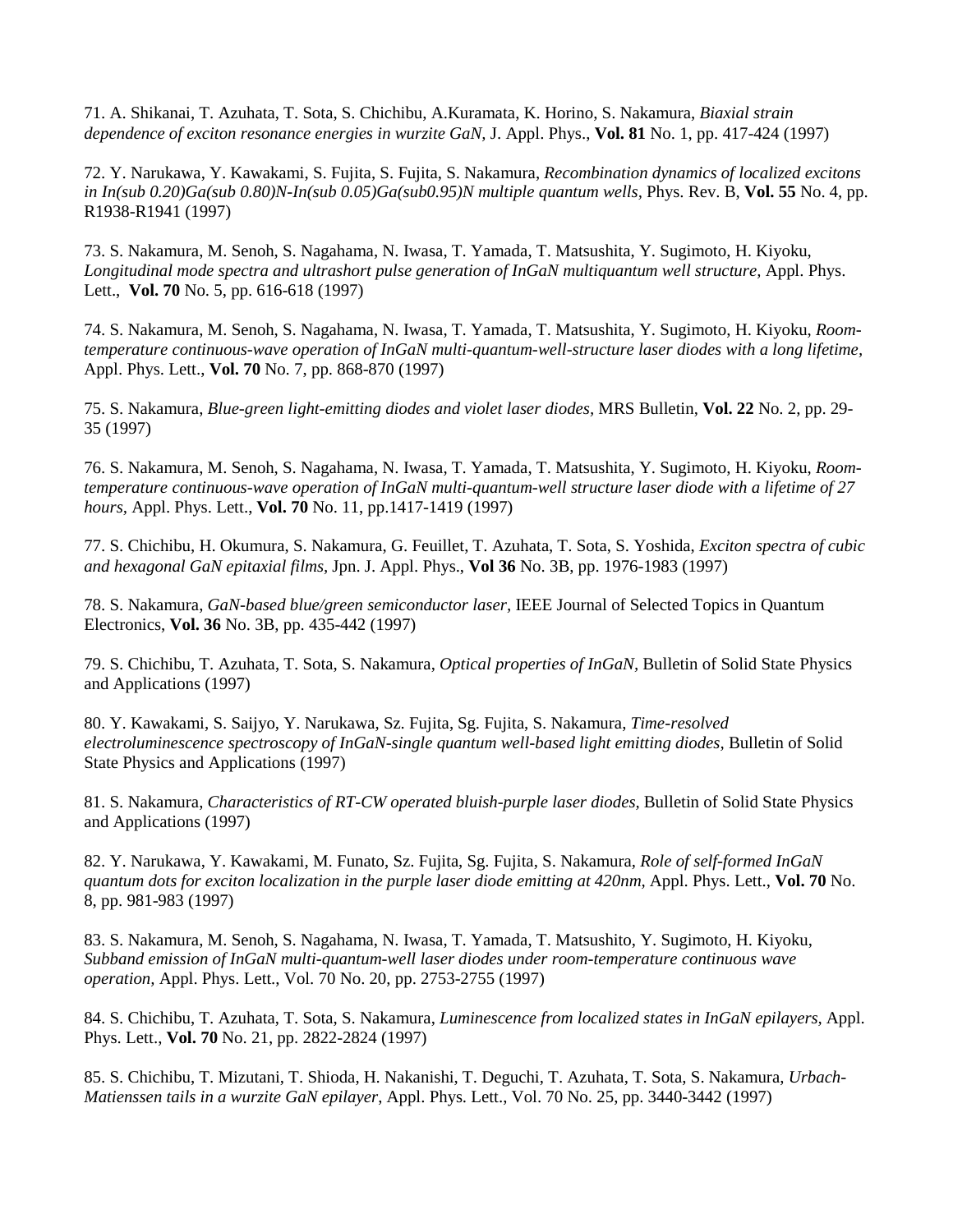71. A. Shikanai, T. Azuhata, T. Sota, S. Chichibu, A.Kuramata, K. Horino, S. Nakamura, *Biaxial strain dependence of exciton resonance energies in wurzite GaN,* J. Appl. Phys., **Vol. 81** No. 1, pp. 417-424 (1997)

72. Y. Narukawa, Y. Kawakami, S. Fujita, S. Fujita, S. Nakamura, *Recombination dynamics of localized excitons in In(sub 0.20)Ga(sub 0.80)N-In(sub 0.05)Ga(sub0.95)N multiple quantum wells,* Phys. Rev. B, **Vol. 55** No. 4, pp. R1938-R1941 (1997)

73. S. Nakamura, M. Senoh, S. Nagahama, N. Iwasa, T. Yamada, T. Matsushita, Y. Sugimoto, H. Kiyoku, *Longitudinal mode spectra and ultrashort pulse generation of InGaN multiquantum well structure,* Appl. Phys. Lett., **Vol. 70** No. 5, pp. 616-618 (1997)

74. S. Nakamura, M. Senoh, S. Nagahama, N. Iwasa, T. Yamada, T. Matsushita, Y. Sugimoto, H. Kiyoku, *Roomtemperature continuous-wave operation of InGaN multi-quantum-well-structure laser diodes with a long lifetime,* Appl. Phys. Lett., **Vol. 70** No. 7, pp. 868-870 (1997)

75. S. Nakamura, *Blue-green light-emitting diodes and violet laser diodes,* MRS Bulletin, **Vol. 22** No. 2, pp. 29- 35 (1997)

76. S. Nakamura, M. Senoh, S. Nagahama, N. Iwasa, T. Yamada, T. Matsushita, Y. Sugimoto, H. Kiyoku, *Roomtemperature continuous-wave operation of InGaN multi-quantum-well structure laser diode with a lifetime of 27 hours,* Appl. Phys. Lett., **Vol. 70** No. 11, pp.1417-1419 (1997)

77. S. Chichibu, H. Okumura, S. Nakamura, G. Feuillet, T. Azuhata, T. Sota, S. Yoshida, *Exciton spectra of cubic and hexagonal GaN epitaxial films,* Jpn. J. Appl. Phys., **Vol 36** No. 3B, pp. 1976-1983 (1997)

78. S. Nakamura, *GaN-based blue/green semiconductor laser,* IEEE Journal of Selected Topics in Quantum Electronics, **Vol. 36** No. 3B, pp. 435-442 (1997)

79. S. Chichibu, T. Azuhata, T. Sota, S. Nakamura, *Optical properties of InGaN,* Bulletin of Solid State Physics and Applications (1997)

80. Y. Kawakami, S. Saijyo, Y. Narukawa, Sz. Fujita, Sg. Fujita, S. Nakamura, *Time-resolved electroluminescence spectroscopy of InGaN-single quantum well-based light emitting diodes,* Bulletin of Solid State Physics and Applications (1997)

81. S. Nakamura, *Characteristics of RT-CW operated bluish-purple laser diodes,* Bulletin of Solid State Physics and Applications (1997)

82. Y. Narukawa, Y. Kawakami, M. Funato, Sz. Fujita, Sg. Fujita, S. Nakamura, *Role of self-formed InGaN quantum dots for exciton localization in the purple laser diode emitting at 420nm,* Appl. Phys. Lett., **Vol. 70** No. 8, pp. 981-983 (1997)

83. S. Nakamura, M. Senoh, S. Nagahama, N. Iwasa, T. Yamada, T. Matsushito, Y. Sugimoto, H. Kiyoku, *Subband emission of InGaN multi-quantum-well laser diodes under room-temperature continuous wave operation,* Appl. Phys. Lett., Vol. 70 No. 20, pp. 2753-2755 (1997)

84. S. Chichibu, T. Azuhata, T. Sota, S. Nakamura, *Luminescence from localized states in InGaN epilayers,* Appl. Phys. Lett., **Vol. 70** No. 21, pp. 2822-2824 (1997)

85. S. Chichibu, T. Mizutani, T. Shioda, H. Nakanishi, T. Deguchi, T. Azuhata, T. Sota, S. Nakamura, *Urbach-Matienssen tails in a wurzite GaN epilayer*, Appl. Phys. Lett., Vol. 70 No. 25, pp. 3440-3442 (1997)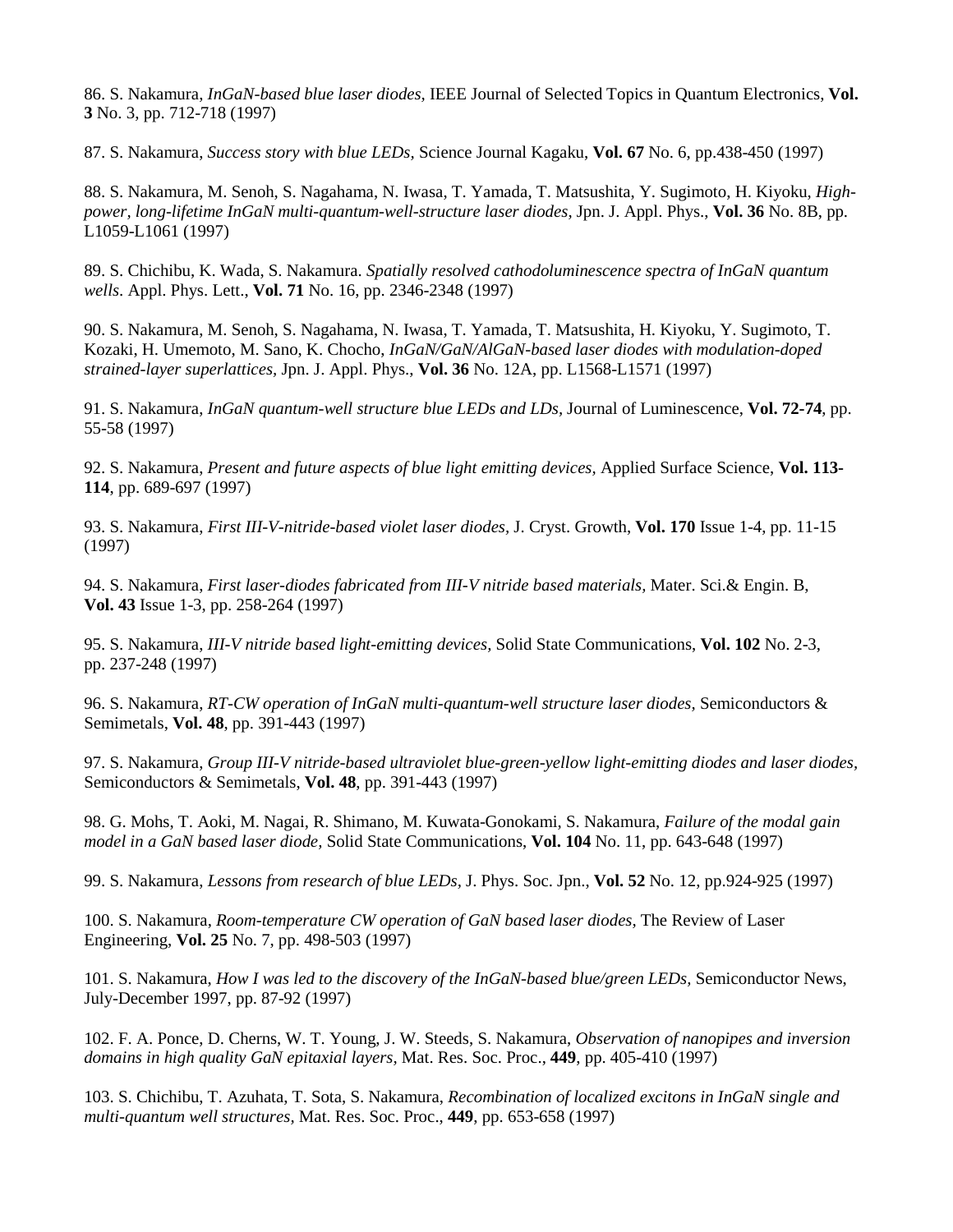86. S. Nakamura, *InGaN-based blue laser diodes,* IEEE Journal of Selected Topics in Quantum Electronics, **Vol. 3** No. 3, pp. 712-718 (1997)

87. S. Nakamura, *Success story with blue LEDs,* Science Journal Kagaku, **Vol. 67** No. 6, pp.438-450 (1997)

88. S. Nakamura, M. Senoh, S. Nagahama, N. Iwasa, T. Yamada, T. Matsushita, Y. Sugimoto, H. Kiyoku, *Highpower, long-lifetime InGaN multi-quantum-well-structure laser diodes,* Jpn. J. Appl. Phys., **Vol. 36** No. 8B, pp. L1059-L1061 (1997)

89. S. Chichibu, K. Wada, S. Nakamura. *Spatially resolved cathodoluminescence spectra of InGaN quantum wells*. Appl. Phys. Lett., **Vol. 71** No. 16, pp. 2346-2348 (1997)

90. S. Nakamura, M. Senoh, S. Nagahama, N. Iwasa, T. Yamada, T. Matsushita, H. Kiyoku, Y. Sugimoto, T. Kozaki, H. Umemoto, M. Sano, K. Chocho, *InGaN/GaN/AlGaN-based laser diodes with modulation-doped strained-layer superlattices,* Jpn. J. Appl. Phys., **Vol. 36** No. 12A, pp. L1568-L1571 (1997)

91. S. Nakamura, *InGaN quantum-well structure blue LEDs and LDs,* Journal of Luminescence, **Vol. 72-74**, pp. 55-58 (1997)

92. S. Nakamura, *Present and future aspects of blue light emitting devices,* Applied Surface Science, **Vol. 113- 114**, pp. 689-697 (1997)

93. S. Nakamura, *First III-V-nitride-based violet laser diodes,* J. Cryst. Growth, **Vol. 170** Issue 1-4, pp. 11-15 (1997)

94. S. Nakamura, *First laser-diodes fabricated from III-V nitride based materials,* Mater. Sci.& Engin. B, **Vol. 43** Issue 1-3, pp. 258-264 (1997)

95. S. Nakamura, *III-V nitride based light-emitting devices,* Solid State Communications, **Vol. 102** No. 2-3, pp. 237-248 (1997)

96. S. Nakamura, *RT-CW operation of InGaN multi-quantum-well structure laser diodes,* Semiconductors & Semimetals, **Vol. 48**, pp. 391-443 (1997)

97. S. Nakamura, *Group III-V nitride-based ultraviolet blue-green-yellow light-emitting diodes and laser diodes,*  Semiconductors & Semimetals, **Vol. 48**, pp. 391-443 (1997)

98. G. Mohs, T. Aoki, M. Nagai, R. Shimano, M. Kuwata-Gonokami, S. Nakamura, *Failure of the modal gain model in a GaN based laser diode,* Solid State Communications, **Vol. 104** No. 11, pp. 643-648 (1997)

99. S. Nakamura, *Lessons from research of blue LEDs,* J. Phys. Soc. Jpn., **Vol. 52** No. 12, pp.924-925 (1997)

100. S. Nakamura, *Room-temperature CW operation of GaN based laser diodes,* The Review of Laser Engineering, **Vol. 25** No. 7, pp. 498-503 (1997)

101. S. Nakamura, *How I was led to the discovery of the InGaN-based blue/green LEDs,* Semiconductor News, July-December 1997, pp. 87-92 (1997)

102. F. A. Ponce, D. Cherns, W. T. Young, J. W. Steeds, S. Nakamura, *Observation of nanopipes and inversion domains in high quality GaN epitaxial layers,* Mat. Res. Soc. Proc., **449**, pp. 405-410 (1997)

103. S. Chichibu, T. Azuhata, T. Sota, S. Nakamura, *Recombination of localized excitons in InGaN single and multi-quantum well structures,* Mat. Res. Soc. Proc., **449**, pp. 653-658 (1997)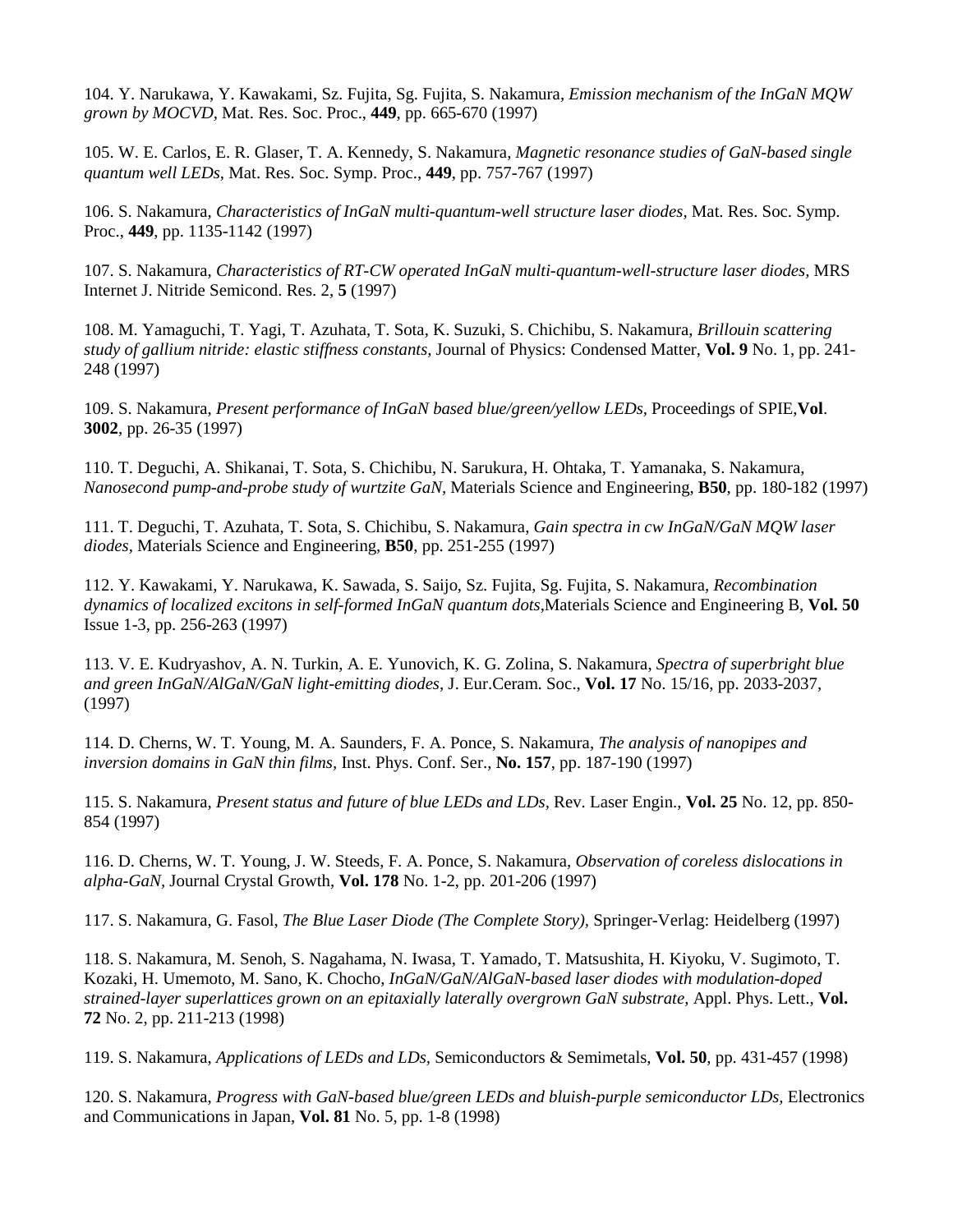104. Y. Narukawa, Y. Kawakami, Sz. Fujita, Sg. Fujita, S. Nakamura, *Emission mechanism of the InGaN MQW grown by MOCVD,* Mat. Res. Soc. Proc., **449**, pp. 665-670 (1997)

105. W. E. Carlos, E. R. Glaser, T. A. Kennedy, S. Nakamura, *Magnetic resonance studies of GaN-based single quantum well LEDs,* Mat. Res. Soc. Symp. Proc., **449**, pp. 757-767 (1997)

106. S. Nakamura, *Characteristics of InGaN multi-quantum-well structure laser diodes,* Mat. Res. Soc. Symp. Proc., **449**, pp. 1135-1142 (1997)

107. S. Nakamura, *Characteristics of RT-CW operated InGaN multi-quantum-well-structure laser diodes,* MRS Internet J. Nitride Semicond. Res. 2, **5** (1997)

108. M. Yamaguchi, T. Yagi, T. Azuhata, T. Sota, K. Suzuki, S. Chichibu, S. Nakamura, *Brillouin scattering study of gallium nitride: elastic stiffness constants,* Journal of Physics: Condensed Matter, **Vol. 9** No. 1, pp. 241- 248 (1997)

109. S. Nakamura, *Present performance of InGaN based blue/green/yellow LEDs,* Proceedings of SPIE,**Vol**. **3002**, pp. 26-35 (1997)

110. T. Deguchi, A. Shikanai, T. Sota, S. Chichibu, N. Sarukura, H. Ohtaka, T. Yamanaka, S. Nakamura, *Nanosecond pump-and-probe study of wurtzite GaN,* Materials Science and Engineering, **B50**, pp. 180-182 (1997)

111. T. Deguchi, T. Azuhata, T. Sota, S. Chichibu, S. Nakamura, *Gain spectra in cw InGaN/GaN MQW laser diodes,* Materials Science and Engineering, **B50**, pp. 251-255 (1997)

112. Y. Kawakami, Y. Narukawa, K. Sawada, S. Saijo, Sz. Fujita, Sg. Fujita, S. Nakamura, *Recombination dynamics of localized excitons in self-formed InGaN quantum dots,*Materials Science and Engineering B, **Vol. 50** Issue 1-3, pp. 256-263 (1997)

113. V. E. Kudryashov, A. N. Turkin, A. E. Yunovich, K. G. Zolina, S. Nakamura, *Spectra of superbright blue and green InGaN/AlGaN/GaN light-emitting diodes,* J. Eur.Ceram. Soc., **Vol. 17** No. 15/16, pp. 2033-2037, (1997)

114. D. Cherns, W. T. Young, M. A. Saunders, F. A. Ponce, S. Nakamura, *The analysis of nanopipes and inversion domains in GaN thin films,* Inst. Phys. Conf. Ser., **No. 157**, pp. 187-190 (1997)

115. S. Nakamura, *Present status and future of blue LEDs and LDs,* Rev. Laser Engin., **Vol. 25** No. 12, pp. 850- 854 (1997)

116. D. Cherns, W. T. Young, J. W. Steeds, F. A. Ponce, S. Nakamura, *Observation of coreless dislocations in alpha-GaN,* Journal Crystal Growth, **Vol. 178** No. 1-2, pp. 201-206 (1997)

117. S. Nakamura, G. Fasol, *The Blue Laser Diode (The Complete Story),* Springer-Verlag: Heidelberg (1997)

118. S. Nakamura, M. Senoh, S. Nagahama, N. Iwasa, T. Yamado, T. Matsushita, H. Kiyoku, V. Sugimoto, T. Kozaki, H. Umemoto, M. Sano, K. Chocho, *InGaN/GaN/AlGaN-based laser diodes with modulation-doped strained-layer superlattices grown on an epitaxially laterally overgrown GaN substrate,* Appl. Phys. Lett., **Vol. 72** No. 2, pp. 211-213 (1998)

119. S. Nakamura, *Applications of LEDs and LDs,* Semiconductors & Semimetals, **Vol. 50**, pp. 431-457 (1998)

120. S. Nakamura, *Progress with GaN-based blue/green LEDs and bluish-purple semiconductor LDs*, Electronics and Communications in Japan, **Vol. 81** No. 5, pp. 1-8 (1998)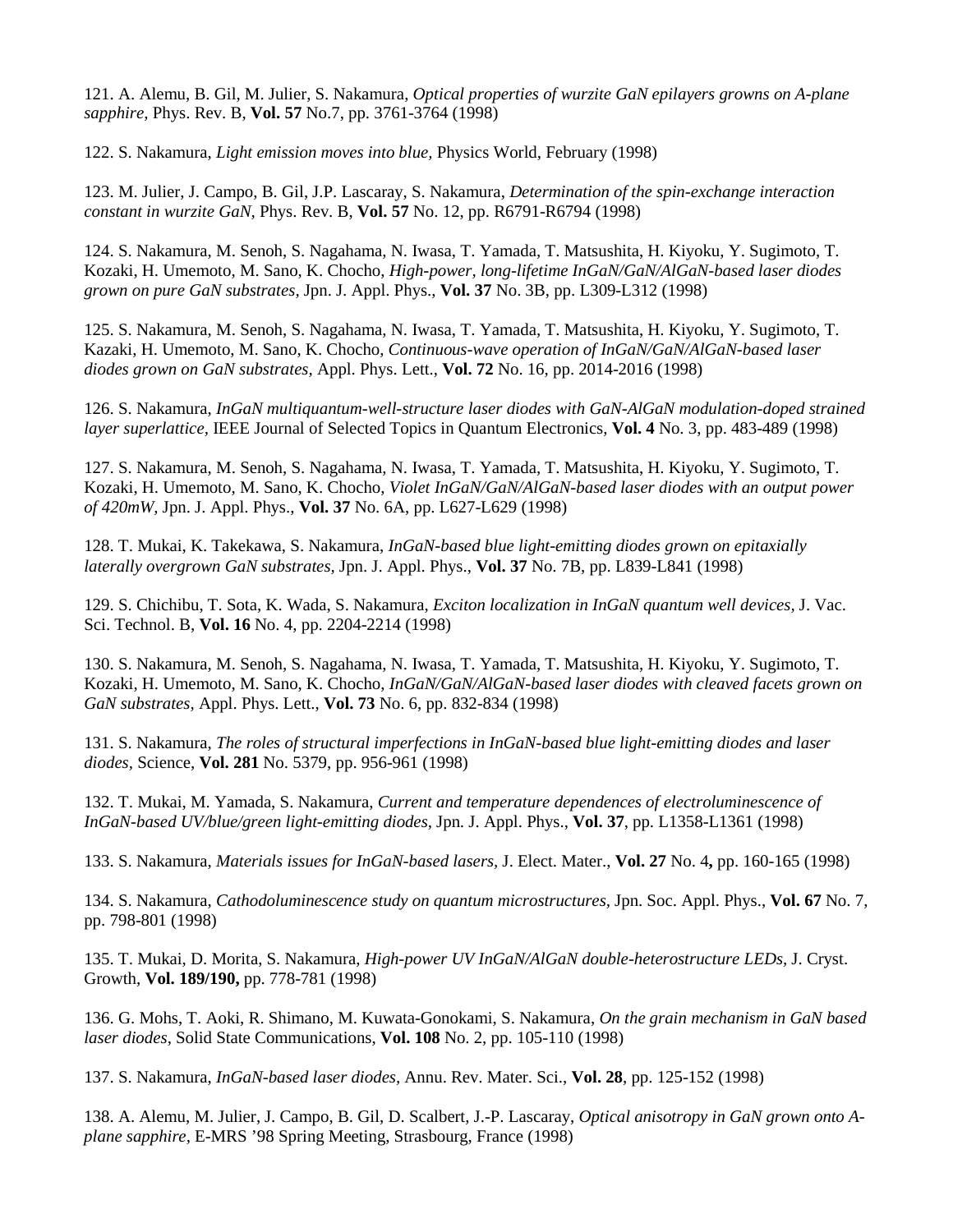121. A. Alemu, B. Gil, M. Julier, S. Nakamura, *Optical properties of wurzite GaN epilayers growns on A-plane sapphire,* Phys. Rev. B, **Vol. 57** No.7, pp. 3761-3764 (1998)

122. S. Nakamura, *Light emission moves into blue,* Physics World, February (1998)

123. M. Julier, J. Campo, B. Gil, J.P. Lascaray, S. Nakamura, *Determination of the spin-exchange interaction constant in wurzite GaN,* Phys. Rev. B, **Vol. 57** No. 12, pp. R6791-R6794 (1998)

124. S. Nakamura, M. Senoh, S. Nagahama, N. Iwasa, T. Yamada, T. Matsushita, H. Kiyoku, Y. Sugimoto, T. Kozaki, H. Umemoto, M. Sano, K. Chocho, *High-power, long-lifetime InGaN/GaN/AlGaN-based laser diodes grown on pure GaN substrates,* Jpn. J. Appl. Phys., **Vol. 37** No. 3B, pp. L309-L312 (1998)

125. S. Nakamura, M. Senoh, S. Nagahama, N. Iwasa, T. Yamada, T. Matsushita, H. Kiyoku, Y. Sugimoto, T. Kazaki, H. Umemoto, M. Sano, K. Chocho, *Continuous-wave operation of InGaN/GaN/AlGaN-based laser diodes grown on GaN substrates,* Appl. Phys. Lett., **Vol. 72** No. 16, pp. 2014-2016 (1998)

126. S. Nakamura, *InGaN multiquantum-well-structure laser diodes with GaN-AlGaN modulation-doped strained layer superlattice,* IEEE Journal of Selected Topics in Quantum Electronics, **Vol. 4** No. 3, pp. 483-489 (1998)

127. S. Nakamura, M. Senoh, S. Nagahama, N. Iwasa, T. Yamada, T. Matsushita, H. Kiyoku, Y. Sugimoto, T. Kozaki, H. Umemoto, M. Sano, K. Chocho, *Violet InGaN/GaN/AlGaN-based laser diodes with an output power of 420mW,* Jpn. J. Appl. Phys., **Vol. 37** No. 6A, pp. L627-L629 (1998)

128. T. Mukai, K. Takekawa, S. Nakamura, *InGaN-based blue light-emitting diodes grown on epitaxially laterally overgrown GaN substrates,* Jpn. J. Appl. Phys., **Vol. 37** No. 7B, pp. L839-L841 (1998)

129. S. Chichibu, T. Sota, K. Wada, S. Nakamura, *Exciton localization in InGaN quantum well devices,* J. Vac. Sci. Technol. B, **Vol. 16** No. 4, pp. 2204-2214 (1998)

130. S. Nakamura, M. Senoh, S. Nagahama, N. Iwasa, T. Yamada, T. Matsushita, H. Kiyoku, Y. Sugimoto, T. Kozaki, H. Umemoto, M. Sano, K. Chocho, *InGaN/GaN/AlGaN-based laser diodes with cleaved facets grown on GaN substrates,* Appl. Phys. Lett., **Vol. 73** No. 6, pp. 832-834 (1998)

131. S. Nakamura, *The roles of structural imperfections in InGaN-based blue light-emitting diodes and laser diodes,* Science, **Vol. 281** No. 5379, pp. 956-961 (1998)

132. T. Mukai, M. Yamada, S. Nakamura, *Current and temperature dependences of electroluminescence of InGaN-based UV/blue/green light-emitting diodes,* Jpn. J. Appl. Phys., **Vol. 37**, pp. L1358-L1361 (1998)

133. S. Nakamura, *Materials issues for InGaN-based lasers,* J. Elect. Mater., **Vol. 27** No. 4**,** pp. 160-165 (1998)

134. S. Nakamura, *Cathodoluminescence study on quantum microstructures,* Jpn. Soc. Appl. Phys., **Vol. 67** No. 7, pp. 798-801 (1998)

135. T. Mukai, D. Morita, S. Nakamura, *High-power UV InGaN/AlGaN double-heterostructure LEDs,* J. Cryst. Growth, **Vol. 189/190,** pp. 778-781 (1998)

136. G. Mohs, T. Aoki, R. Shimano, M. Kuwata-Gonokami, S. Nakamura, *On the grain mechanism in GaN based laser diodes,* Solid State Communications, **Vol. 108** No. 2, pp. 105-110 (1998)

137. S. Nakamura, *InGaN-based laser diodes,* Annu. Rev. Mater. Sci., **Vol. 28**, pp. 125-152 (1998)

138. A. Alemu, M. Julier, J. Campo, B. Gil, D. Scalbert, J.-P. Lascaray, *Optical anisotropy in GaN grown onto Aplane sapphire,* E-MRS '98 Spring Meeting, Strasbourg, France (1998)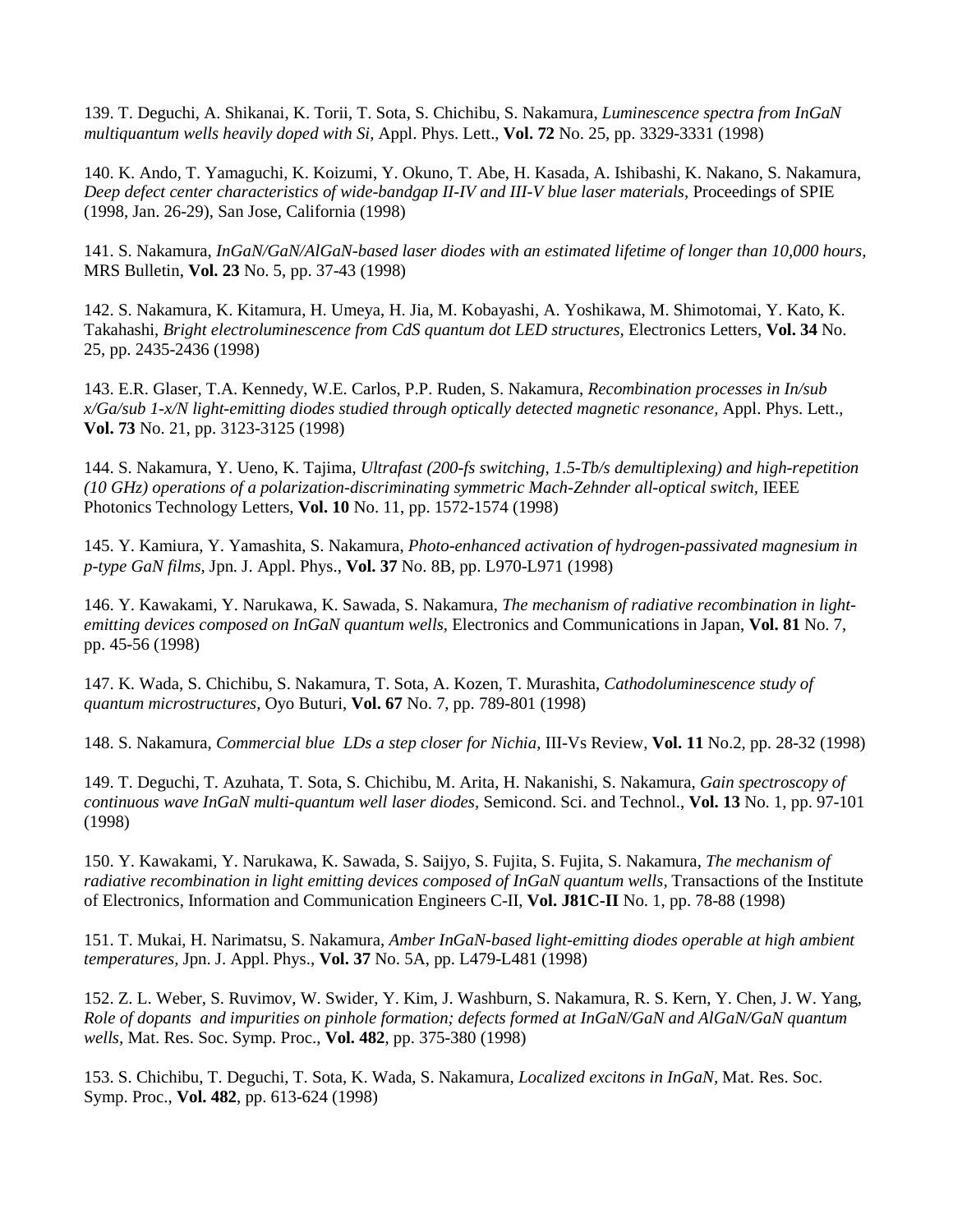139. T. Deguchi, A. Shikanai, K. Torii, T. Sota, S. Chichibu, S. Nakamura, *Luminescence spectra from InGaN multiquantum wells heavily doped with Si,* Appl. Phys. Lett., **Vol. 72** No. 25, pp. 3329-3331 (1998)

140. K. Ando, T. Yamaguchi, K. Koizumi, Y. Okuno, T. Abe, H. Kasada, A. Ishibashi, K. Nakano, S. Nakamura, *Deep defect center characteristics of wide-bandgap II-IV and III-V blue laser materials,* Proceedings of SPIE (1998, Jan. 26-29), San Jose, California (1998)

141. S. Nakamura, *InGaN/GaN/AlGaN-based laser diodes with an estimated lifetime of longer than 10,000 hours,* MRS Bulletin, **Vol. 23** No. 5, pp. 37-43 (1998)

142. S. Nakamura, K. Kitamura, H. Umeya, H. Jia, M. Kobayashi, A. Yoshikawa, M. Shimotomai, Y. Kato, K. Takahashi, *Bright electroluminescence from CdS quantum dot LED structures,* Electronics Letters, **Vol. 34** No. 25, pp. 2435-2436 (1998)

143. E.R. Glaser, T.A. Kennedy, W.E. Carlos, P.P. Ruden, S. Nakamura, *Recombination processes in In/sub x/Ga/sub 1-x/N light-emitting diodes studied through optically detected magnetic resonance,* Appl. Phys. Lett., **Vol. 73** No. 21, pp. 3123-3125 (1998)

144. S. Nakamura, Y. Ueno, K. Tajima, *Ultrafast (200-fs switching, 1.5-Tb/s demultiplexing) and high-repetition (10 GHz) operations of a polarization-discriminating symmetric Mach-Zehnder all-optical switch, IEEE* Photonics Technology Letters, **Vol. 10** No. 11, pp. 1572-1574 (1998)

145. Y. Kamiura, Y. Yamashita, S. Nakamura, *Photo-enhanced activation of hydrogen-passivated magnesium in p-type GaN films,* Jpn. J. Appl. Phys., **Vol. 37** No. 8B, pp. L970-L971 (1998)

146. Y. Kawakami, Y. Narukawa, K. Sawada, S. Nakamura, *The mechanism of radiative recombination in lightemitting devices composed on InGaN quantum wells,* Electronics and Communications in Japan, **Vol. 81** No. 7, pp. 45-56 (1998)

147. K. Wada, S. Chichibu, S. Nakamura, T. Sota, A. Kozen, T. Murashita, *Cathodoluminescence study of quantum microstructures,* Oyo Buturi, **Vol. 67** No. 7, pp. 789-801 (1998)

148. S. Nakamura, *Commercial blue LDs a step closer for Nichia,* III-Vs Review, **Vol. 11** No.2, pp. 28-32 (1998)

149. T. Deguchi, T. Azuhata, T. Sota, S. Chichibu, M. Arita, H. Nakanishi, S. Nakamura, *Gain spectroscopy of continuous wave InGaN multi-quantum well laser diodes,* Semicond. Sci. and Technol., **Vol. 13** No. 1, pp. 97-101 (1998)

150. Y. Kawakami, Y. Narukawa, K. Sawada, S. Saijyo, S. Fujita, S. Fujita, S. Nakamura, *The mechanism of radiative recombination in light emitting devices composed of InGaN quantum wells,* Transactions of the Institute of Electronics, Information and Communication Engineers C-II, **Vol. J81C-II** No. 1, pp. 78-88 (1998)

151. T. Mukai, H. Narimatsu, S. Nakamura, *Amber InGaN-based light-emitting diodes operable at high ambient temperatures,* Jpn. J. Appl. Phys., **Vol. 37** No. 5A, pp. L479-L481 (1998)

152. Z. L. Weber, S. Ruvimov, W. Swider, Y. Kim, J. Washburn, S. Nakamura, R. S. Kern, Y. Chen, J. W. Yang, *Role of dopants and impurities on pinhole formation; defects formed at InGaN/GaN and AlGaN/GaN quantum wells,* Mat. Res. Soc. Symp. Proc., **Vol. 482**, pp. 375-380 (1998)

153. S. Chichibu, T. Deguchi, T. Sota, K. Wada, S. Nakamura, *Localized excitons in InGaN,* Mat. Res. Soc. Symp. Proc., **Vol. 482**, pp. 613-624 (1998)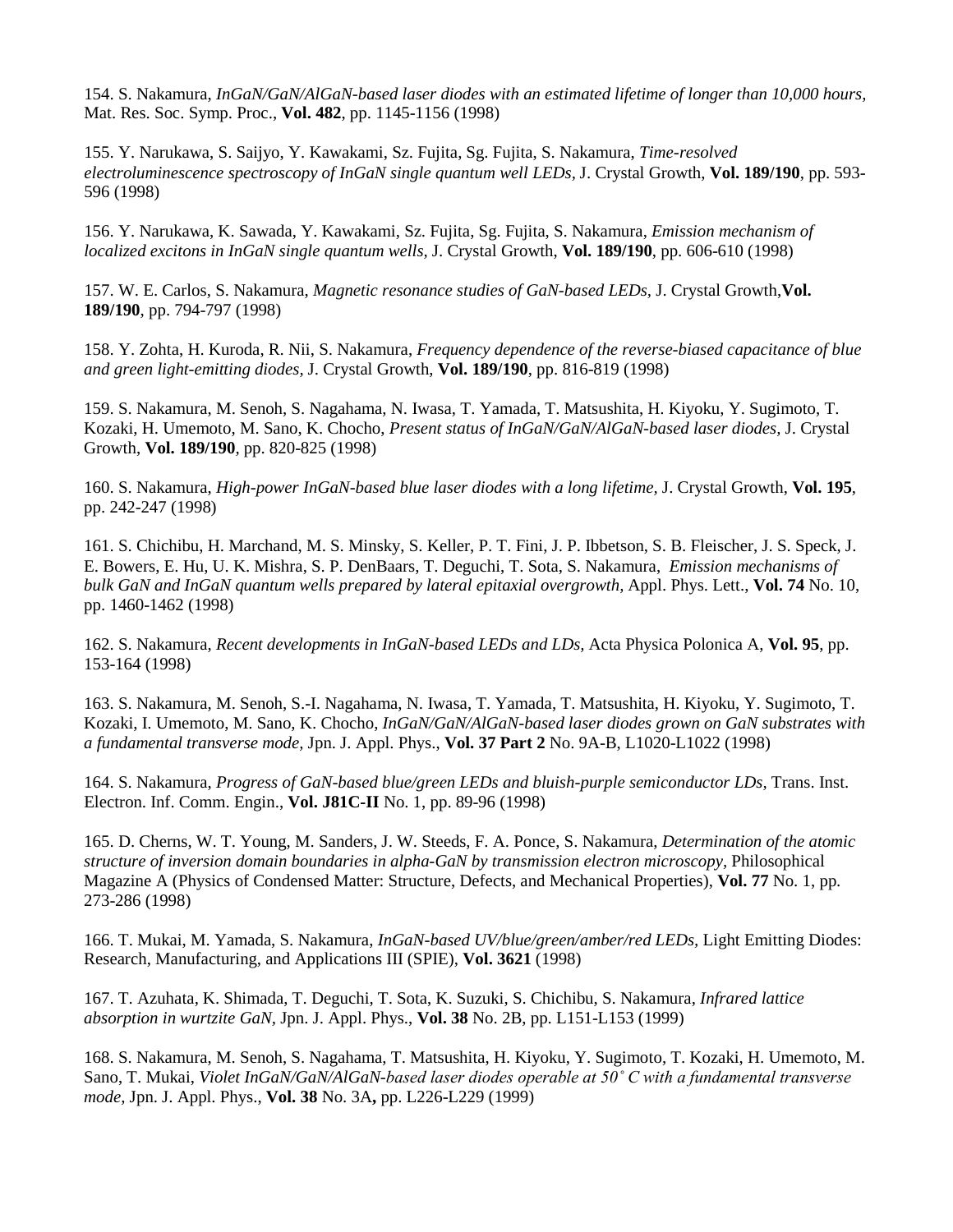154. S. Nakamura, *InGaN/GaN/AlGaN-based laser diodes with an estimated lifetime of longer than 10,000 hours,* Mat. Res. Soc. Symp. Proc., **Vol. 482**, pp. 1145-1156 (1998)

155. Y. Narukawa, S. Saijyo, Y. Kawakami, Sz. Fujita, Sg. Fujita, S. Nakamura, *Time-resolved electroluminescence spectroscopy of InGaN single quantum well LEDs,* J. Crystal Growth, **Vol. 189/190**, pp. 593- 596 (1998)

156. Y. Narukawa, K. Sawada, Y. Kawakami, Sz. Fujita, Sg. Fujita, S. Nakamura, *Emission mechanism of localized excitons in InGaN single quantum wells,* J. Crystal Growth, **Vol. 189/190**, pp. 606-610 (1998)

157. W. E. Carlos, S. Nakamura, *Magnetic resonance studies of GaN-based LEDs,* J. Crystal Growth,**Vol. 189/190**, pp. 794-797 (1998)

158. Y. Zohta, H. Kuroda, R. Nii, S. Nakamura, *Frequency dependence of the reverse-biased capacitance of blue and green light-emitting diodes,* J. Crystal Growth, **Vol. 189/190**, pp. 816-819 (1998)

159. S. Nakamura, M. Senoh, S. Nagahama, N. Iwasa, T. Yamada, T. Matsushita, H. Kiyoku, Y. Sugimoto, T. Kozaki, H. Umemoto, M. Sano, K. Chocho, *Present status of InGaN/GaN/AlGaN-based laser diodes,* J. Crystal Growth, **Vol. 189/190**, pp. 820-825 (1998)

160. S. Nakamura, *High-power InGaN-based blue laser diodes with a long lifetime,* J. Crystal Growth, **Vol. 195**, pp. 242-247 (1998)

161. S. Chichibu, H. Marchand, M. S. Minsky, S. Keller, P. T. Fini, J. P. Ibbetson, S. B. Fleischer, J. S. Speck, J. E. Bowers, E. Hu, U. K. Mishra, S. P. DenBaars, T. Deguchi, T. Sota, S. Nakamura, *Emission mechanisms of bulk GaN and InGaN quantum wells prepared by lateral epitaxial overgrowth,* Appl. Phys. Lett., **Vol. 74** No. 10, pp. 1460-1462 (1998)

162. S. Nakamura, *Recent developments in InGaN-based LEDs and LDs,* Acta Physica Polonica A, **Vol. 95**, pp. 153-164 (1998)

163. S. Nakamura, M. Senoh, S.-I. Nagahama, N. Iwasa, T. Yamada, T. Matsushita, H. Kiyoku, Y. Sugimoto, T. Kozaki, I. Umemoto, M. Sano, K. Chocho, *InGaN/GaN/AlGaN-based laser diodes grown on GaN substrates with a fundamental transverse mode,* Jpn. J. Appl. Phys., **Vol. 37 Part 2** No. 9A-B, L1020-L1022 (1998)

164. S. Nakamura, *Progress of GaN-based blue/green LEDs and bluish-purple semiconductor LDs,* Trans. Inst. Electron. Inf. Comm. Engin., **Vol. J81C-II** No. 1, pp. 89-96 (1998)

165. D. Cherns, W. T. Young, M. Sanders, J. W. Steeds, F. A. Ponce, S. Nakamura, *Determination of the atomic structure of inversion domain boundaries in alpha-GaN by transmission electron microscopy,* Philosophical Magazine A (Physics of Condensed Matter: Structure, Defects, and Mechanical Properties), **Vol. 77** No. 1, pp. 273-286 (1998)

166. T. Mukai, M. Yamada, S. Nakamura, *InGaN-based UV/blue/green/amber/red LEDs,* Light Emitting Diodes: Research, Manufacturing, and Applications III (SPIE), **Vol. 3621** (1998)

167. T. Azuhata, K. Shimada, T. Deguchi, T. Sota, K. Suzuki, S. Chichibu, S. Nakamura, *Infrared lattice absorption in wurtzite GaN,* Jpn. J. Appl. Phys., **Vol. 38** No. 2B, pp. L151-L153 (1999)

168. S. Nakamura, M. Senoh, S. Nagahama, T. Matsushita, H. Kiyoku, Y. Sugimoto, T. Kozaki, H. Umemoto, M. Sano, T. Mukai, *Violet InGaN/GaN/AlGaN-based laser diodes operable at 50˚ C with a fundamental transverse mode,* Jpn. J. Appl. Phys., **Vol. 38** No. 3A**,** pp. L226-L229 (1999)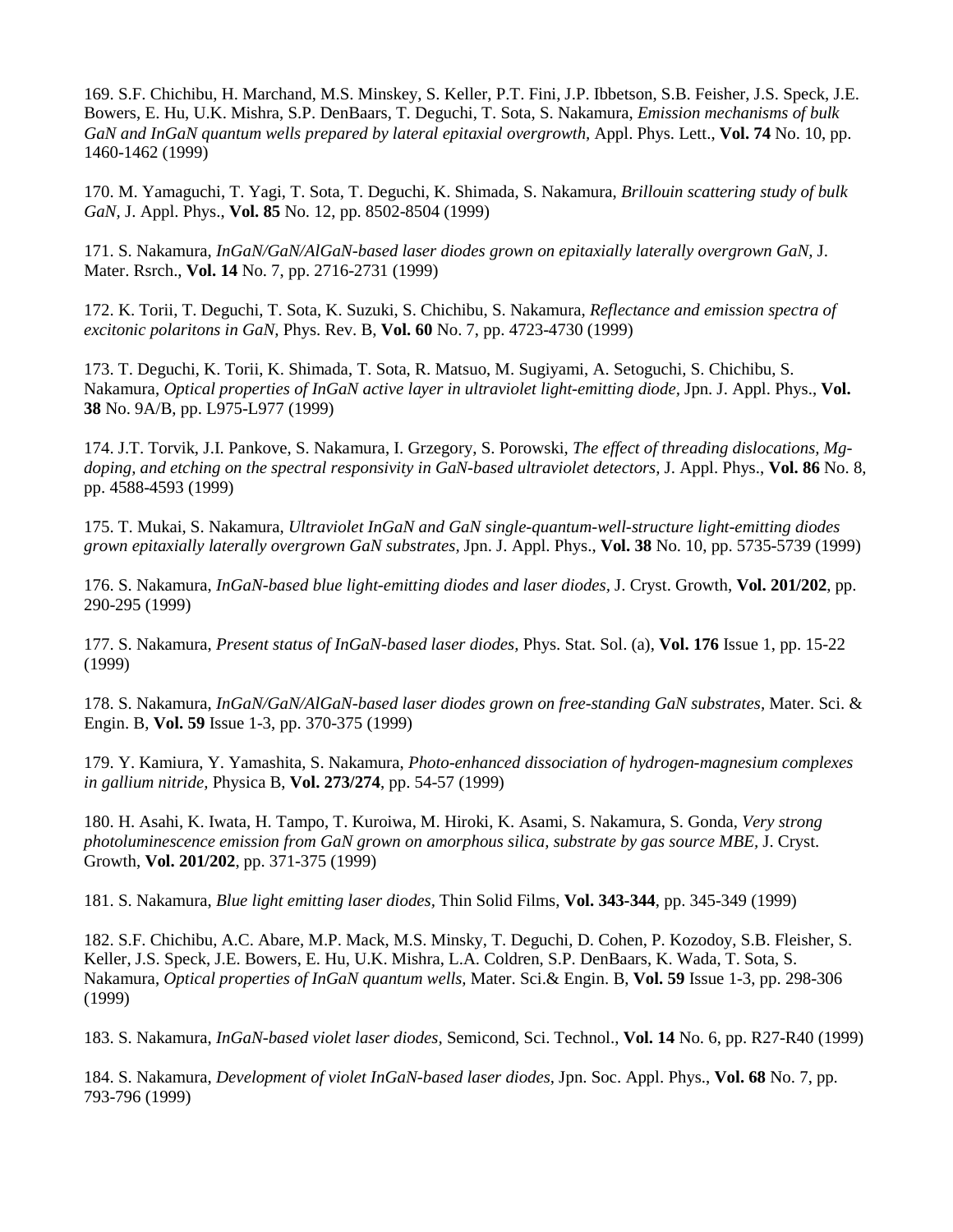169. S.F. Chichibu, H. Marchand, M.S. Minskey, S. Keller, P.T. Fini, J.P. Ibbetson, S.B. Feisher, J.S. Speck, J.E. Bowers, E. Hu, U.K. Mishra, S.P. DenBaars, T. Deguchi, T. Sota, S. Nakamura, *Emission mechanisms of bulk GaN and InGaN quantum wells prepared by lateral epitaxial overgrowth,* Appl. Phys. Lett., **Vol. 74** No. 10, pp. 1460-1462 (1999)

170. M. Yamaguchi, T. Yagi, T. Sota, T. Deguchi, K. Shimada, S. Nakamura, *Brillouin scattering study of bulk GaN,* J. Appl. Phys., **Vol. 85** No. 12, pp. 8502-8504 (1999)

171. S. Nakamura, *InGaN/GaN/AlGaN-based laser diodes grown on epitaxially laterally overgrown GaN,* J. Mater. Rsrch., **Vol. 14** No. 7, pp. 2716-2731 (1999)

172. K. Torii, T. Deguchi, T. Sota, K. Suzuki, S. Chichibu, S. Nakamura, *Reflectance and emission spectra of excitonic polaritons in GaN,* Phys. Rev. B, **Vol. 60** No. 7, pp. 4723-4730 (1999)

173. T. Deguchi, K. Torii, K. Shimada, T. Sota, R. Matsuo, M. Sugiyami, A. Setoguchi, S. Chichibu, S. Nakamura, *Optical properties of InGaN active layer in ultraviolet light-emitting diode,* Jpn. J. Appl. Phys., **Vol. 38** No. 9A/B, pp. L975-L977 (1999)

174. J.T. Torvik, J.I. Pankove, S. Nakamura, I. Grzegory, S. Porowski, *The effect of threading dislocations, Mgdoping, and etching on the spectral responsivity in GaN-based ultraviolet detectors,* J. Appl. Phys., **Vol. 86** No. 8, pp. 4588-4593 (1999)

175. T. Mukai, S. Nakamura, *Ultraviolet InGaN and GaN single-quantum-well-structure light-emitting diodes grown epitaxially laterally overgrown GaN substrates,* Jpn. J. Appl. Phys., **Vol. 38** No. 10, pp. 5735-5739 (1999)

176. S. Nakamura, *InGaN-based blue light-emitting diodes and laser diodes,* J. Cryst. Growth, **Vol. 201/202**, pp. 290-295 (1999)

177. S. Nakamura, *Present status of InGaN-based laser diodes,* Phys. Stat. Sol. (a), **Vol. 176** Issue 1, pp. 15-22 (1999)

178. S. Nakamura, *InGaN/GaN/AlGaN-based laser diodes grown on free-standing GaN substrates,* Mater. Sci. & Engin. B, **Vol. 59** Issue 1-3, pp. 370-375 (1999)

179. Y. Kamiura, Y. Yamashita, S. Nakamura, *Photo-enhanced dissociation of hydrogen-magnesium complexes in gallium nitride,* Physica B, **Vol. 273/274**, pp. 54-57 (1999)

180. H. Asahi, K. Iwata, H. Tampo, T. Kuroiwa, M. Hiroki, K. Asami, S. Nakamura, S. Gonda, *Very strong photoluminescence emission from GaN grown on amorphous silica, substrate by gas source MBE,* J. Cryst. Growth, **Vol. 201/202**, pp. 371-375 (1999)

181. S. Nakamura, *Blue light emitting laser diodes,* Thin Solid Films, **Vol. 343-344**, pp. 345-349 (1999)

182. S.F. Chichibu, A.C. Abare, M.P. Mack, M.S. Minsky, T. Deguchi, D. Cohen, P. Kozodoy, S.B. Fleisher, S. Keller, J.S. Speck, J.E. Bowers, E. Hu, U.K. Mishra, L.A. Coldren, S.P. DenBaars, K. Wada, T. Sota, S. Nakamura, *Optical properties of InGaN quantum wells,* Mater. Sci.& Engin. B, **Vol. 59** Issue 1-3, pp. 298-306 (1999)

183. S. Nakamura, *InGaN-based violet laser diodes,* Semicond, Sci. Technol., **Vol. 14** No. 6, pp. R27-R40 (1999)

184. S. Nakamura, *Development of violet InGaN-based laser diodes,* Jpn. Soc. Appl. Phys., **Vol. 68** No. 7, pp. 793-796 (1999)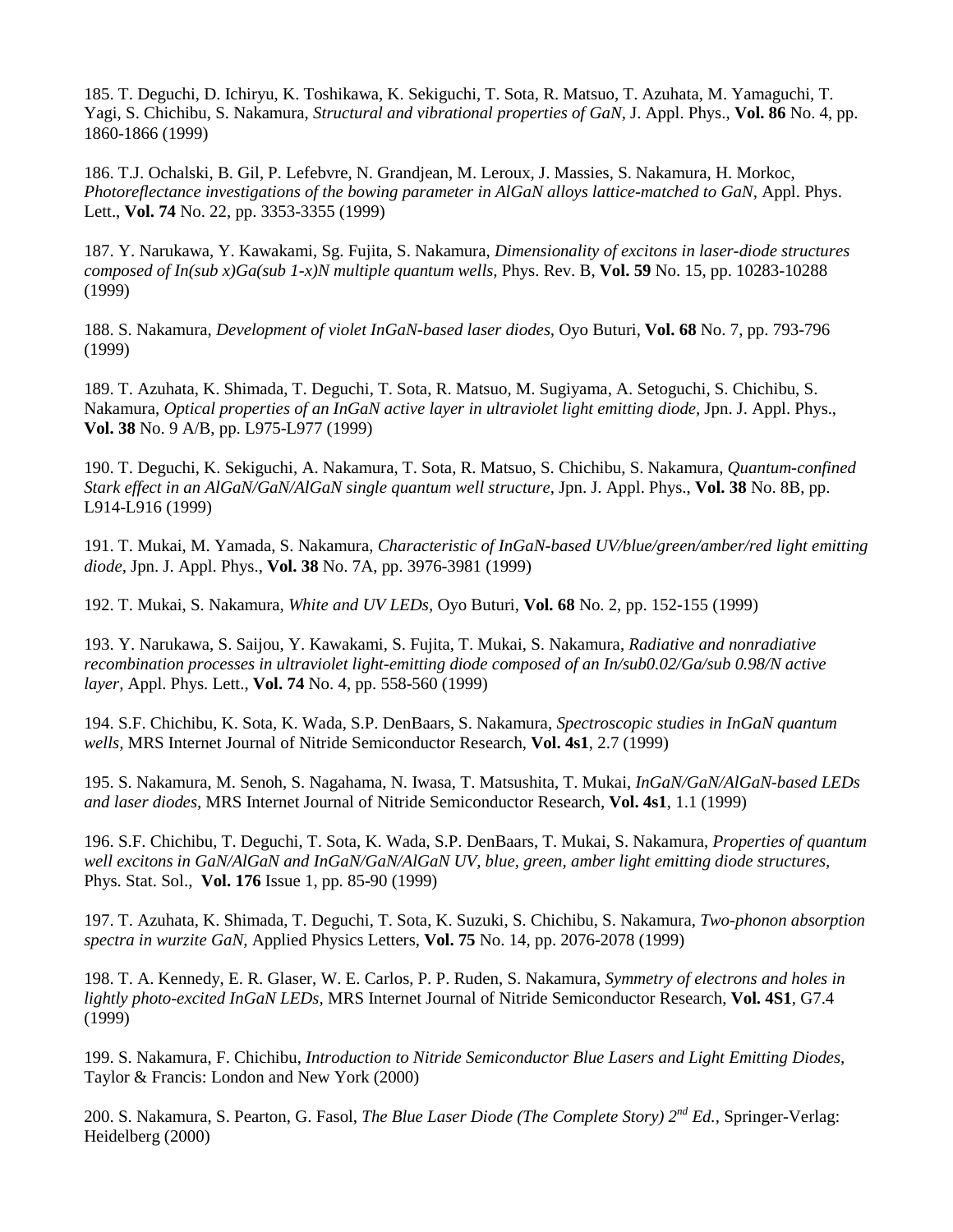185. T. Deguchi, D. Ichiryu, K. Toshikawa, K. Sekiguchi, T. Sota, R. Matsuo, T. Azuhata, M. Yamaguchi, T. Yagi, S. Chichibu, S. Nakamura, *Structural and vibrational properties of GaN,* J. Appl. Phys., **Vol. 86** No. 4, pp. 1860-1866 (1999)

186. T.J. Ochalski, B. Gil, P. Lefebvre, N. Grandjean, M. Leroux, J. Massies, S. Nakamura, H. Morkoc, *Photoreflectance investigations of the bowing parameter in AlGaN alloys lattice-matched to GaN,* Appl. Phys. Lett., **Vol. 74** No. 22, pp. 3353-3355 (1999)

187. Y. Narukawa, Y. Kawakami, Sg. Fujita, S. Nakamura, *Dimensionality of excitons in laser-diode structures composed of In(sub x)Ga(sub 1-x)N multiple quantum wells,* Phys. Rev. B, **Vol. 59** No. 15, pp. 10283-10288 (1999)

188. S. Nakamura, *Development of violet InGaN-based laser diodes,* Oyo Buturi, **Vol. 68** No. 7, pp. 793-796 (1999)

189. T. Azuhata, K. Shimada, T. Deguchi, T. Sota, R. Matsuo, M. Sugiyama, A. Setoguchi, S. Chichibu, S. Nakamura, *Optical properties of an InGaN active layer in ultraviolet light emitting diode,* Jpn. J. Appl. Phys., **Vol. 38** No. 9 A/B, pp. L975-L977 (1999)

190. T. Deguchi, K. Sekiguchi, A. Nakamura, T. Sota, R. Matsuo, S. Chichibu, S. Nakamura, *Quantum-confined Stark effect in an AlGaN/GaN/AlGaN single quantum well structure,* Jpn. J. Appl. Phys., **Vol. 38** No. 8B, pp. L914-L916 (1999)

191. T. Mukai, M. Yamada, S. Nakamura, *Characteristic of InGaN-based UV/blue/green/amber/red light emitting diode,* Jpn. J. Appl. Phys., **Vol. 38** No. 7A, pp. 3976-3981 (1999)

192. T. Mukai, S. Nakamura, *White and UV LEDs,* Oyo Buturi, **Vol. 68** No. 2, pp. 152-155 (1999)

193. Y. Narukawa, S. Saijou, Y. Kawakami, S. Fujita, T. Mukai, S. Nakamura, *Radiative and nonradiative recombination processes in ultraviolet light-emitting diode composed of an In/sub0.02/Ga/sub 0.98/N active layer,* Appl. Phys. Lett., **Vol. 74** No. 4, pp. 558-560 (1999)

194. S.F. Chichibu, K. Sota, K. Wada, S.P. DenBaars, S. Nakamura, *Spectroscopic studies in InGaN quantum wells,* MRS Internet Journal of Nitride Semiconductor Research, **Vol. 4s1**, 2.7 (1999)

195. S. Nakamura, M. Senoh, S. Nagahama, N. Iwasa, T. Matsushita, T. Mukai, *InGaN/GaN/AlGaN-based LEDs and laser diodes,* MRS Internet Journal of Nitride Semiconductor Research, **Vol. 4s1**, 1.1 (1999)

196. S.F. Chichibu, T. Deguchi, T. Sota, K. Wada, S.P. DenBaars, T. Mukai, S. Nakamura, *Properties of quantum well excitons in GaN/AlGaN and InGaN/GaN/AlGaN UV, blue, green, amber light emitting diode structures,* Phys. Stat. Sol., **Vol. 176** Issue 1, pp. 85-90 (1999)

197. T. Azuhata, K. Shimada, T. Deguchi, T. Sota, K. Suzuki, S. Chichibu, S. Nakamura, *Two-phonon absorption spectra in wurzite GaN,* Applied Physics Letters, **Vol. 75** No. 14, pp. 2076-2078 (1999)

198. T. A. Kennedy, E. R. Glaser, W. E. Carlos, P. P. Ruden, S. Nakamura, *Symmetry of electrons and holes in lightly photo-excited InGaN LEDs,* MRS Internet Journal of Nitride Semiconductor Research, **Vol. 4S1**, G7.4 (1999)

199. S. Nakamura, F. Chichibu, *Introduction to Nitride Semiconductor Blue Lasers and Light Emitting Diodes,* Taylor & Francis: London and New York (2000)

200. S. Nakamura, S. Pearton, G. Fasol, *The Blue Laser Diode (The Complete Story) 2nd Ed.,* Springer-Verlag: Heidelberg (2000)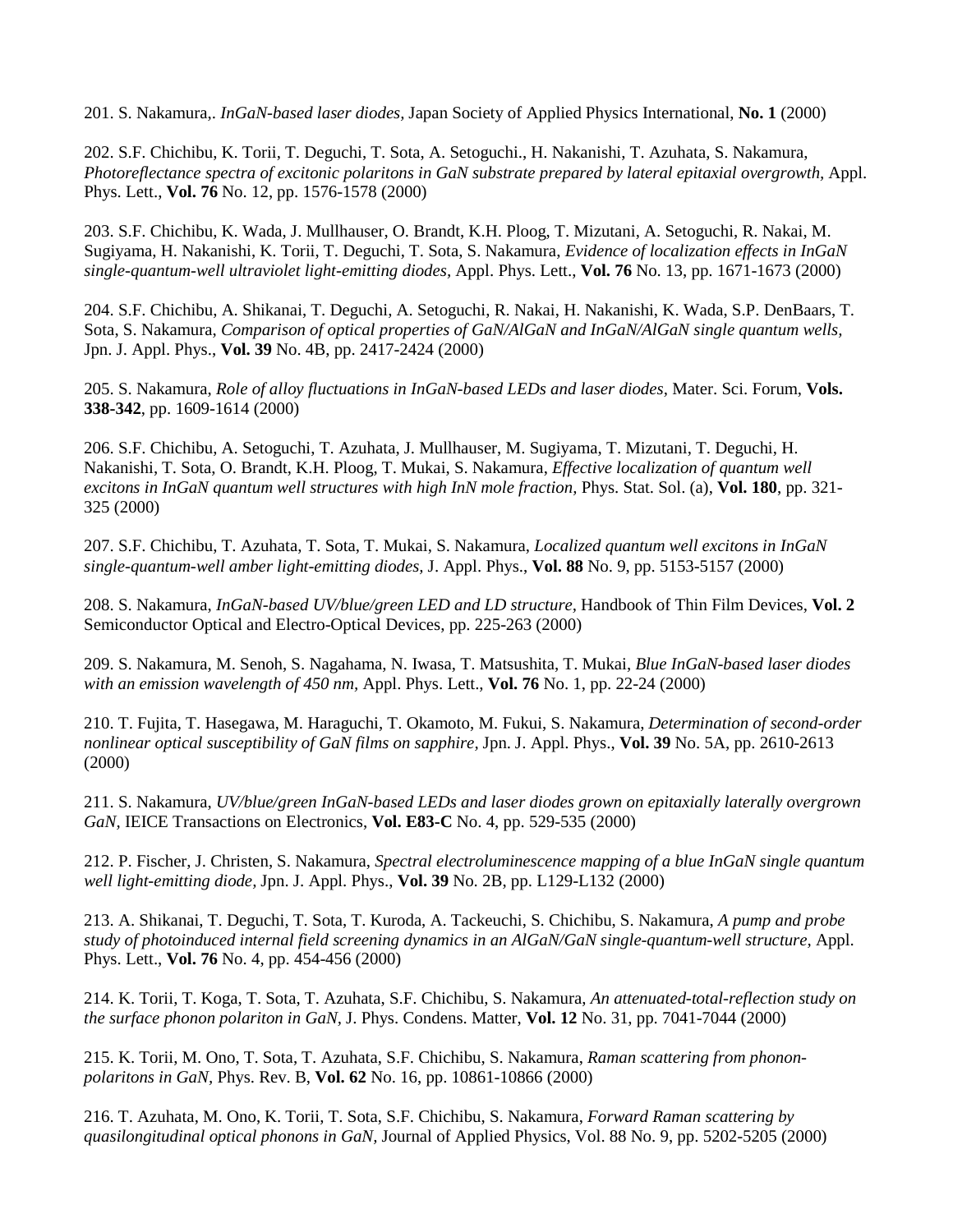201. S. Nakamura,. *InGaN-based laser diodes,* Japan Society of Applied Physics International, **No. 1** (2000)

202. S.F. Chichibu, K. Torii, T. Deguchi, T. Sota, A. Setoguchi., H. Nakanishi, T. Azuhata, S. Nakamura, *Photoreflectance spectra of excitonic polaritons in GaN substrate prepared by lateral epitaxial overgrowth,* Appl. Phys. Lett., **Vol. 76** No. 12, pp. 1576-1578 (2000)

203. S.F. Chichibu, K. Wada, J. Mullhauser, O. Brandt, K.H. Ploog, T. Mizutani, A. Setoguchi, R. Nakai, M. Sugiyama, H. Nakanishi, K. Torii, T. Deguchi, T. Sota, S. Nakamura, *Evidence of localization effects in InGaN single-quantum-well ultraviolet light-emitting diodes,* Appl. Phys. Lett., **Vol. 76** No. 13, pp. 1671-1673 (2000)

204. S.F. Chichibu, A. Shikanai, T. Deguchi, A. Setoguchi, R. Nakai, H. Nakanishi, K. Wada, S.P. DenBaars, T. Sota, S. Nakamura, *Comparison of optical properties of GaN/AlGaN and InGaN/AlGaN single quantum wells,* Jpn. J. Appl. Phys., **Vol. 39** No. 4B, pp. 2417-2424 (2000)

205. S. Nakamura, *Role of alloy fluctuations in InGaN-based LEDs and laser diodes,* Mater. Sci. Forum, **Vols. 338-342**, pp. 1609-1614 (2000)

206. S.F. Chichibu, A. Setoguchi, T. Azuhata, J. Mullhauser, M. Sugiyama, T. Mizutani, T. Deguchi, H. Nakanishi, T. Sota, O. Brandt, K.H. Ploog, T. Mukai, S. Nakamura, *Effective localization of quantum well excitons in InGaN quantum well structures with high InN mole fraction,* Phys. Stat. Sol. (a), **Vol. 180**, pp. 321- 325 (2000)

207. S.F. Chichibu, T. Azuhata, T. Sota, T. Mukai, S. Nakamura, *Localized quantum well excitons in InGaN single-quantum-well amber light-emitting diodes,* J. Appl. Phys., **Vol. 88** No. 9, pp. 5153-5157 (2000)

208. S. Nakamura, *InGaN-based UV/blue/green LED and LD structure,* Handbook of Thin Film Devices, **Vol. 2**  Semiconductor Optical and Electro-Optical Devices, pp. 225-263 (2000)

209. S. Nakamura, M. Senoh, S. Nagahama, N. Iwasa, T. Matsushita, T. Mukai, *Blue InGaN-based laser diodes with an emission wavelength of 450 nm,* Appl. Phys. Lett., **Vol. 76** No. 1, pp. 22-24 (2000)

210. T. Fujita, T. Hasegawa, M. Haraguchi, T. Okamoto, M. Fukui, S. Nakamura, *Determination of second-order nonlinear optical susceptibility of GaN films on sapphire,* Jpn. J. Appl. Phys., **Vol. 39** No. 5A, pp. 2610-2613 (2000)

211. S. Nakamura, *UV/blue/green InGaN-based LEDs and laser diodes grown on epitaxially laterally overgrown GaN,* IEICE Transactions on Electronics, **Vol. E83-C** No. 4, pp. 529-535 (2000)

212. P. Fischer, J. Christen, S. Nakamura, *Spectral electroluminescence mapping of a blue InGaN single quantum well light-emitting diode,* Jpn. J. Appl. Phys., **Vol. 39** No. 2B, pp. L129-L132 (2000)

213. A. Shikanai, T. Deguchi, T. Sota, T. Kuroda, A. Tackeuchi, S. Chichibu, S. Nakamura, *A pump and probe study of photoinduced internal field screening dynamics in an AlGaN/GaN single-quantum-well structure,* Appl. Phys. Lett., **Vol. 76** No. 4, pp. 454-456 (2000)

214. K. Torii, T. Koga, T. Sota, T. Azuhata, S.F. Chichibu, S. Nakamura, *An attenuated-total-reflection study on the surface phonon polariton in GaN,* J. Phys. Condens. Matter, **Vol. 12** No. 31, pp. 7041-7044 (2000)

215. K. Torii, M. Ono, T. Sota, T. Azuhata, S.F. Chichibu, S. Nakamura, *Raman scattering from phononpolaritons in GaN,* Phys. Rev. B, **Vol. 62** No. 16, pp. 10861-10866 (2000)

216. T. Azuhata, M. Ono, K. Torii, T. Sota, S.F. Chichibu, S. Nakamura, *Forward Raman scattering by quasilongitudinal optical phonons in GaN,* Journal of Applied Physics, Vol. 88 No. 9, pp. 5202-5205 (2000)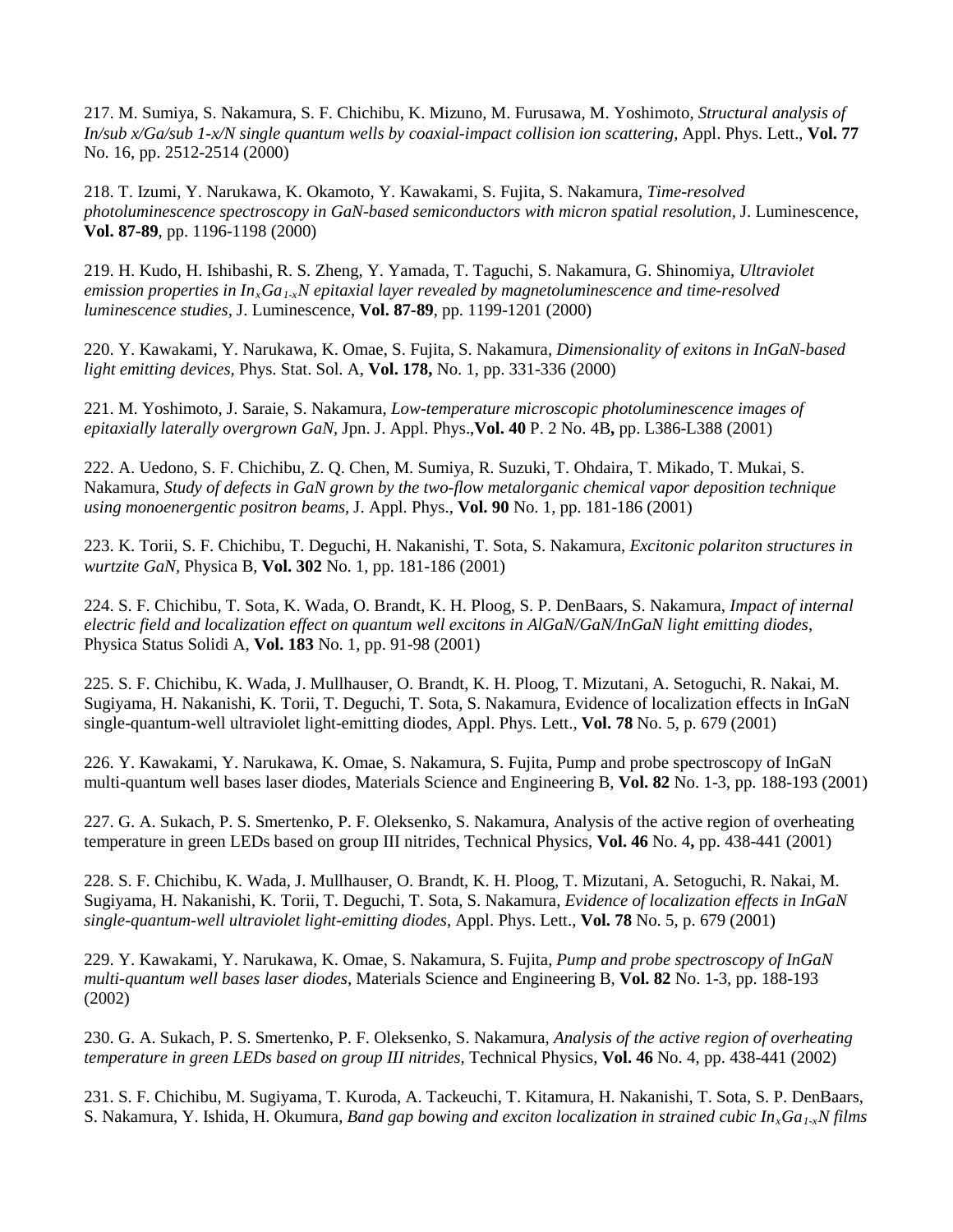217. M. Sumiya, S. Nakamura, S. F. Chichibu, K. Mizuno, M. Furusawa, M. Yoshimoto, *Structural analysis of In/sub x/Ga/sub 1-x/N single quantum wells by coaxial-impact collision ion scattering,* Appl. Phys. Lett., **Vol. 77**  No. 16, pp. 2512-2514 (2000)

218. T. Izumi, Y. Narukawa, K. Okamoto, Y. Kawakami, S. Fujita, S. Nakamura, *Time-resolved photoluminescence spectroscopy in GaN-based semiconductors with micron spatial resolution,* J. Luminescence, **Vol. 87-89**, pp. 1196-1198 (2000)

219. H. Kudo, H. Ishibashi, R. S. Zheng, Y. Yamada, T. Taguchi, S. Nakamura, G. Shinomiya, *Ultraviolet emission properties in*  $In_xGa_{1x}N$  *epitaxial layer revealed by magnetoluminescence and time-resolved luminescence studies,* J. Luminescence, **Vol. 87-89**, pp. 1199-1201 (2000)

220. Y. Kawakami, Y. Narukawa, K. Omae, S. Fujita, S. Nakamura, *Dimensionality of exitons in InGaN-based light emitting devices,* Phys. Stat. Sol. A, **Vol. 178,** No. 1, pp. 331-336 (2000)

221. M. Yoshimoto, J. Saraie, S. Nakamura, *Low-temperature microscopic photoluminescence images of epitaxially laterally overgrown GaN,* Jpn. J. Appl. Phys.,**Vol. 40** P. 2 No. 4B**,** pp. L386-L388 (2001)

222. A. Uedono, S. F. Chichibu, Z. Q. Chen, M. Sumiya, R. Suzuki, T. Ohdaira, T. Mikado, T. Mukai, S. Nakamura, *Study of defects in GaN grown by the two-flow metalorganic chemical vapor deposition technique using monoenergentic positron beams,* J. Appl. Phys., **Vol. 90** No. 1, pp. 181-186 (2001)

223. K. Torii, S. F. Chichibu, T. Deguchi, H. Nakanishi, T. Sota, S. Nakamura, *Excitonic polariton structures in wurtzite GaN,* Physica B, **Vol. 302** No. 1, pp. 181-186 (2001)

224. S. F. Chichibu, T. Sota, K. Wada, O. Brandt, K. H. Ploog, S. P. DenBaars, S. Nakamura, *Impact of internal electric field and localization effect on quantum well excitons in AlGaN/GaN/InGaN light emitting diodes,* Physica Status Solidi A, **Vol. 183** No. 1, pp. 91-98 (2001)

225. S. F. Chichibu, K. Wada, J. Mullhauser, O. Brandt, K. H. Ploog, T. Mizutani, A. Setoguchi, R. Nakai, M. Sugiyama, H. Nakanishi, K. Torii, T. Deguchi, T. Sota, S. Nakamura, Evidence of localization effects in InGaN single-quantum-well ultraviolet light-emitting diodes, Appl. Phys. Lett., **Vol. 78** No. 5, p. 679 (2001)

226. Y. Kawakami, Y. Narukawa, K. Omae, S. Nakamura, S. Fujita, Pump and probe spectroscopy of InGaN multi-quantum well bases laser diodes, Materials Science and Engineering B, **Vol. 82** No. 1-3, pp. 188-193 (2001)

227. G. A. Sukach, P. S. Smertenko, P. F. Oleksenko, S. Nakamura, Analysis of the active region of overheating temperature in green LEDs based on group III nitrides, Technical Physics, **Vol. 46** No. 4**,** pp. 438-441 (2001)

228. S. F. Chichibu, K. Wada, J. Mullhauser, O. Brandt, K. H. Ploog, T. Mizutani, A. Setoguchi, R. Nakai, M. Sugiyama, H. Nakanishi, K. Torii, T. Deguchi, T. Sota, S. Nakamura, *Evidence of localization effects in InGaN single-quantum-well ultraviolet light-emitting diodes,* Appl. Phys. Lett., **Vol. 78** No. 5, p. 679 (2001)

229. Y. Kawakami, Y. Narukawa, K. Omae, S. Nakamura, S. Fujita, *Pump and probe spectroscopy of InGaN multi-quantum well bases laser diodes,* Materials Science and Engineering B, **Vol. 82** No. 1-3, pp. 188-193 (2002)

230. G. A. Sukach, P. S. Smertenko, P. F. Oleksenko, S. Nakamura, *Analysis of the active region of overheating temperature in green LEDs based on group III nitrides,* Technical Physics, **Vol. 46** No. 4, pp. 438-441 (2002)

231. S. F. Chichibu, M. Sugiyama, T. Kuroda, A. Tackeuchi, T. Kitamura, H. Nakanishi, T. Sota, S. P. DenBaars, S. Nakamura, Y. Ishida, H. Okumura, *Band gap bowing and exciton localization in strained cubic In<sub>x</sub>Ga<sub>1-x</sub>N films*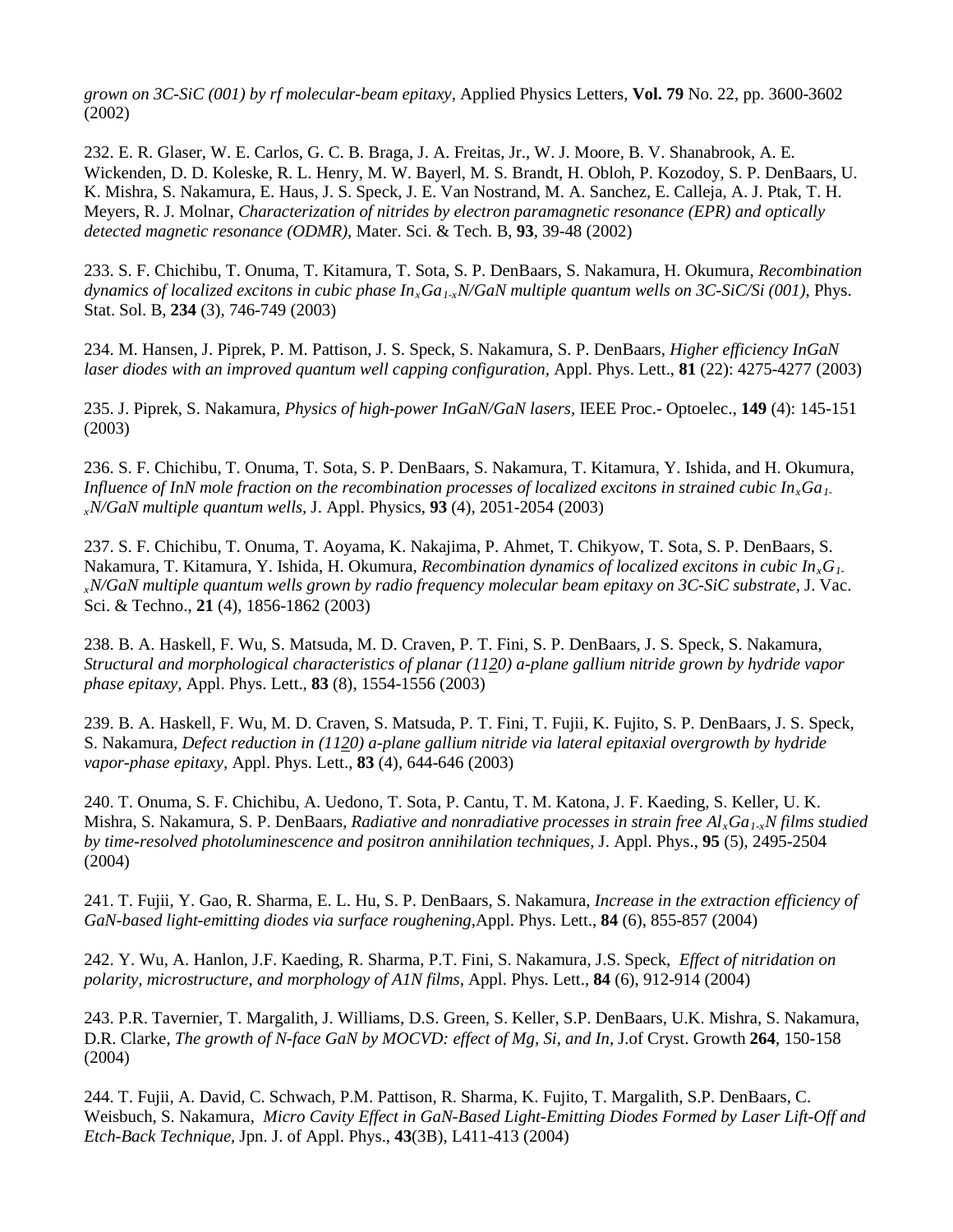*grown on 3C-SiC (001) by rf molecular-beam epitaxy,* Applied Physics Letters, **Vol. 79** No. 22, pp. 3600-3602 (2002)

232. E. R. Glaser, W. E. Carlos, G. C. B. Braga, J. A. Freitas, Jr., W. J. Moore, B. V. Shanabrook, A. E. Wickenden, D. D. Koleske, R. L. Henry, M. W. Bayerl, M. S. Brandt, H. Obloh, P. Kozodoy, S. P. DenBaars, U. K. Mishra, S. Nakamura, E. Haus, J. S. Speck, J. E. Van Nostrand, M. A. Sanchez, E. Calleja, A. J. Ptak, T. H. Meyers, R. J. Molnar, *Characterization of nitrides by electron paramagnetic resonance (EPR) and optically detected magnetic resonance (ODMR),* Mater. Sci. & Tech. B, **93**, 39-48 (2002)

233. S. F. Chichibu, T. Onuma, T. Kitamura, T. Sota, S. P. DenBaars, S. Nakamura, H. Okumura, *Recombination dynamics of localized excitons in cubic phase InxGa1-xN/GaN multiple quantum wells on 3C-SiC/Si (001),* Phys. Stat. Sol. B, **234** (3), 746-749 (2003)

234. M. Hansen, J. Piprek, P. M. Pattison, J. S. Speck, S. Nakamura, S. P. DenBaars, *Higher efficiency InGaN laser diodes with an improved quantum well capping configuration,* Appl. Phys. Lett., **81** (22): 4275-4277 (2003)

235. J. Piprek, S. Nakamura, *Physics of high-power InGaN/GaN lasers,* IEEE Proc.- Optoelec., **149** (4): 145-151 (2003)

236. S. F. Chichibu, T. Onuma, T. Sota, S. P. DenBaars, S. Nakamura, T. Kitamura, Y. Ishida, and H. Okumura, *Influence of InN mole fraction on the recombination processes of localized excitons in strained cubic In<sub>x</sub>Ga<sub>1</sub>. xN/GaN multiple quantum wells,* J. Appl. Physics, **93** (4), 2051-2054 (2003)

237. S. F. Chichibu, T. Onuma, T. Aoyama, K. Nakajima, P. Ahmet, T. Chikyow, T. Sota, S. P. DenBaars, S. Nakamura, T. Kitamura, Y. Ishida, H. Okumura, *Recombination dynamics of localized excitons in cubic InxG1 xN/GaN multiple quantum wells grown by radio frequency molecular beam epitaxy on 3C-SiC substrate,* J. Vac. Sci. & Techno., **21** (4), 1856-1862 (2003)

238. B. A. Haskell, F. Wu, S. Matsuda, M. D. Craven, P. T. Fini, S. P. DenBaars, J. S. Speck, S. Nakamura, *Structural and morphological characteristics of planar (1120) a-plane gallium nitride grown by hydride vapor phase epitaxy,* Appl. Phys. Lett., **83** (8), 1554-1556 (2003)

239. B. A. Haskell, F. Wu, M. D. Craven, S. Matsuda, P. T. Fini, T. Fujii, K. Fujito, S. P. DenBaars, J. S. Speck, S. Nakamura, *Defect reduction in (1120) a-plane gallium nitride via lateral epitaxial overgrowth by hydride vapor-phase epitaxy,* Appl. Phys. Lett., **83** (4), 644-646 (2003)

240. T. Onuma, S. F. Chichibu, A. Uedono, T. Sota, P. Cantu, T. M. Katona, J. F. Kaeding, S. Keller, U. K. Mishra, S. Nakamura, S. P. DenBaars, *Radiative and nonradiative processes in strain free AlxGa1-xN films studied by time-resolved photoluminescence and positron annihilation techniques,* J. Appl. Phys., **95** (5), 2495-2504 (2004)

241. T. Fujii, Y. Gao, R. Sharma, E. L. Hu, S. P. DenBaars, S. Nakamura, *Increase in the extraction efficiency of GaN-based light-emitting diodes via surface roughening,*Appl. Phys. Lett., **84** (6), 855-857 (2004)

242. Y. Wu, A. Hanlon, J.F. Kaeding, R. Sharma, P.T. Fini, S. Nakamura, J.S. Speck, *Effect of nitridation on polarity, microstructure, and morphology of A1N films,* Appl. Phys. Lett., **84** (6), 912-914 (2004)

243. P.R. Tavernier, T. Margalith, J. Williams, D.S. Green, S. Keller, S.P. DenBaars, U.K. Mishra, S. Nakamura, D.R. Clarke, *The growth of N-face GaN by MOCVD: effect of Mg, Si, and In,* J.of Cryst. Growth **264**, 150-158 (2004)

244. T. Fujii, A. David, C. Schwach, P.M. Pattison, R. Sharma, K. Fujito, T. Margalith, S.P. DenBaars, C. Weisbuch, S. Nakamura, *Micro Cavity Effect in GaN-Based Light-Emitting Diodes Formed by Laser Lift-Off and Etch-Back Technique,* Jpn. J. of Appl. Phys., **43**(3B), L411-413 (2004)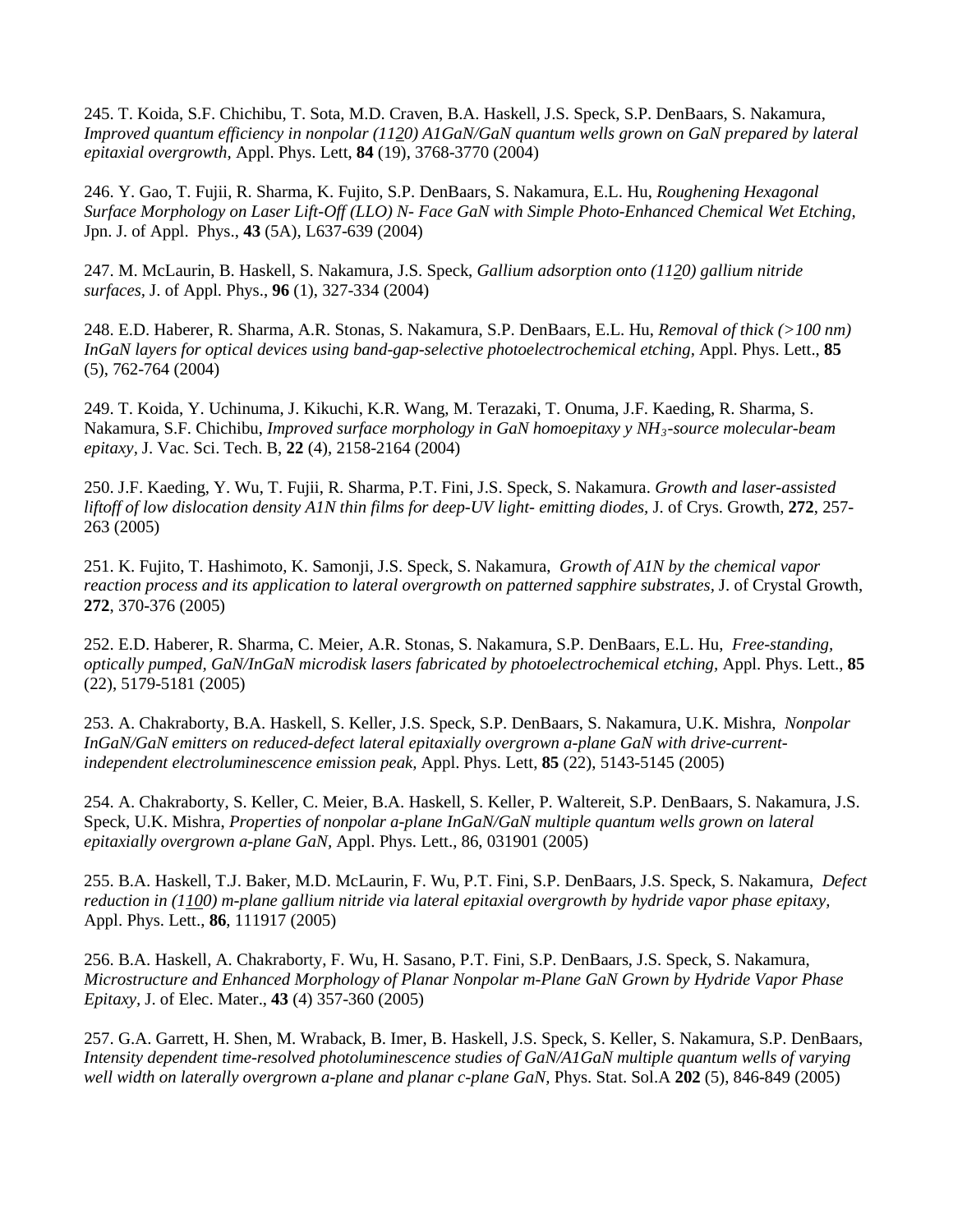245. T. Koida, S.F. Chichibu, T. Sota, M.D. Craven, B.A. Haskell, J.S. Speck, S.P. DenBaars, S. Nakamura, *Improved quantum efficiency in nonpolar (1120) A1GaN/GaN quantum wells grown on GaN prepared by lateral epitaxial overgrowth,* Appl. Phys. Lett, **84** (19), 3768-3770 (2004)

246. Y. Gao, T. Fujii, R. Sharma, K. Fujito, S.P. DenBaars, S. Nakamura, E.L. Hu, *Roughening Hexagonal Surface Morphology on Laser Lift-Off (LLO) N- Face GaN with Simple Photo-Enhanced Chemical Wet Etching,* Jpn. J. of Appl. Phys., **43** (5A), L637-639 (2004)

247. M. McLaurin, B. Haskell, S. Nakamura, J.S. Speck, *Gallium adsorption onto (1120) gallium nitride surfaces,* J. of Appl. Phys., **96** (1), 327-334 (2004)

248. E.D. Haberer, R. Sharma, A.R. Stonas, S. Nakamura, S.P. DenBaars, E.L. Hu, *Removal of thick (>100 nm) InGaN layers for optical devices using band-gap-selective photoelectrochemical etching,* Appl. Phys. Lett., **85** (5), 762-764 (2004)

249. T. Koida, Y. Uchinuma, J. Kikuchi, K.R. Wang, M. Terazaki, T. Onuma, J.F. Kaeding, R. Sharma, S. Nakamura, S.F. Chichibu, *Improved surface morphology in GaN homoepitaxy y NH3-source molecular-beam epitaxy,* J. Vac. Sci. Tech. B, **22** (4), 2158-2164 (2004)

250. J.F. Kaeding, Y. Wu, T. Fujii, R. Sharma, P.T. Fini, J.S. Speck, S. Nakamura. *Growth and laser-assisted liftoff of low dislocation density A1N thin films for deep-UV light- emitting diodes,* J. of Crys. Growth, **272**, 257- 263 (2005)

251. K. Fujito, T. Hashimoto, K. Samonji, J.S. Speck, S. Nakamura, *Growth of A1N by the chemical vapor reaction process and its application to lateral overgrowth on patterned sapphire substrates,* J. of Crystal Growth, **272**, 370-376 (2005)

252. E.D. Haberer, R. Sharma, C. Meier, A.R. Stonas, S. Nakamura, S.P. DenBaars, E.L. Hu, *Free-standing, optically pumped, GaN/InGaN microdisk lasers fabricated by photoelectrochemical etching,* Appl. Phys. Lett., **85** (22), 5179-5181 (2005)

253. A. Chakraborty, B.A. Haskell, S. Keller, J.S. Speck, S.P. DenBaars, S. Nakamura, U.K. Mishra, *Nonpolar InGaN/GaN emitters on reduced-defect lateral epitaxially overgrown a-plane GaN with drive-currentindependent electroluminescence emission peak,* Appl. Phys. Lett, **85** (22), 5143-5145 (2005)

254. A. Chakraborty, S. Keller, C. Meier, B.A. Haskell, S. Keller, P. Waltereit, S.P. DenBaars, S. Nakamura, J.S. Speck, U.K. Mishra, *Properties of nonpolar a-plane InGaN/GaN multiple quantum wells grown on lateral epitaxially overgrown a-plane GaN,* Appl. Phys. Lett., 86, 031901 (2005)

255. B.A. Haskell, T.J. Baker, M.D. McLaurin, F. Wu, P.T. Fini, S.P. DenBaars, J.S. Speck, S. Nakamura, *Defect reduction in (1100) m-plane gallium nitride via lateral epitaxial overgrowth by hydride vapor phase epitaxy,* Appl. Phys. Lett., **86**, 111917 (2005)

256. B.A. Haskell, A. Chakraborty, F. Wu, H. Sasano, P.T. Fini, S.P. DenBaars, J.S. Speck, S. Nakamura, *Microstructure and Enhanced Morphology of Planar Nonpolar m-Plane GaN Grown by Hydride Vapor Phase Epitaxy,* J. of Elec. Mater., **43** (4) 357-360 (2005)

257. G.A. Garrett, H. Shen, M. Wraback, B. Imer, B. Haskell, J.S. Speck, S. Keller, S. Nakamura, S.P. DenBaars, *Intensity dependent time-resolved photoluminescence studies of GaN/A1GaN multiple quantum wells of varying well width on laterally overgrown a-plane and planar c-plane GaN,* Phys. Stat. Sol.A **202** (5), 846-849 (2005)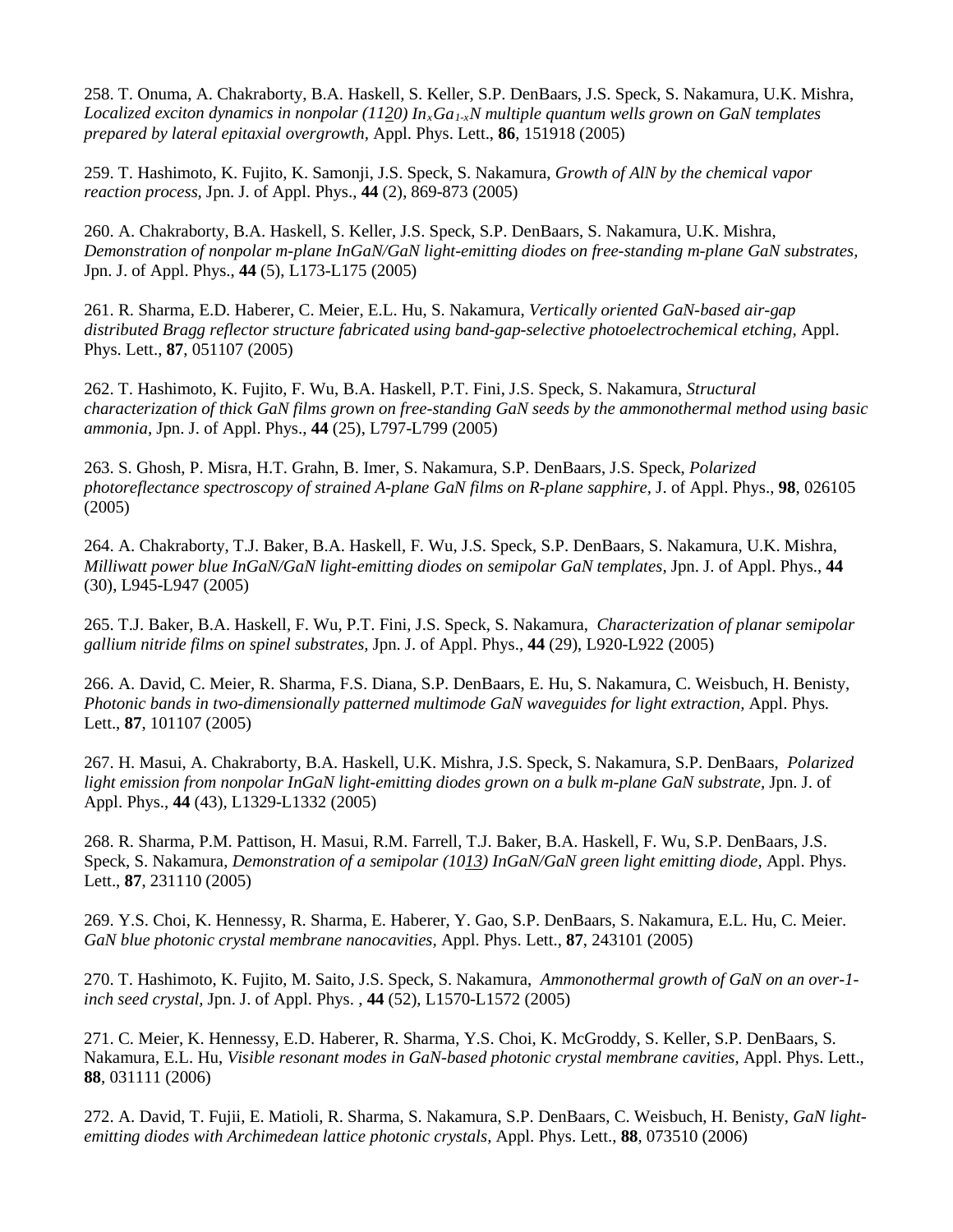258. T. Onuma, A. Chakraborty, B.A. Haskell, S. Keller, S.P. DenBaars, J.S. Speck, S. Nakamura, U.K. Mishra, *Localized exciton dynamics in nonpolar (1120) InxGa1-xN multiple quantum wells grown on GaN templates prepared by lateral epitaxial overgrowth,* Appl. Phys. Lett., **86**, 151918 (2005)

259. T. Hashimoto, K. Fujito, K. Samonji, J.S. Speck, S. Nakamura, *Growth of AlN by the chemical vapor reaction process,* Jpn. J. of Appl. Phys., **44** (2), 869-873 (2005)

260. A. Chakraborty, B.A. Haskell, S. Keller, J.S. Speck, S.P. DenBaars, S. Nakamura, U.K. Mishra, *Demonstration of nonpolar m-plane InGaN/GaN light-emitting diodes on free-standing m-plane GaN substrates,* Jpn. J. of Appl. Phys., **44** (5), L173-L175 (2005)

261. R. Sharma, E.D. Haberer, C. Meier, E.L. Hu, S. Nakamura, *Vertically oriented GaN-based air-gap distributed Bragg reflector structure fabricated using band-gap-selective photoelectrochemical etching,* Appl. Phys. Lett., **87**, 051107 (2005)

262. T. Hashimoto, K. Fujito, F. Wu, B.A. Haskell, P.T. Fini, J.S. Speck, S. Nakamura, *Structural characterization of thick GaN films grown on free-standing GaN seeds by the ammonothermal method using basic ammonia,* Jpn. J. of Appl. Phys., **44** (25), L797-L799 (2005)

263. S. Ghosh, P. Misra, H.T. Grahn, B. Imer, S. Nakamura, S.P. DenBaars, J.S. Speck, *Polarized photoreflectance spectroscopy of strained A-plane GaN films on R-plane sapphire,* J. of Appl. Phys., **98**, 026105 (2005)

264. A. Chakraborty, T.J. Baker, B.A. Haskell, F. Wu, J.S. Speck, S.P. DenBaars, S. Nakamura, U.K. Mishra, *Milliwatt power blue InGaN/GaN light-emitting diodes on semipolar GaN templates,* Jpn. J. of Appl. Phys., **44** (30), L945-L947 (2005)

265. T.J. Baker, B.A. Haskell, F. Wu, P.T. Fini, J.S. Speck, S. Nakamura, *Characterization of planar semipolar gallium nitride films on spinel substrates,* Jpn. J. of Appl. Phys., **44** (29), L920-L922 (2005)

266. A. David, C. Meier, R. Sharma, F.S. Diana, S.P. DenBaars, E. Hu, S. Nakamura, C. Weisbuch, H. Benisty, *Photonic bands in two-dimensionally patterned multimode GaN waveguides for light extraction,* Appl. Phys. Lett., **87**, 101107 (2005)

267. H. Masui, A. Chakraborty, B.A. Haskell, U.K. Mishra, J.S. Speck, S. Nakamura, S.P. DenBaars, *Polarized light emission from nonpolar InGaN light-emitting diodes grown on a bulk m-plane GaN substrate,* Jpn. J. of Appl. Phys., **44** (43), L1329-L1332 (2005)

268. R. Sharma, P.M. Pattison, H. Masui, R.M. Farrell, T.J. Baker, B.A. Haskell, F. Wu, S.P. DenBaars, J.S. Speck, S. Nakamura, *Demonstration of a semipolar (1013) InGaN/GaN green light emitting diode,* Appl. Phys. Lett., **87**, 231110 (2005)

269. Y.S. Choi, K. Hennessy, R. Sharma, E. Haberer, Y. Gao, S.P. DenBaars, S. Nakamura, E.L. Hu, C. Meier. *GaN blue photonic crystal membrane nanocavities,* Appl. Phys. Lett., **87**, 243101 (2005)

270. T. Hashimoto, K. Fujito, M. Saito, J.S. Speck, S. Nakamura, *Ammonothermal growth of GaN on an over-1 inch seed crystal,* Jpn. J. of Appl. Phys. , **44** (52), L1570-L1572 (2005)

271. C. Meier, K. Hennessy, E.D. Haberer, R. Sharma, Y.S. Choi, K. McGroddy, S. Keller, S.P. DenBaars, S. Nakamura, E.L. Hu, *Visible resonant modes in GaN-based photonic crystal membrane cavities,* Appl. Phys. Lett., **88**, 031111 (2006)

272. A. David, T. Fujii, E. Matioli, R. Sharma, S. Nakamura, S.P. DenBaars, C. Weisbuch, H. Benisty, *GaN lightemitting diodes with Archimedean lattice photonic crystals,* Appl. Phys. Lett., **88**, 073510 (2006)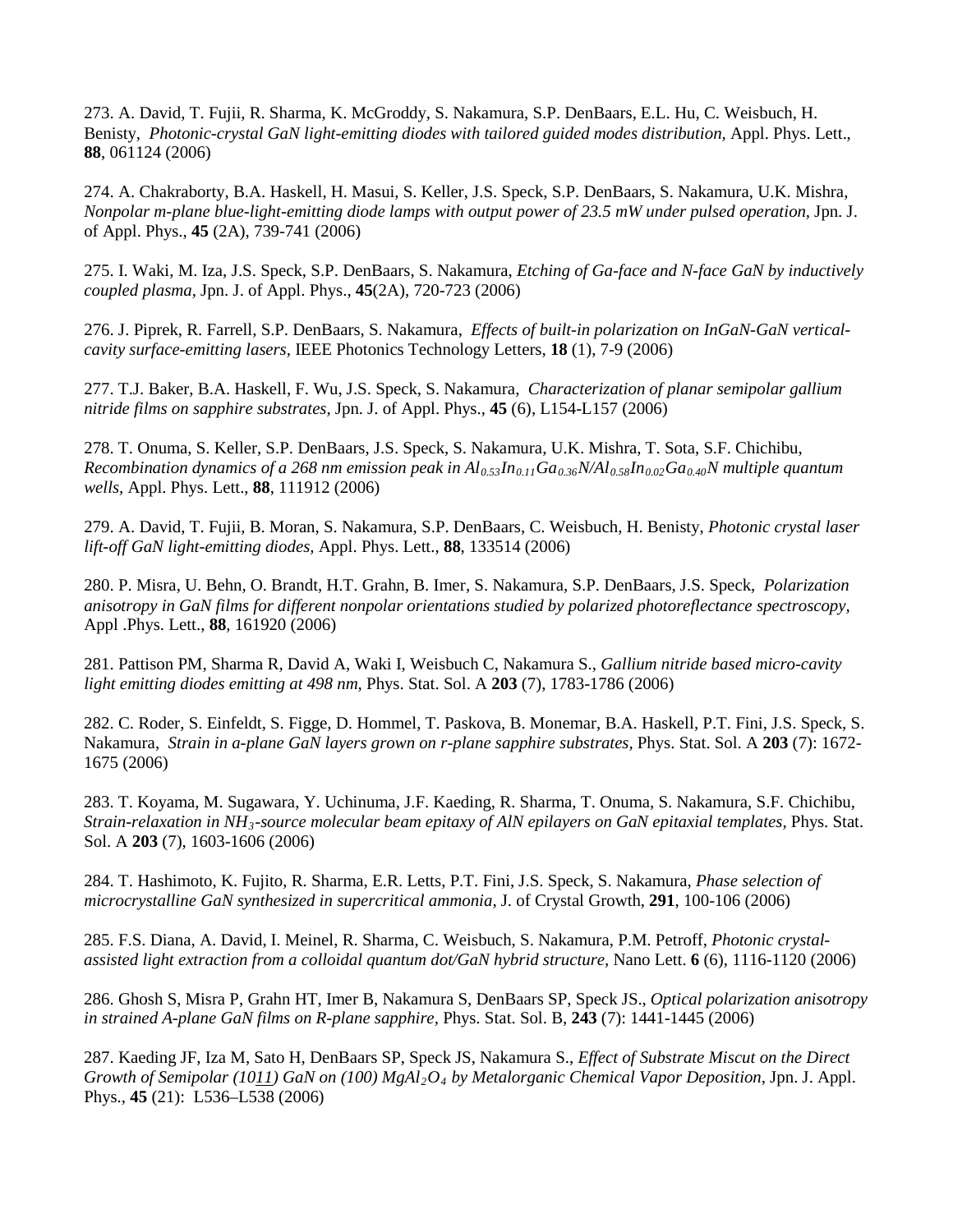273. A. David, T. Fujii, R. Sharma, K. McGroddy, S. Nakamura, S.P. DenBaars, E.L. Hu, C. Weisbuch, H. Benisty, *Photonic-crystal GaN light-emitting diodes with tailored guided modes distribution,* Appl. Phys. Lett., **88**, 061124 (2006)

274. A. Chakraborty, B.A. Haskell, H. Masui, S. Keller, J.S. Speck, S.P. DenBaars, S. Nakamura, U.K. Mishra, *Nonpolar m-plane blue-light-emitting diode lamps with output power of 23.5 mW under pulsed operation,* Jpn. J. of Appl. Phys., **45** (2A), 739-741 (2006)

275. I. Waki, M. Iza, J.S. Speck, S.P. DenBaars, S. Nakamura, *Etching of Ga-face and N-face GaN by inductively coupled plasma,* Jpn. J. of Appl. Phys., **45**(2A), 720-723 (2006)

276. J. Piprek, R. Farrell, S.P. DenBaars, S. Nakamura, *Effects of built-in polarization on InGaN-GaN verticalcavity surface-emitting lasers,* IEEE Photonics Technology Letters, **18** (1), 7-9 (2006)

277. T.J. Baker, B.A. Haskell, F. Wu, J.S. Speck, S. Nakamura, *Characterization of planar semipolar gallium nitride films on sapphire substrates,* Jpn. J. of Appl. Phys., **45** (6), L154-L157 (2006)

278. T. Onuma, S. Keller, S.P. DenBaars, J.S. Speck, S. Nakamura, U.K. Mishra, T. Sota, S.F. Chichibu, *Recombination dynamics of a 268 nm emission peak in*  $Al_{0.53}In_{0.11}Ga_{0.36}N/Al_{0.58}In_{0.02}Ga_{0.40}N$  *multiple quantum wells,* Appl. Phys. Lett., **88**, 111912 (2006)

279. A. David, T. Fujii, B. Moran, S. Nakamura, S.P. DenBaars, C. Weisbuch, H. Benisty, *Photonic crystal laser lift-off GaN light-emitting diodes,* Appl. Phys. Lett., **88**, 133514 (2006)

280. P. Misra, U. Behn, O. Brandt, H.T. Grahn, B. Imer, S. Nakamura, S.P. DenBaars, J.S. Speck, *Polarization anisotropy in GaN films for different nonpolar orientations studied by polarized photoreflectance spectroscopy,* Appl .Phys. Lett., **88**, 161920 (2006)

281. Pattison PM, Sharma R, David A, Waki I, Weisbuch C, Nakamura S., *Gallium nitride based micro-cavity light emitting diodes emitting at 498 nm,* Phys. Stat. Sol. A **203** (7), 1783-1786 (2006)

282. C. Roder, S. Einfeldt, S. Figge, D. Hommel, T. Paskova, B. Monemar, B.A. Haskell, P.T. Fini, J.S. Speck, S. Nakamura, *Strain in a-plane GaN layers grown on r-plane sapphire substrates,* Phys. Stat. Sol. A **203** (7): 1672- 1675 (2006)

283. T. Koyama, M. Sugawara, Y. Uchinuma, J.F. Kaeding, R. Sharma, T. Onuma, S. Nakamura, S.F. Chichibu, *Strain-relaxation in NH3-source molecular beam epitaxy of AlN epilayers on GaN epitaxial templates,* Phys. Stat. Sol. A **203** (7), 1603-1606 (2006)

284. T. Hashimoto, K. Fujito, R. Sharma, E.R. Letts, P.T. Fini, J.S. Speck, S. Nakamura, *Phase selection of microcrystalline GaN synthesized in supercritical ammonia,* J. of Crystal Growth, **291**, 100-106 (2006)

285. F.S. Diana, A. David, I. Meinel, R. Sharma, C. Weisbuch, S. Nakamura, P.M. Petroff, *Photonic crystalassisted light extraction from a colloidal quantum dot/GaN hybrid structure,* Nano Lett. **6** (6), 1116-1120 (2006)

286. Ghosh S, Misra P, Grahn HT, Imer B, Nakamura S, DenBaars SP, Speck JS., *Optical polarization anisotropy in strained A-plane GaN films on R-plane sapphire,* Phys. Stat. Sol. B, **243** (7): 1441-1445 (2006)

287. Kaeding JF, Iza M, Sato H, DenBaars SP, Speck JS, Nakamura S., *Effect of Substrate Miscut on the Direct Growth of Semipolar (1011) GaN on (100) MgAl2O4 by Metalorganic Chemical Vapor Deposition,* Jpn. J. Appl. Phys., **45** (21): L536–L538 (2006)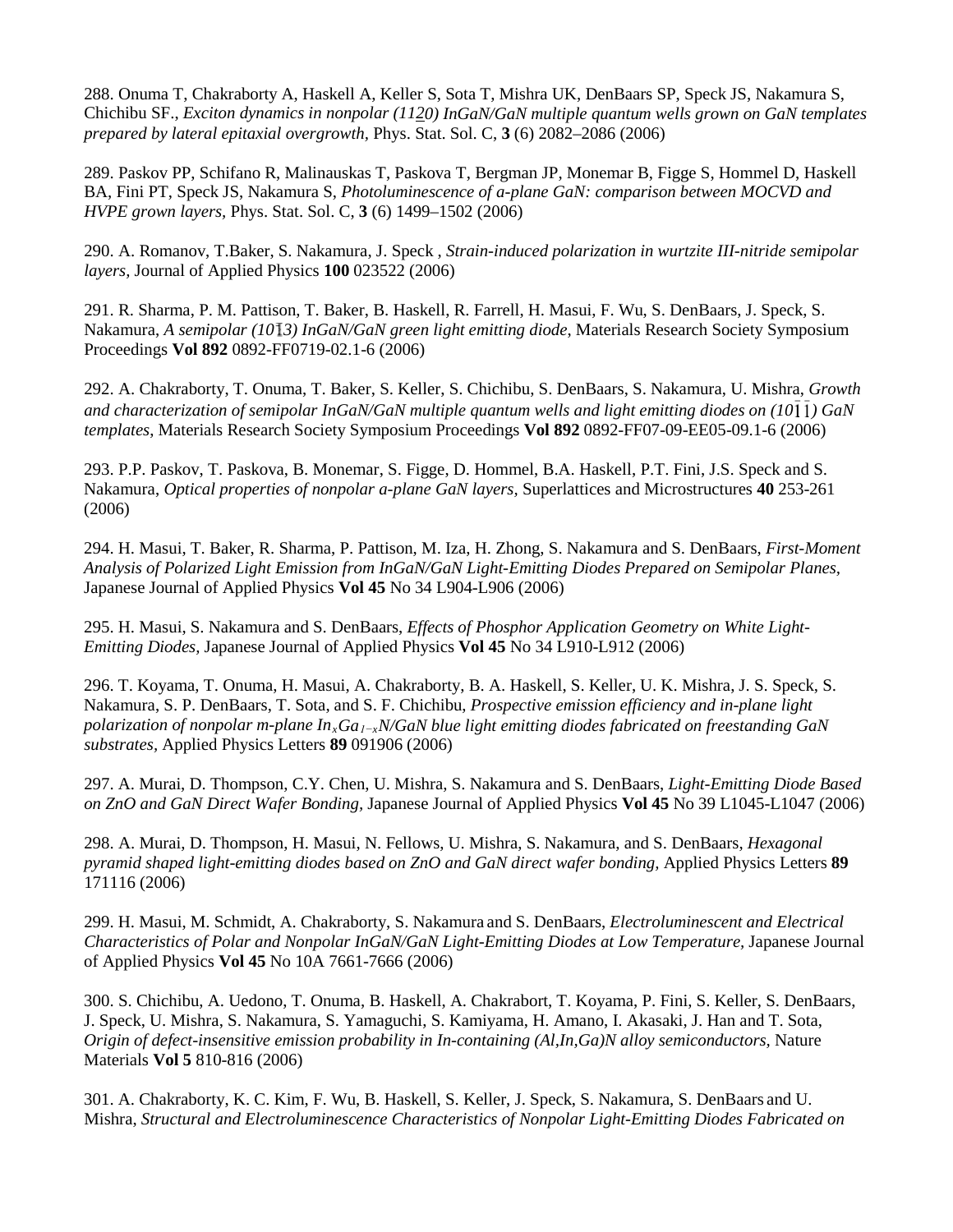288. Onuma T, Chakraborty A, Haskell A, Keller S, Sota T, Mishra UK, DenBaars SP, Speck JS, Nakamura S, Chichibu SF., *Exciton dynamics in nonpolar (1120) InGaN/GaN multiple quantum wells grown on GaN templates prepared by lateral epitaxial overgrowth,* Phys. Stat. Sol. C, **3** (6) 2082–2086 (2006)

289. Paskov PP, Schifano R, Malinauskas T, Paskova T, Bergman JP, Monemar B, Figge S, Hommel D, Haskell BA, Fini PT, Speck JS, Nakamura S, *Photoluminescence of a-plane GaN: comparison between MOCVD and HVPE grown layers,* Phys. Stat. Sol. C, **3** (6) 1499–1502 (2006)

290. A. Romanov, T.Baker, S. Nakamura, J. Speck , *Strain-induced polarization in wurtzite III-nitride semipolar layers,* Journal of Applied Physics **100** 023522 (2006)

291. R. Sharma, P. M. Pattison, T. Baker, B. Haskell, R. Farrell, H. Masui, F. Wu, S. DenBaars, J. Speck, S. Nakamura, *A semipolar (10 3) InGaN/GaN green light emitting diode*, Materials Research Society Symposium Proceedings **Vol 892** 0892-FF0719-02.1-6 (2006)

292. A. Chakraborty, T. Onuma, T. Baker, S. Keller, S. Chichibu, S. DenBaars, S. Nakamura, U. Mishra, *Growth and characterization of semipolar InGaN/GaN multiple quantum wells and light emitting diodes on (10 ) GaN templates*, Materials Research Society Symposium Proceedings **Vol 892** 0892-FF07-09-EE05-09.1-6 (2006)

293. P.P. Paskov, T. Paskova, B. Monemar, S. Figge, D. Hommel, B.A. Haskell, P.T. Fini, J.S. Speck and S. Nakamura, *Optical properties of nonpolar [a-](http://www.sciencedirect.com/science?_ob=MathURL&_method=retrieve&_udi=B6WXB-4KKNJ35-2&_mathId=mml7&_user=112642&_cdi=7154&_pii=S0749603606000620&_rdoc=1&_issn=07496036&_acct=C000059608&_version=1&_userid=112642&md5=d95d3a0cf5c2c9cd5958ec436cc52697)plane GaN layers,* Superlattices and Microstructures **40** 253-261 (2006)

294. [H. Masui,](http://jjap.ipap.jp/cgi-bin/findarticle?journal=JJAP&author=H%2EMasui) [T. Baker,](http://jjap.ipap.jp/cgi-bin/findarticle?journal=JJAP&author=T%2EJ%2EBaker) [R. Sharma,](http://jjap.ipap.jp/cgi-bin/findarticle?journal=JJAP&author=R%2ESharma) [P. Pattison,](http://jjap.ipap.jp/cgi-bin/findarticle?journal=JJAP&author=P%2EM%2EPattison) [M. Iza,](http://jjap.ipap.jp/cgi-bin/findarticle?journal=JJAP&author=M%2EIza) [H. Zhong,](http://jjap.ipap.jp/cgi-bin/findarticle?journal=JJAP&author=H%2EZhong) [S. Nakamura](http://jjap.ipap.jp/cgi-bin/findarticle?journal=JJAP&author=S%2ENakamura) and [S. DenBaars,](http://jjap.ipap.jp/cgi-bin/findarticle?journal=JJAP&author=S%2EP%2EDenBaars) *First-Moment Analysis of Polarized Light Emission from InGaN/GaN Light-Emitting Diodes Prepared on Semipolar Planes,*  Japanese Journal of Applied Physics **Vol 45** No 34 L904-L906 (2006)

295. [H. Masui,](http://jjap.ipap.jp/cgi-bin/findarticle?journal=JJAP&author=H%2EMasui) [S. Nakamura](http://jjap.ipap.jp/cgi-bin/findarticle?journal=JJAP&author=S%2ENakamura) and [S. DenBaars,](http://jjap.ipap.jp/cgi-bin/findarticle?journal=JJAP&author=S%2EP%2EDenBaars) *Effects of Phosphor Application Geometry on White Light-Emitting Diodes,* Japanese Journal of Applied Physics **Vol 45** No 34 L910-L912 (2006)

296. T. Koyama, T. Onuma, H. Masui, A. Chakraborty, B. A. Haskell, S. Keller, U. K. Mishra, J. S. Speck, S. Nakamura, S. P. DenBaars, T. Sota, and S. F. Chichibu, *Prospective emission efficiency and in-plane light polarization of nonpolar m-plane InxGa1−xN/GaN blue light emitting diodes fabricated on freestanding GaN substrates,* Applied Physics Letters **89** 091906 (2006)

297. [A. Murai,](http://jjap.ipap.jp/cgi-bin/findarticle?journal=JJAP&author=A%2EMurai) [D. Thompson,](http://jjap.ipap.jp/cgi-bin/findarticle?journal=JJAP&author=D%2EB%2EThompson) [C.Y. Chen,](http://jjap.ipap.jp/cgi-bin/findarticle?journal=JJAP&author=C%2EY%2EChen) [U. Mishra,](http://jjap.ipap.jp/cgi-bin/findarticle?journal=JJAP&author=U%2EK%2EMishra) [S. Nakamura](http://jjap.ipap.jp/cgi-bin/findarticle?journal=JJAP&author=S%2ENakamura) and [S. DenBaars,](http://jjap.ipap.jp/cgi-bin/findarticle?journal=JJAP&author=S%2EP%2EDenBaars) *Light-Emitting Diode Based on ZnO and GaN Direct Wafer Bonding,* Japanese Journal of Applied Physics **Vol 45** No 39 L1045-L1047 (2006)

298. A. Murai, D. Thompson, H. Masui, N. Fellows, U. Mishra, S. Nakamura, and S. DenBaars, *Hexagonal pyramid shaped light-emitting diodes based on ZnO and GaN direct wafer bonding,* Applied Physics Letters **89**  171116 (2006)

299. [H. Masui,](http://jjap.ipap.jp/cgi-bin/findarticle?journal=JJAP&author=H%2EMasui) [M. Schmidt,](http://jjap.ipap.jp/cgi-bin/findarticle?journal=JJAP&author=M%2EC%2ESchmidt) [A. Chakraborty,](http://jjap.ipap.jp/cgi-bin/findarticle?journal=JJAP&author=A%2EChakraborty) [S. Nakamura](http://jjap.ipap.jp/cgi-bin/findarticle?journal=JJAP&author=S%2ENakamura) and [S. DenBaars,](http://jjap.ipap.jp/cgi-bin/findarticle?journal=JJAP&author=S%2EP%2EDenBaars) *Electroluminescent and Electrical Characteristics of Polar and Nonpolar InGaN/GaN Light-Emitting Diodes at Low Temperature,* Japanese Journal of Applied Physics **Vol 45** No 10A 7661-7666 (2006)

300. S. Chichibu, A. Uedono, T. Onuma, B. Haskell, A. Chakrabort, T. Koyama, P. Fini, S. Keller, S. DenBaars, J. Speck, U. Mishra, S. Nakamura, S. Yamaguchi, S. Kamiyama, H. Amano, I. Akasaki, J. Han and T. Sota, *Origin of defect-insensitive emission probability in In-containing (Al,In,Ga)N alloy semiconductors,* Nature Materials **Vol 5** 810-816 (2006)

301. [A. Chakraborty,](http://jjap.ipap.jp/cgi-bin/findarticle?journal=JJAP&author=A%2EChakraborty) [K. C. Kim,](http://jjap.ipap.jp/cgi-bin/findarticle?journal=JJAP&author=K%2EC%2EKim) [F. Wu,](http://jjap.ipap.jp/cgi-bin/findarticle?journal=JJAP&author=F%2EWu) [B. Haskell,](http://jjap.ipap.jp/cgi-bin/findarticle?journal=JJAP&author=B%2EA%2EHaskell) [S. Keller,](http://jjap.ipap.jp/cgi-bin/findarticle?journal=JJAP&author=S%2EKeller) [J. Speck,](http://jjap.ipap.jp/cgi-bin/findarticle?journal=JJAP&author=J%2ES%2ESpeck) [S. Nakamura,](http://jjap.ipap.jp/cgi-bin/findarticle?journal=JJAP&author=S%2ENakamura) [S. DenBaars](http://jjap.ipap.jp/cgi-bin/findarticle?journal=JJAP&author=S%2EP%2EDenBaars) and [U.](http://jjap.ipap.jp/cgi-bin/findarticle?journal=JJAP&author=U%2EK%2EMishra) Mishra, *Structural and Electroluminescence Characteristics of Nonpolar Light-Emitting Diodes Fabricated on*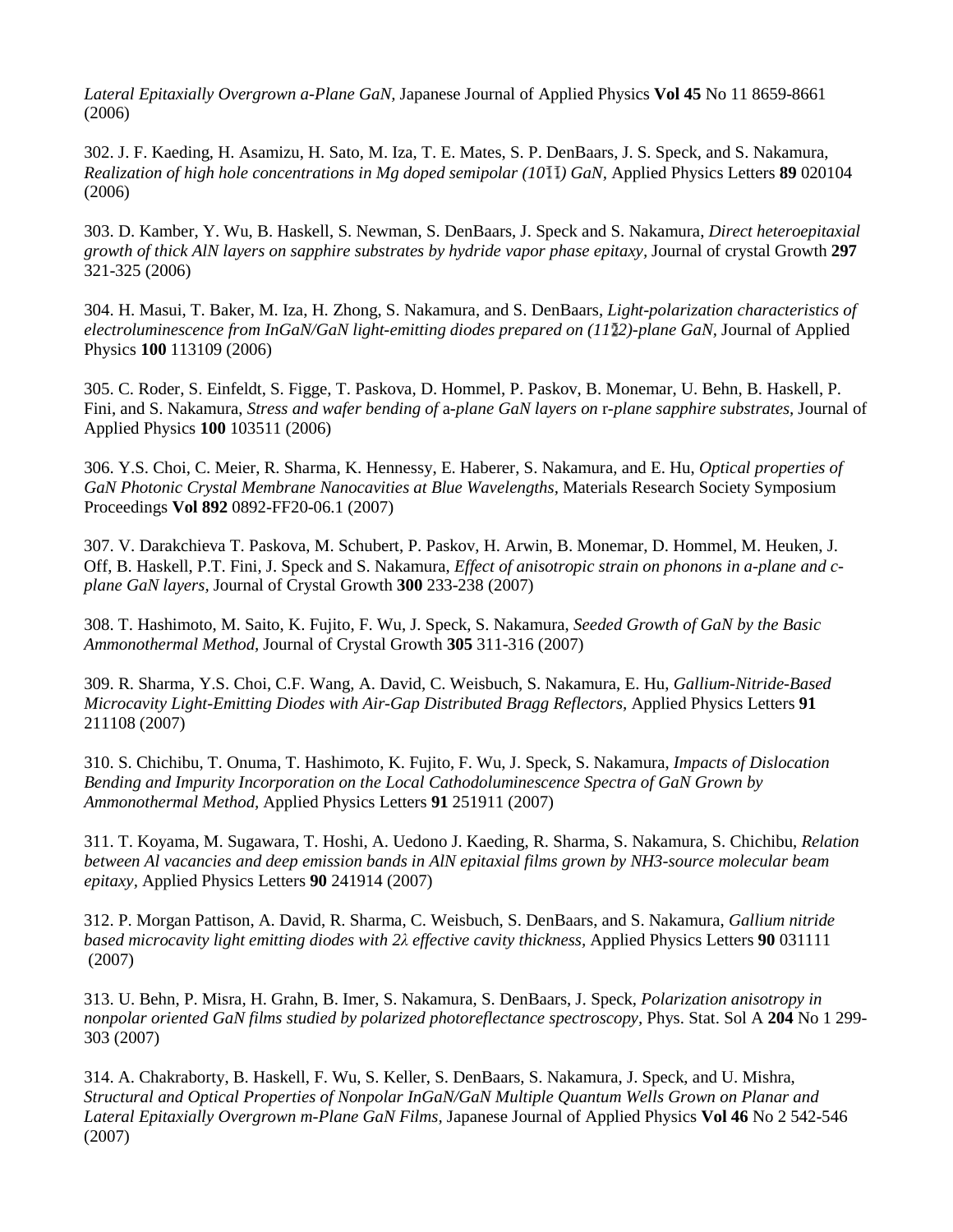*Lateral Epitaxially Overgrown a-Plane GaN,* Japanese Journal of Applied Physics **Vol 45** No 11 8659-8661 (2006)

302. J. F. Kaeding, H. Asamizu, H. Sato, M. Iza, T. E. Mates, S. P. DenBaars, J. S. Speck, and S. Nakamura, *Realization of high hole concentrations in Mg doped semipolar (10 ) GaN,* Applied Physics Letters **89** 020104 (2006)

303. D. Kamber, Y. Wu, B. Haskell, S. Newman, S. DenBaars, J. Speck and S. Nakamura, *Direct heteroepitaxial growth of thick AlN layers on sapphire substrates by hydride vapor phase epitaxy,* Journal of crystal Growth **297**  321-325 (2006)

304. H. Masui, T. Baker, M. Iza, H. Zhong, S. Nakamura, and S. DenBaars, *Light-polarization characteristics of electroluminescence from InGaN/GaN light-emitting diodes prepared on (11 2)-plane GaN,* Journal of Applied Physics **100** 113109 (2006)

305. C. Roder, S. Einfeldt, S. Figge, T. Paskova, D. Hommel, P. Paskov, B. Monemar, U. Behn, B. Haskell, P. Fini, and S. Nakamura, *Stress and wafer bending of* a*-plane GaN layers on* r*-plane sapphire substrates,* Journal of Applied Physics **100** 103511 (2006)

306. Y.S. Choi, C. Meier, R. Sharma, K. Hennessy, E. Haberer, S. Nakamura, and E. Hu, *Optical properties of GaN Photonic Crystal Membrane Nanocavities at Blue Wavelengths,* Materials Research Society Symposium Proceedings **Vol 892** 0892-FF20-06.1 (2007)

307. V. Darakchieva T. Paskova, M. Schubert, P. Paskov, H. Arwin, B. Monemar, D. Hommel, M. Heuken, J. Off, B. Haskell, P.T. Fini, J. Speck and S. Nakamura, *Effect of anisotropic strain on phonons in a-plane and cplane GaN layers,* Journal of Crystal Growth **300** 233-238 (2007)

308. T. Hashimoto, M. Saito, K. Fujito, F. Wu, J. Speck, S. Nakamura, *Seeded Growth of GaN by the Basic Ammonothermal Method,* Journal of Crystal Growth **305** 311-316 (2007)

309. R. Sharma, Y.S. Choi, C.F. Wang, A. David, C. Weisbuch, S. Nakamura, E. Hu, *Gallium-Nitride-Based Microcavity Light-Emitting Diodes with Air-Gap Distributed Bragg Reflectors,* Applied Physics Letters **91** 211108 (2007)

310. S. Chichibu, T. Onuma, T. Hashimoto, K. Fujito, F. Wu, J. Speck, S. Nakamura, *Impacts of Dislocation Bending and Impurity Incorporation on the Local Cathodoluminescence Spectra of GaN Grown by Ammonothermal Method,* Applied Physics Letters **91** 251911 (2007)

311. T. Koyama, M. Sugawara, T. Hoshi, A. Uedono J. Kaeding, R. Sharma, S. Nakamura, S. Chichibu, *Relation between Al vacancies and deep emission bands in AlN epitaxial films grown by NH3-source molecular beam epitaxy,* Applied Physics Letters **90** 241914 (2007)

312. P. Morgan Pattison, A. David, R. Sharma, C. Weisbuch, S. DenBaars, and S. Nakamura, *Gallium nitride based microcavity light emitting diodes with 2λ effective cavity thickness,* Applied Physics Letters **90** 031111 (2007)

313. U. Behn, P. Misra, H. Grahn, B. Imer, S. Nakamura, S. DenBaars, J. Speck, *Polarization anisotropy in nonpolar oriented GaN films studied by polarized photoreflectance spectroscopy,* Phys. Stat. Sol A **204** No 1 299- 303 (2007)

314. [A. Chakraborty,](http://jjap.ipap.jp/cgi-bin/findarticle?journal=JJAP&author=A%2EChakraborty) [B. Haskell,](http://jjap.ipap.jp/cgi-bin/findarticle?journal=JJAP&author=B%2EA%2EHaskell) [F. Wu,](http://jjap.ipap.jp/cgi-bin/findarticle?journal=JJAP&author=F%2EWu) [S. Keller,](http://jjap.ipap.jp/cgi-bin/findarticle?journal=JJAP&author=S%2EKeller) [S. DenBaars,](http://jjap.ipap.jp/cgi-bin/findarticle?journal=JJAP&author=S%2EP%2EDenBaars) [S. Nakamura,](http://jjap.ipap.jp/cgi-bin/findarticle?journal=JJAP&author=S%2ENakamura) [J. Speck,](http://jjap.ipap.jp/cgi-bin/findarticle?journal=JJAP&author=J%2ES%2ESpeck) an[d U. Mishra,](http://jjap.ipap.jp/cgi-bin/findarticle?journal=JJAP&author=U%2EK%2EMishra) *Structural and Optical Properties of Nonpolar InGaN/GaN Multiple Quantum Wells Grown on Planar and Lateral Epitaxially Overgrown m-Plane GaN Films,* Japanese Journal of Applied Physics **Vol 46** No 2 542-546 (2007)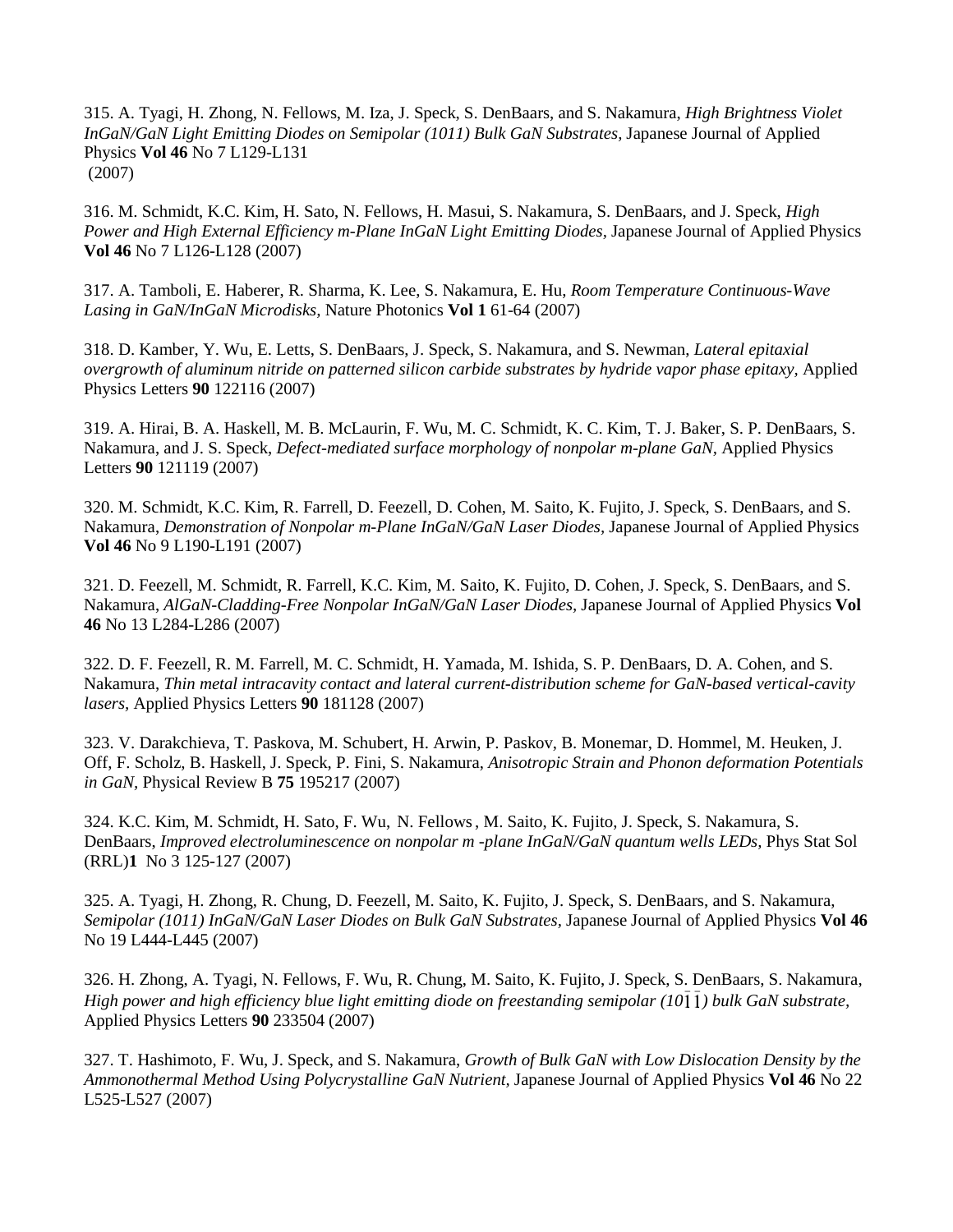315. [A. Tyagi,](http://jjap.ipap.jp/cgi-bin/findarticle?journal=JJAP&author=A%2ETyagi) [H. Zhong,](http://jjap.ipap.jp/cgi-bin/findarticle?journal=JJAP&author=H%2EZhong) [N. Fellows,](http://jjap.ipap.jp/cgi-bin/findarticle?journal=JJAP&author=N%2EN%2EFellows) [M. Iza,](http://jjap.ipap.jp/cgi-bin/findarticle?journal=JJAP&author=M%2EIza) [J. Speck,](http://jjap.ipap.jp/cgi-bin/findarticle?journal=JJAP&author=J%2ES%2ESpeck) [S. DenBaars,](http://jjap.ipap.jp/cgi-bin/findarticle?journal=JJAP&author=S%2EP%2EDenBaars) and [S. Nakamura,](http://jjap.ipap.jp/cgi-bin/findarticle?journal=JJAP&author=S%2ENakamura) *High Brightness Violet InGaN/GaN Light Emitting Diodes on Semipolar (1011) Bulk GaN Substrates,* Japanese Journal of Applied Physics **Vol 46** No 7 L129-L131 (2007)

316. [M. Schmidt,](http://jjap.ipap.jp/cgi-bin/findarticle?journal=JJAP&author=M%2EC%2ESchmidt) [K.C. Kim,](http://jjap.ipap.jp/cgi-bin/findarticle?journal=JJAP&author=K%2EC%2EKim) [H. Sato,](http://jjap.ipap.jp/cgi-bin/findarticle?journal=JJAP&author=H%2ESato) [N. Fellows,](http://jjap.ipap.jp/cgi-bin/findarticle?journal=JJAP&author=N%2EFellows) [H. Masui,](http://jjap.ipap.jp/cgi-bin/findarticle?journal=JJAP&author=H%2EMasui) [S. Nakamura,](http://jjap.ipap.jp/cgi-bin/findarticle?journal=JJAP&author=S%2ENakamura) [S. DenBaars,](http://jjap.ipap.jp/cgi-bin/findarticle?journal=JJAP&author=S%2EP%2EDenBaars) and [J. Speck,](http://jjap.ipap.jp/cgi-bin/findarticle?journal=JJAP&author=J%2ES%2ESpeck) *High Power and High External Efficiency m-Plane InGaN Light Emitting Diodes,* Japanese Journal of Applied Physics **Vol 46** No 7 L126-L128 (2007)

317. A. Tamboli, E. Haberer, R. Sharma, K. Lee, S. Nakamura, E. Hu, *Room Temperature Continuous-Wave Lasing in GaN/InGaN Microdisks,* Nature Photonics **Vol 1** 61-64 (2007)

318. D. Kamber, Y. Wu, E. Letts, S. DenBaars, J. Speck, S. Nakamura, and S. Newman, *Lateral epitaxial overgrowth of aluminum nitride on patterned silicon carbide substrates by hydride vapor phase epitaxy,* Applied Physics Letters **90** 122116 (2007)

319. A. Hirai, B. A. Haskell, M. B. McLaurin, F. Wu, M. C. Schmidt, K. C. Kim, T. J. Baker, S. P. DenBaars, S. Nakamura, and J. S. Speck, *Defect-mediated surface morphology of nonpolar m-plane GaN,* Applied Physics Letters **90** 121119 (2007)

320. [M. Schmidt,](http://jjap.ipap.jp/cgi-bin/findarticle?journal=JJAP&author=M%2EC%2ESchmidt) [K.C. Kim,](http://jjap.ipap.jp/cgi-bin/findarticle?journal=JJAP&author=K%2EC%2EKim) [R. Farrell,](http://jjap.ipap.jp/cgi-bin/findarticle?journal=JJAP&author=R%2EM%2EFarrell) [D. Feezell,](http://jjap.ipap.jp/cgi-bin/findarticle?journal=JJAP&author=D%2EF%2EFeezell) [D. Cohen,](http://jjap.ipap.jp/cgi-bin/findarticle?journal=JJAP&author=D%2EA%2ECohen) [M. Saito,](http://jjap.ipap.jp/cgi-bin/findarticle?journal=JJAP&author=M%2ESaito) [K. Fujito,](http://jjap.ipap.jp/cgi-bin/findarticle?journal=JJAP&author=K%2EFujito) [J. Speck,](http://jjap.ipap.jp/cgi-bin/findarticle?journal=JJAP&author=J%2ES%2ESpeck) [S. DenBaars,](http://jjap.ipap.jp/cgi-bin/findarticle?journal=JJAP&author=S%2EP%2EDenBaars) and [S.](http://jjap.ipap.jp/cgi-bin/findarticle?journal=JJAP&author=S%2ENakamura)  [Nakamura,](http://jjap.ipap.jp/cgi-bin/findarticle?journal=JJAP&author=S%2ENakamura) *Demonstration of Nonpolar m-Plane InGaN/GaN Laser Diodes,* Japanese Journal of Applied Physics **Vol 46** No 9 L190-L191 (2007)

321. [D. Feezell,](http://jjap.ipap.jp/cgi-bin/findarticle?journal=JJAP&author=D%2EF%2EFeezell) [M. Schmidt,](http://jjap.ipap.jp/cgi-bin/findarticle?journal=JJAP&author=M%2EC%2ESchmidt) [R. Farrell,](http://jjap.ipap.jp/cgi-bin/findarticle?journal=JJAP&author=R%2EM%2EFarrell) [K.C. Kim,](http://jjap.ipap.jp/cgi-bin/findarticle?journal=JJAP&author=K%2EC%2EKim) [M. Saito,](http://jjap.ipap.jp/cgi-bin/findarticle?journal=JJAP&author=M%2ESaito) [K. Fujito,](http://jjap.ipap.jp/cgi-bin/findarticle?journal=JJAP&author=K%2EFujito) [D. Cohen,](http://jjap.ipap.jp/cgi-bin/findarticle?journal=JJAP&author=D%2EA%2ECohen) [J. Speck,](http://jjap.ipap.jp/cgi-bin/findarticle?journal=JJAP&author=J%2ES%2ESpeck) [S. DenBaars,](http://jjap.ipap.jp/cgi-bin/findarticle?journal=JJAP&author=S%2EP%2EDenBaars) and [S.](http://jjap.ipap.jp/cgi-bin/findarticle?journal=JJAP&author=S%2ENakamura)  [Nakamura,](http://jjap.ipap.jp/cgi-bin/findarticle?journal=JJAP&author=S%2ENakamura) *AlGaN-Cladding-Free Nonpolar InGaN/GaN Laser Diodes,* Japanese Journal of Applied Physics **Vol 46** No 13 L284-L286 (2007)

322. D. F. Feezell, R. M. Farrell, M. C. Schmidt, H. Yamada, M. Ishida, S. P. DenBaars, D. A. Cohen, and S. Nakamura, *Thin metal intracavity contact and lateral current-distribution scheme for GaN-based vertical-cavity lasers,* Applied Physics Letters **90** 181128 (2007)

323. V. Darakchieva, T. Paskova, M. Schubert, H. Arwin, P. Paskov, B. Monemar, D. Hommel, M. Heuken, J. Off, F. Scholz, B. Haskell, J. Speck, P. Fini, S. Nakamura, *Anisotropic Strain and Phonon deformation Potentials in GaN,* Physical Review B **75** 195217 (2007)

324. K.C. Kim, M. Schmidt, H. Sato, F. Wu, N. Fellows, M. Saito, K. Fujito, J. Speck, S. Nakamura, S. DenBaars, *Improved electroluminescence on nonpolar m -plane InGaN/GaN quantum wells LEDs,* Phys Stat Sol (RRL)**1** No 3 125-127 (2007)

325. A. Tyagi, H. Zhong, R. Chung, D. Feezell, M. Saito, K. Fujito, J. Speck, S. DenBaars, and S. Nakamura, *Semipolar (1011) InGaN/GaN Laser Diodes on Bulk GaN Substrates,* Japanese Journal of Applied Physics **Vol 46**  No 19 L444-L445 (2007)

326. H. Zhong, A. Tyagi, N. Fellows, F. Wu, R. Chung, M. Saito, K. Fujito, J. Speck, S. DenBaars, S. Nakamura, *High power and high efficiency blue light emitting diode on freestanding semipolar (10 ) bulk GaN substrate,* Applied Physics Letters **90** 233504 (2007)

327. T. Hashimoto, F. Wu, J. Speck, and S. Nakamura, *Growth of Bulk GaN with Low Dislocation Density by the Ammonothermal Method Using Polycrystalline GaN Nutrient,* Japanese Journal of Applied Physics **Vol 46** No 22 L525-L527 (2007)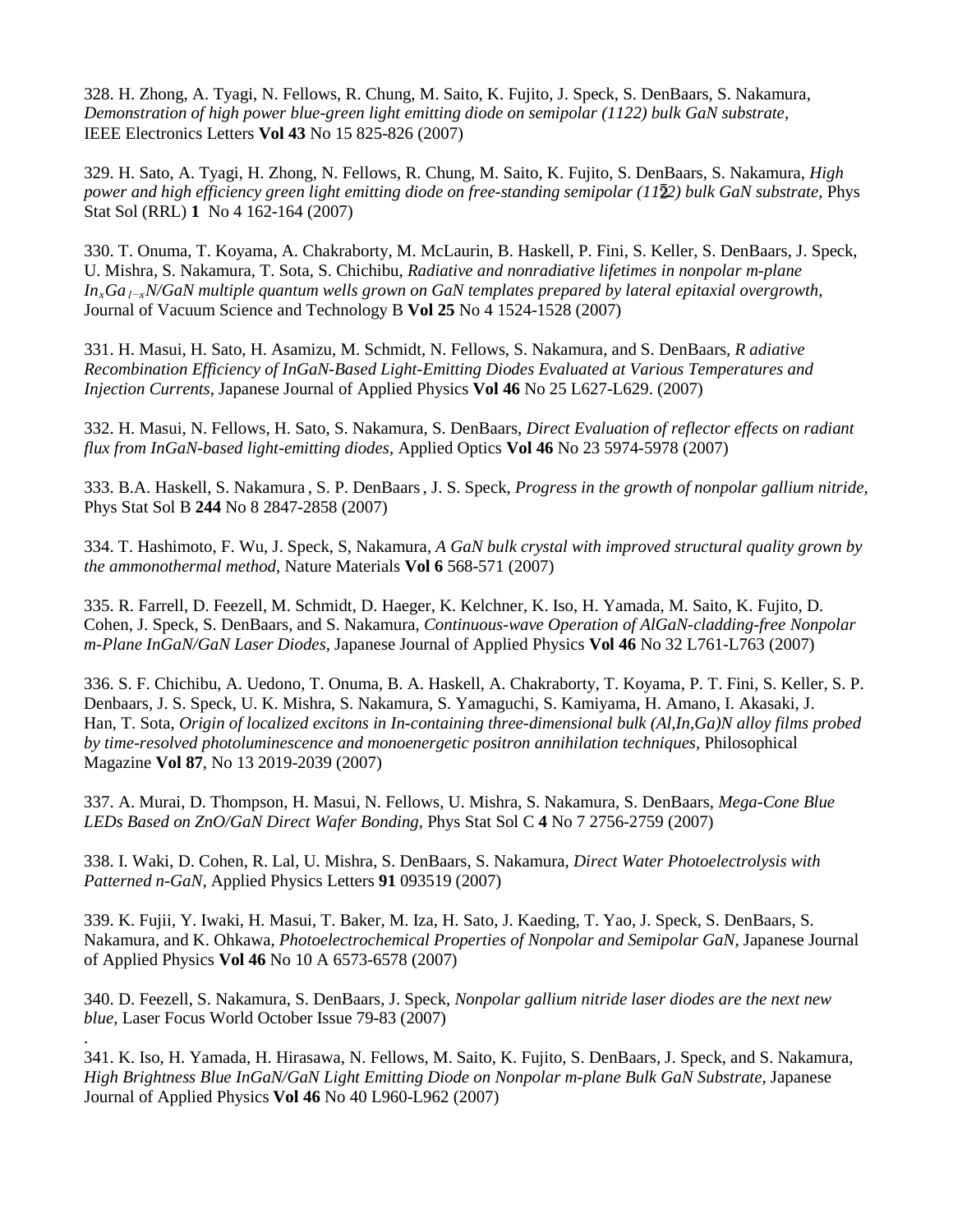328. H. Zhong, A. Tyagi, N. Fellows, R. Chung, M. Saito, K. Fujito, J. Speck, S. DenBaars, S. Nakamura, *Demonstration of high power blue-green light emitting diode on semipolar (1122) bulk GaN substrate,* IEEE Electronics Letters **Vol 43** No 15 825-826 (2007)

329. H. Sato, A. Tyagi, H. Zhong, N. Fellows, R. Chung, M. Saito, K. Fujito, S. DenBaars, S. Nakamura, *High power and high efficiency green light emitting diode on free-standing semipolar (11 2) bulk GaN substrate,* Phys Stat Sol (RRL) **1** No 4 162-164 (2007)

330. T. Onuma, T. Koyama, A. Chakraborty, M. McLaurin, B. Haskell, P. Fini, S. Keller, S. DenBaars, J. Speck, U. Mishra, S. Nakamura, T. Sota, S. Chichibu, *Radiative and nonradiative lifetimes in nonpolar m-plane InxGa1−xN/GaN multiple quantum wells grown on GaN templates prepared by lateral epitaxial overgrowth,* Journal of Vacuum Science and Technology B **Vol 25** No 4 1524-1528 (2007)

331. [H. Masui,](http://jjap.ipap.jp/cgi-bin/findarticle?journal=JJAP&author=H%2EMasui) [H. Sato,](http://jjap.ipap.jp/cgi-bin/findarticle?journal=JJAP&author=H%2ESato) [H. Asamizu,](http://jjap.ipap.jp/cgi-bin/findarticle?journal=JJAP&author=H%2EAsamizu) [M. Schmidt,](http://jjap.ipap.jp/cgi-bin/findarticle?journal=JJAP&author=M%2EC%2ESchmidt) [N. Fellows,](http://jjap.ipap.jp/cgi-bin/findarticle?journal=JJAP&author=N%2EN%2EFellows) [S. Nakamura,](http://jjap.ipap.jp/cgi-bin/findarticle?journal=JJAP&author=S%2ENakamura) and [S. DenBaars,](http://jjap.ipap.jp/cgi-bin/findarticle?journal=JJAP&author=S%2EP%2EDenBaars) *R adiative Recombination Efficiency of InGaN-Based Light-Emitting Diodes Evaluated at Various Temperatures and Injection Currents,* Japanese Journal of Applied Physics **Vol 46** No 25 L627-L629. (2007)

332. H. Masui, N. Fellows, H. Sato, S. Nakamura, S. DenBaars, *Direct Evaluation of reflector effects on radiant flux from InGaN-based light-emitting diodes,* Applied Optics **Vol 46** No 23 5974-5978 (2007)

333. B.A. Haskell, S. Nakamura , S. P. DenBaars, J. S. Speck, *Progress in the growth of nonpolar gallium nitride,*  Phys Stat Sol B **244** No 8 2847-2858 (2007)

334. T. Hashimoto, F. Wu, J. Speck, S, Nakamura, *A GaN bulk crystal with improved structural quality grown by the ammonothermal method,* Nature Materials **Vol 6** 568-571 (2007)

335. R. Farrell, D. Feezell, M. Schmidt, D. Haeger, K. Kelchner, K. Iso, H. Yamada, M. Saito, K. Fujito, D. Cohen, J. Speck, S. DenBaars, and S. Nakamura, *Continuous-wave Operation of AlGaN-cladding-free Nonpolar m-Plane InGaN/GaN Laser Diodes,* Japanese Journal of Applied Physics **Vol 46** No 32 L761-L763 (2007)

336. S. F. Chichibu, A. Uedono, T. Onuma, B. A. Haskell, A. Chakraborty, T. Koyama, P. T. Fini, S. Keller, S. P. Denbaars, J. S. Speck, U. K. Mishra, S. Nakamura, S. Yamaguchi, S. Kamiyama, H. Amano, I. Akasaki, J. Han, T. Sota, *Origin of localized excitons in In-containing three-dimensional bulk (Al,In,Ga)N alloy films probed by time-resolved photoluminescence and monoenergetic positron annihilation techniques,* Philosophical Magazine **Vol 87**, No 13 2019-2039 (2007)

337. A. Murai, D. Thompson, H. Masui, N. Fellows, U. Mishra, S. Nakamura, S. DenBaars, *Mega-Cone Blue LEDs Based on ZnO/GaN Direct Wafer Bonding,* Phys Stat Sol C **4** No 7 2756-2759 (2007)

338. I. Waki, D. Cohen, R. Lal, U. Mishra, S. DenBaars, S. Nakamura, *Direct Water Photoelectrolysis with Patterned n-GaN,* Applied Physics Letters **91** 093519 (2007)

339. K. Fujii, Y. Iwaki, H. Masui, T. Baker, M. Iza, H. Sato, J. Kaeding, T. Yao, J. Speck, S. DenBaars, S. Nakamura, and K. Ohkawa, *Photoelectrochemical Properties of Nonpolar and Semipolar GaN,* Japanese Journal of Applied Physics **Vol 46** No 10 A 6573-6578 (2007)

340. D. Feezell, S. Nakamura, S. DenBaars, J. Speck, *Nonpolar gallium nitride laser diodes are the next new blue,* Laser Focus World October Issue 79-83 (2007)

.

341. K. Iso, H. Yamada, H. Hirasawa, N. Fellows, M. Saito, K. Fujito, S. DenBaars, J. Speck, and S. Nakamura, High Brightness Blue InGaN/GaN Light Emitting Diode on Nonpolar m-plane Bulk GaN Substrate, Japanese Journal of Applied Physics **Vol 46** No 40 L960-L962 (2007)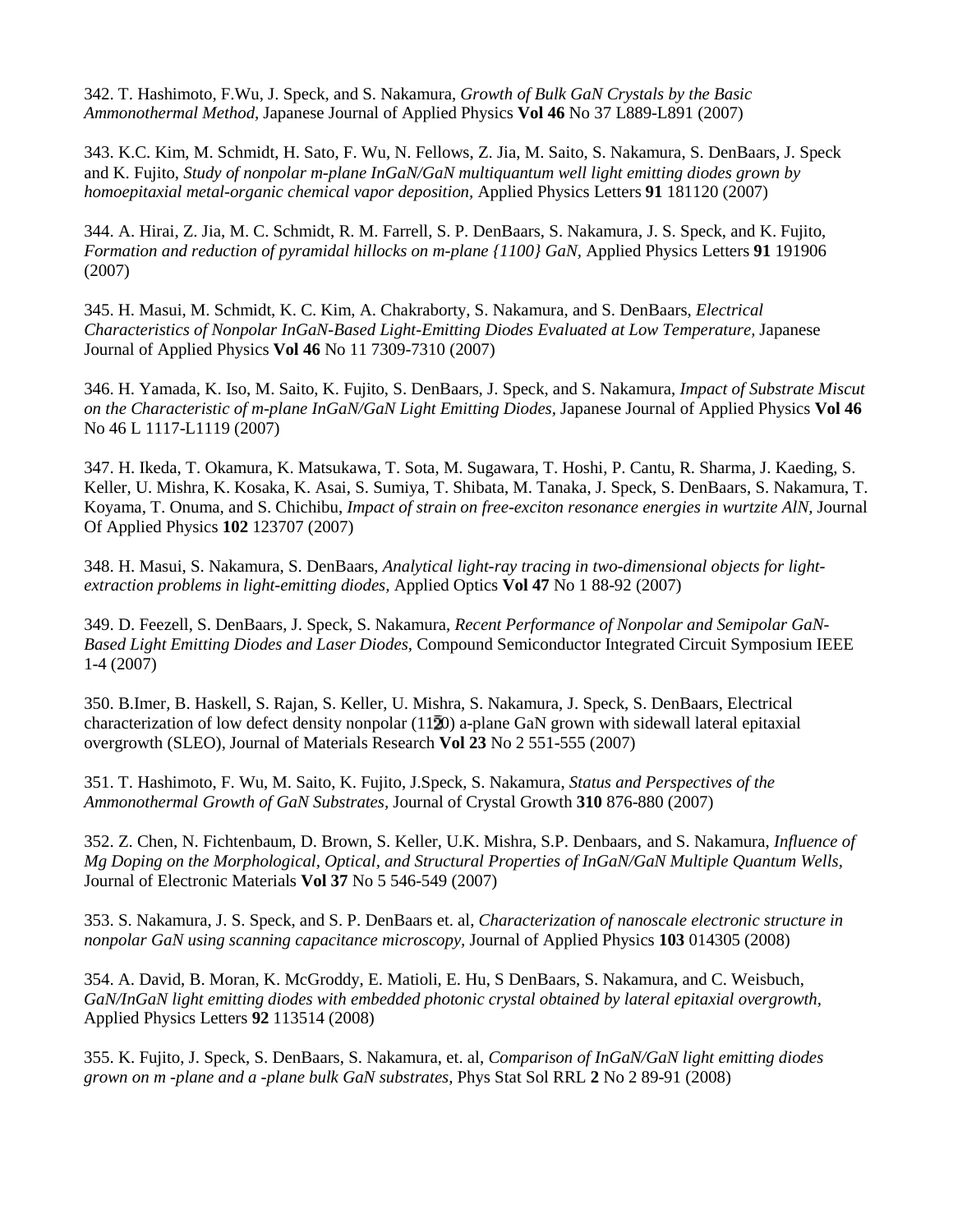342. [T. Hashimoto,](http://jjap.ipap.jp/cgi-bin/findarticle?journal=JJAP&author=T%2EHashimoto) [F.Wu,](http://jjap.ipap.jp/cgi-bin/findarticle?journal=JJAP&author=F%2EWu) [J. Speck,](http://jjap.ipap.jp/cgi-bin/findarticle?journal=JJAP&author=J%2ES%2ESpeck) and [S. Nakamura,](http://jjap.ipap.jp/cgi-bin/findarticle?journal=JJAP&author=S%2ENakamura) *Growth of Bulk GaN Crystals by the Basic Ammonothermal Method,* Japanese Journal of Applied Physics **Vol 46** No 37 L889-L891 (2007)

343. K.C. Kim, M. Schmidt, H. Sato, F. Wu, N. Fellows, Z. Jia, M. Saito, S. Nakamura, S. DenBaars, J. Speck and K. Fujito, *Study of nonpolar m-plane InGaN/GaN multiquantum well light emitting diodes grown by homoepitaxial metal-organic chemical vapor deposition,* Applied Physics Letters **91** 181120 (2007)

344. A. Hirai, Z. Jia, M. C. Schmidt, R. M. Farrell, S. P. DenBaars, S. Nakamura, J. S. Speck, and K. Fujito, *Formation and reduction of pyramidal hillocks on m-plane {1100} GaN,* Applied Physics Letters **91** 191906 (2007)

345. [H. Masui,](http://jjap.ipap.jp/cgi-bin/findarticle?journal=JJAP&author=H%2EMasui) [M. Schmidt,](http://jjap.ipap.jp/cgi-bin/findarticle?journal=JJAP&author=M%2EC%2ESchmidt) [K. C. Kim,](http://jjap.ipap.jp/cgi-bin/findarticle?journal=JJAP&author=K%2EC%2EKim) [A. Chakraborty,](http://jjap.ipap.jp/cgi-bin/findarticle?journal=JJAP&author=A%2EChakraborty) [S. Nakamura,](http://jjap.ipap.jp/cgi-bin/findarticle?journal=JJAP&author=S%2ENakamura) an[d S. DenBaars,](http://jjap.ipap.jp/cgi-bin/findarticle?journal=JJAP&author=S%2EP%2EDenBaars) *Electrical Characteristics of Nonpolar InGaN-Based Light-Emitting Diodes Evaluated at Low Temperature,* Japanese Journal of Applied Physics **Vol 46** No 11 7309-7310 (2007)

346. [H. Yamada,](http://jjap.ipap.jp/cgi-bin/findarticle?journal=JJAP&author=H%2EYamada) [K. Iso,](http://jjap.ipap.jp/cgi-bin/findarticle?journal=JJAP&author=K%2EIso) [M. Saito,](http://jjap.ipap.jp/cgi-bin/findarticle?journal=JJAP&author=M%2ESaito) [K. Fujito,](http://jjap.ipap.jp/cgi-bin/findarticle?journal=JJAP&author=K%2EFujito) [S. DenBaars,](http://jjap.ipap.jp/cgi-bin/findarticle?journal=JJAP&author=S%2EP%2EDenBaars) [J. Speck,](http://jjap.ipap.jp/cgi-bin/findarticle?journal=JJAP&author=J%2ES%2ESpeck) and [S. Nakamura,](http://jjap.ipap.jp/cgi-bin/findarticle?journal=JJAP&author=S%2ENakamura) *Impact of Substrate Miscut on the Characteristic of m-plane InGaN/GaN Light Emitting Diodes,* Japanese Journal of Applied Physics **Vol 46** No 46 L 1117-L1119 (2007)

347. H. Ikeda, T. Okamura, K. Matsukawa, T. Sota, M. Sugawara, T. Hoshi, P. Cantu, R. Sharma, J. Kaeding, S. Keller, U. Mishra, K. Kosaka, K. Asai, S. Sumiya, T. Shibata, M. Tanaka, J. Speck, S. DenBaars, S. Nakamura, T. Koyama, T. Onuma, and S. Chichibu, *Impact of strain on free-exciton resonance energies in wurtzite AlN,* Journal Of Applied Physics **102** 123707 (2007)

348. H. Masui, S. Nakamura, S. DenBaars, *Analytical light-ray tracing in two-dimensional objects for lightextraction problems in light-emitting diodes,* Applied Optics **Vol 47** No 1 88-92 (2007)

349. D. Feezell, S. DenBaars, J. Speck, S. Nakamura, *Recent [Performance](http://ieeexplore.ieee.org/search/srchabstract.jsp?tp=&arnumber=4384427&queryText%3Drecent+performance+of+nonpolar+and+semipolar+gan-based+light+emitting+diodes+and+laser+diodes%26openedRefinements%3D*%26searchField%3DSearch+All) of Nonpolar and Semipolar GaN-Based Light Emitting Diodes and [Laser Diodes,](http://ieeexplore.ieee.org/search/srchabstract.jsp?tp=&arnumber=4384427&queryText%3Drecent+performance+of+nonpolar+and+semipolar+gan-based+light+emitting+diodes+and+laser+diodes%26openedRefinements%3D*%26searchField%3DSearch+All)* Compound Semiconductor Integrated Circuit Symposium IEEE 1-4 (2007)

350. B.Imer, B. Haskell, S. Rajan, S. Keller, U. Mishra, S. Nakamura, J. Speck, S. DenBaars, Electrical characterization of low defect density nonpolar  $(1120)$  a-plane GaN grown with sidewall lateral epitaxial overgrowth (SLEO), Journal of Materials Research **Vol 23** No 2 551-555 (2007)

351. T. Hashimoto, F. Wu, M. Saito, K. Fujito, J.Speck, S. Nakamura, *Status and Perspectives of the Ammonothermal Growth of GaN Substrates,* Journal of Crystal Growth **310** 876-880 (2007)

352. Z. Chen, N. Fichtenbaum, D. Brown, S. Keller, U.K. Mishra, S.P. Denbaars, and S. Nakamura, *Influence of Mg Doping on the Morphological, Optical, and Structural Properties of InGaN/GaN Multiple Quantum Wells,* Journal of Electronic Materials **Vol 37** No 5 546-549 (2007)

353. S. Nakamura, J. S. Speck, and S. P. DenBaars et. al, *Characterization of nanoscale electronic structure in nonpolar GaN using scanning capacitance microscopy,* Journal of Applied Physics **103** 014305 (2008)

354. A. David, B. Moran, K. McGroddy, E. Matioli, E. Hu, S DenBaars, S. Nakamura, and C. Weisbuch, *GaN/InGaN light emitting diodes with embedded photonic crystal obtained by lateral epitaxial overgrowth,* Applied Physics Letters **92** 113514 (2008)

355. K. Fujito, J. Speck, S. DenBaars, S. Nakamura, et. al, *Comparison of InGaN/GaN light emitting diodes grown on m -plane and a -plane bulk GaN substrates,* Phys Stat Sol RRL **2** No 2 89-91 (2008)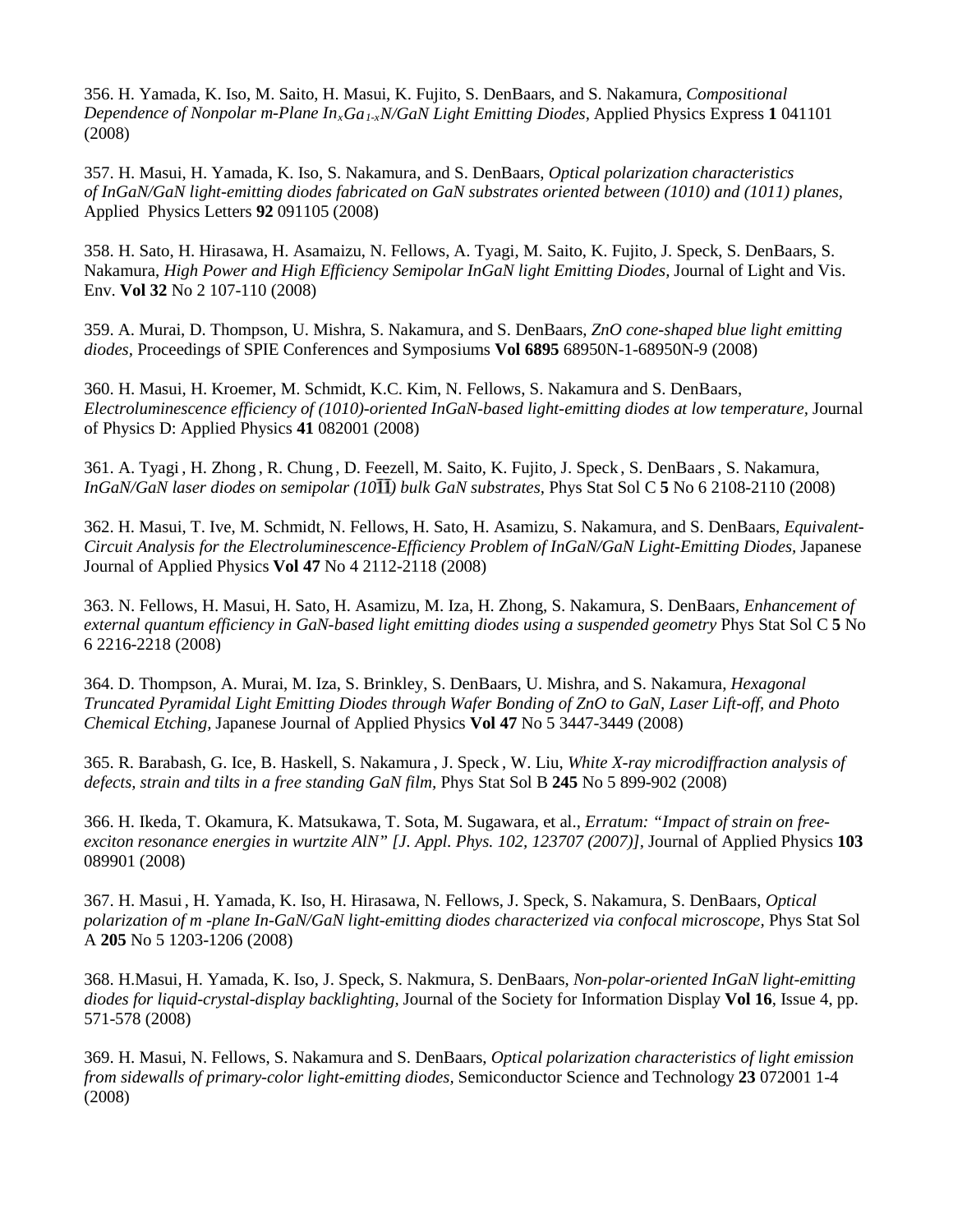356. [H. Yamada,](http://apex.ipap.jp/cgi-bin/findarticle?journal=APEX&author=H%2EYamada) [K. Iso,](http://apex.ipap.jp/cgi-bin/findarticle?journal=APEX&author=K%2EIso) [M. Saito,](http://apex.ipap.jp/cgi-bin/findarticle?journal=APEX&author=M%2ESaito) [H. Masui,](http://apex.ipap.jp/cgi-bin/findarticle?journal=APEX&author=H%2EMasui) [K. Fujito,](http://apex.ipap.jp/cgi-bin/findarticle?journal=APEX&author=K%2EFujito) [S. DenBaars,](http://apex.ipap.jp/cgi-bin/findarticle?journal=APEX&author=S%2EP%2EDenBaars) and [S. Nakamura,](http://apex.ipap.jp/cgi-bin/findarticle?journal=APEX&author=S%2ENakamura) *Compositional Dependence of Nonpolar m-Plane InxGa1-xN/GaN Light Emitting Diodes,* Applied Physics Express **1** 041101 (2008)

357. H. Masui, H. Yamada, K. Iso, S. Nakamura, and S. DenBaars, *Optical polarization characteristics of InGaN/GaN light-emitting diodes fabricated on GaN substrates oriented between (1010) and (1011) planes,* Applied Physics Letters **92** 091105 (2008)

358. H. Sato, H. Hirasawa, H. Asamaizu, N. Fellows, A. Tyagi, M. Saito, K. Fujito, J. Speck, S. DenBaars, S. Nakamura, *High Power and High Efficiency Semipolar InGaN light Emitting Diodes,* Journal of Light and Vis. Env. **Vol 32** No 2 107-110 (2008)

359. [A. Murai,](http://spiedl.aip.org/vsearch/servlet/VerityServlet?KEY=SPIEDL&possible1=Murai%2C+A.&possible1zone=author&maxdisp=25&smode=strresults&aqs=true) [D. Thompson,](http://spiedl.aip.org/vsearch/servlet/VerityServlet?KEY=SPIEDL&possible1=Thompson%2C+D.+B.&possible1zone=author&maxdisp=25&smode=strresults&aqs=true) [U. Mishra,](http://spiedl.aip.org/vsearch/servlet/VerityServlet?KEY=SPIEDL&possible1=Mishra%2C+U.+K.&possible1zone=author&maxdisp=25&smode=strresults&aqs=true) [S. Nakamura,](http://spiedl.aip.org/vsearch/servlet/VerityServlet?KEY=SPIEDL&possible1=Nakamura%2C+S.&possible1zone=author&maxdisp=25&smode=strresults&aqs=true) and [S. DenBaars,](http://spiedl.aip.org/vsearch/servlet/VerityServlet?KEY=SPIEDL&possible1=DenBaars%2C+S.+P.&possible1zone=author&maxdisp=25&smode=strresults&aqs=true) *ZnO cone-shaped blue light emitting diodes,* Proceedings of SPIE Conferences and Symposiums **Vol 6895** 68950N-1-68950N-9 (2008)

360. H. Masui, H. Kroemer, M. Schmidt, K.C. Kim, N. Fellows, S. Nakamura and S. DenBaars, *Electroluminescence efficiency of (1010)-oriented InGaN-based light-emitting diodes at low temperature,* Journal of Physics D: Applied Physics **41** 082001 (2008)

361. A. Tyagi , H. Zhong , R. Chung , D. Feezell, M. Saito, K. Fujito, J. Speck , S. DenBaars, S. Nakamura, *InGaN/GaN laser diodes on semipolar (10 ) bulk GaN substrates,* Phys Stat Sol C **5** No 6 2108-2110 (2008)

362. [H. Masui,](http://jjap.ipap.jp/cgi-bin/findarticle?journal=JJAP&author=H%2EMasui) [T. Ive,](http://jjap.ipap.jp/cgi-bin/findarticle?journal=JJAP&author=T%2EIve) [M. Schmidt,](http://jjap.ipap.jp/cgi-bin/findarticle?journal=JJAP&author=M%2EC%2ESchmidt) [N. Fellows,](http://jjap.ipap.jp/cgi-bin/findarticle?journal=JJAP&author=N%2EN%2EFellows) [H. Sato,](http://jjap.ipap.jp/cgi-bin/findarticle?journal=JJAP&author=H%2ESato) [H. Asamizu,](http://jjap.ipap.jp/cgi-bin/findarticle?journal=JJAP&author=H%2EAsamizu) [S. Nakamura,](http://jjap.ipap.jp/cgi-bin/findarticle?journal=JJAP&author=S%2ENakamura) and [S. DenBaars,](http://jjap.ipap.jp/cgi-bin/findarticle?journal=JJAP&author=S%2EP%2EDenBaars) *Equivalent-Circuit Analysis for the Electroluminescence-Efficiency Problem of InGaN/GaN Light-Emitting Diodes,* Japanese Journal of Applied Physics **Vol 47** No 4 2112-2118 (2008)

363. N. Fellows, H. Masui, H. Sato, H. Asamizu, M. Iza, H. Zhong, S. Nakamura, S. DenBaars, *Enhancement of external quantum efficiency in GaN-based light emitting diodes using a suspended geometry* Phys Stat Sol C **5** No 6 2216-2218 (2008)

364. [D. Thompson,](http://jjap.ipap.jp/cgi-bin/findarticle?journal=JJAP&author=D%2EB%2EThompson) [A. Murai,](http://jjap.ipap.jp/cgi-bin/findarticle?journal=JJAP&author=A%2EMurai) [M. Iza,](http://jjap.ipap.jp/cgi-bin/findarticle?journal=JJAP&author=M%2EIza) [S. Brinkley,](http://jjap.ipap.jp/cgi-bin/findarticle?journal=JJAP&author=S%2EBrinkley) [S. DenBaars,](http://jjap.ipap.jp/cgi-bin/findarticle?journal=JJAP&author=S%2EP%2EDenBaars) [U. Mishra,](http://jjap.ipap.jp/cgi-bin/findarticle?journal=JJAP&author=U%2EK%2EMishra) and [S. Nakamura,](http://jjap.ipap.jp/cgi-bin/findarticle?journal=JJAP&author=S%2ENakamura) *Hexagonal Truncated Pyramidal Light Emitting Diodes through Wafer Bonding of ZnO to GaN, Laser Lift-off, and Photo Chemical Etching,* Japanese Journal of Applied Physics **Vol 47** No 5 3447-3449 (2008)

365. R. Barabash, G. Ice, B. Haskell, S. Nakamura , J. Speck , W. Liu, *White X-ray microdiffraction analysis of defects, strain and tilts in a free standing GaN film,* Phys Stat Sol B **245** No 5 899-902 (2008)

366. H. Ikeda, T. Okamura, K. Matsukawa, T. Sota, M. Sugawara, et al., *Erratum: "Impact of strain on freeexciton resonance energies in wurtzite AlN" [J. Appl. Phys. 102, 123707 (2007)],* Journal of Applied Physics **103** 089901 (2008)

367. H. Masui , H. Yamada, K. Iso, H. Hirasawa, N. Fellows, J. Speck, S. Nakamura, S. DenBaars, *Optical polarization of m -plane In-GaN/GaN light-emitting diodes characterized via confocal microscope,* Phys Stat Sol A **205** No 5 1203-1206 (2008)

368. H.Masui, H. Yamada, K. Iso, J. Speck, S. Nakmura, S. DenBaars, *Non-polar-oriented InGaN light-emitting diodes for liquid-crystal-display backlighting,* Journal of the Society for Information Display **Vol 16**, Issue 4, pp. 571-578 (2008)

369. H. Masui, N. Fellows, S. Nakamura and S. DenBaars, *Optical polarization characteristics of light emission from sidewalls of primary-color light-emitting diodes,* Semiconductor Science and Technology **23** 072001 1-4 (2008)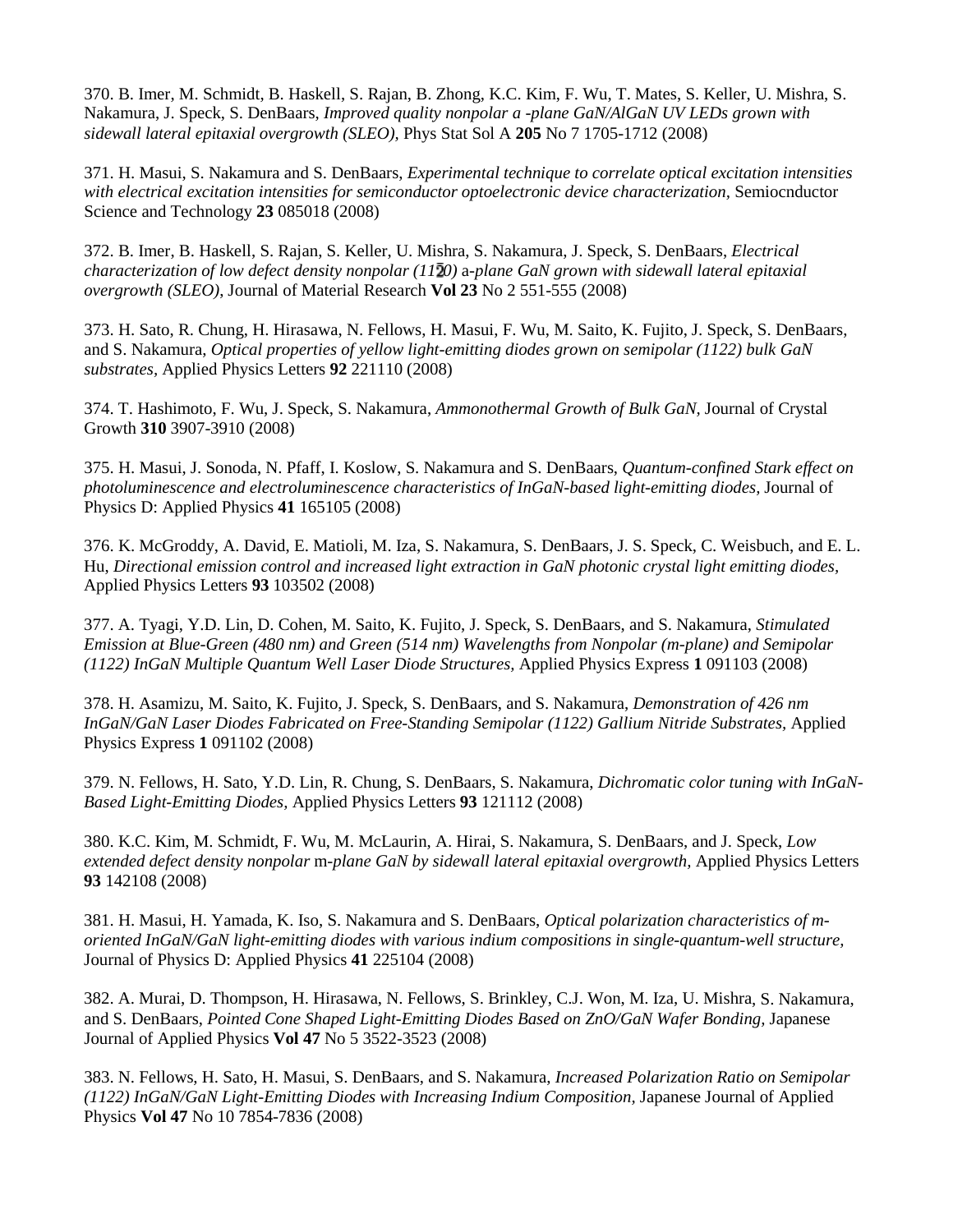370. B. Imer, M. Schmidt, B. Haskell, S. Rajan, B. Zhong, K.C. Kim, F. Wu, T. Mates, S. Keller, U. Mishra, S. Nakamura, J. Speck, S. DenBaars, *Improved quality nonpolar a -plane GaN/AlGaN UV LEDs grown with sidewall lateral epitaxial overgrowth (SLEO),* Phys Stat Sol A **205** No 7 1705-1712 (2008)

371. H. Masui, S. Nakamura and S. DenBaars, *Experimental technique to correlate optical excitation intensities with electrical excitation intensities for semiconductor optoelectronic device characterization,* Semiocnductor Science and Technology **23** 085018 (2008)

372. B. Imer, B. Haskell, S. Rajan, S. Keller, U. Mishra, S. Nakamura, J. Speck, S. DenBaars, *Electrical characterization of low defect density nonpolar (11 0)* a*-plane GaN grown with sidewall lateral epitaxial overgrowth (SLEO)*, Journal of Material Research **Vol 23** No 2 551-555 (2008)

373. H. Sato, R. Chung, H. Hirasawa, N. Fellows, H. Masui, F. Wu, M. Saito, K. Fujito, J. Speck, S. DenBaars, and S. Nakamura, *Optical properties of yellow light-emitting diodes grown on semipolar (1122) bulk GaN substrates,* Applied Physics Letters **92** 221110 (2008)

374. T. Hashimoto, F. Wu, J. Speck, S. Nakamura, *Ammonothermal Growth of Bulk GaN,* Journal of Crystal Growth **310** 3907-3910 (2008)

375. H. Masui, J. Sonoda, N. Pfaff, I. Koslow, S. Nakamura and S. DenBaars, *Quantum-confined Stark effect on photoluminescence and electroluminescence characteristics of InGaN-based light-emitting diodes,* Journal of Physics D: Applied Physics **41** 165105 (2008)

376. K. McGroddy, A. David, E. Matioli, M. Iza, S. Nakamura, S. DenBaars, J. S. Speck, C. Weisbuch, and E. L. Hu, *Directional emission control and increased light extraction in GaN photonic crystal light emitting diodes,* Applied Physics Letters **93** 103502 (2008)

377. [A. Tyagi,](http://apex.ipap.jp/cgi-bin/findarticle?journal=APEX&author=A%2ETyagi) [Y.D. Lin,](http://apex.ipap.jp/cgi-bin/findarticle?journal=APEX&author=Y%2ED%2ELin) [D. Cohen,](http://apex.ipap.jp/cgi-bin/findarticle?journal=APEX&author=D%2EA%2ECohen) [M. Saito,](http://apex.ipap.jp/cgi-bin/findarticle?journal=APEX&author=M%2ESaito) [K. Fujito,](http://apex.ipap.jp/cgi-bin/findarticle?journal=APEX&author=K%2EFujito) [J. Speck,](http://apex.ipap.jp/cgi-bin/findarticle?journal=APEX&author=J%2ES%2ESpeck) [S. DenBaars,](http://apex.ipap.jp/cgi-bin/findarticle?journal=APEX&author=S%2EP%2EDenBaars) and [S. Nakamura,](http://apex.ipap.jp/cgi-bin/findarticle?journal=APEX&author=S%2ENakamura) *Stimulated Emission at Blue-Green (480 nm) and Green (514 nm) Wavelengths from Nonpolar (m-plane) and Semipolar (1122) InGaN Multiple Quantum Well Laser Diode Structures,* Applied Physics Express **1** 091103 (2008)

378. [H. Asamizu,](http://apex.ipap.jp/cgi-bin/findarticle?journal=APEX&author=H%2EAsamizu) [M. Saito,](http://apex.ipap.jp/cgi-bin/findarticle?journal=APEX&author=M%2ESaito) [K. Fujito,](http://apex.ipap.jp/cgi-bin/findarticle?journal=APEX&author=K%2EFujito) [J. Speck,](http://apex.ipap.jp/cgi-bin/findarticle?journal=APEX&author=J%2ES%2ESpeck) [S. DenBaars,](http://apex.ipap.jp/cgi-bin/findarticle?journal=APEX&author=S%2EP%2EDenBaars) and [S. Nakamura,](http://apex.ipap.jp/cgi-bin/findarticle?journal=APEX&author=S%2ENakamura) *Demonstration of 426 nm InGaN/GaN Laser Diodes Fabricated on Free-Standing Semipolar (1122) Gallium Nitride Substrates,* Applied Physics Express **1** 091102 (2008)

379. N. Fellows, H. Sato, Y.D. Lin, R. Chung, S. DenBaars, S. Nakamura, *Dichromatic color tuning with InGaN-Based Light-Emitting Diodes,* Applied Physics Letters **93** 121112 (2008)

380. K.C. Kim, M. Schmidt, F. Wu, M. McLaurin, A. Hirai, S. Nakamura, S. DenBaars, and J. Speck, *Low extended defect density nonpolar* m*-plane GaN by sidewall lateral epitaxial overgrowth,* Applied Physics Letters **93** 142108 (2008)

381. H. Masui, H. Yamada, K. Iso, S. Nakamura and S. DenBaars, *Optical polarization characteristics of moriented InGaN/GaN light-emitting diodes with various indium compositions in single-quantum-well structure,* Journal of Physics D: Applied Physics **41** 225104 (2008)

382. [A. Murai,](http://jjap.ipap.jp/cgi-bin/findarticle?journal=JJAP&author=A%2EMurai) [D. Thompson,](http://jjap.ipap.jp/cgi-bin/findarticle?journal=JJAP&author=D%2EB%2EThompson) [H. Hirasawa,](http://jjap.ipap.jp/cgi-bin/findarticle?journal=JJAP&author=H%2EHirasawa) [N. Fellows,](http://jjap.ipap.jp/cgi-bin/findarticle?journal=JJAP&author=N%2EFellows) [S. Brinkley,](http://jjap.ipap.jp/cgi-bin/findarticle?journal=JJAP&author=S%2EBrinkley) [C.J. Won,](http://jjap.ipap.jp/cgi-bin/findarticle?journal=JJAP&author=C%2EJ%2EWon) [M. Iza,](http://jjap.ipap.jp/cgi-bin/findarticle?journal=JJAP&author=M%2EIza) [U. Mishra,](http://jjap.ipap.jp/cgi-bin/findarticle?journal=JJAP&author=U%2EK%2EMishra) [S. Nakamura,](http://jjap.ipap.jp/cgi-bin/findarticle?journal=JJAP&author=S%2ENakamura) and [S. DenBaars,](http://jjap.ipap.jp/cgi-bin/findarticle?journal=JJAP&author=S%2EP%2EDenBaars) *Pointed Cone Shaped Light-Emitting Diodes Based on ZnO/GaN Wafer Bonding*, Japanese Journal of Applied Physics **Vol 47** No 5 3522-3523 (2008)

383. [N. Fellows,](http://jjap.ipap.jp/cgi-bin/findarticle?journal=JJAP&author=N%2EFellows) [H. Sato,](http://jjap.ipap.jp/cgi-bin/findarticle?journal=JJAP&author=H%2ESato) [H. Masui,](http://jjap.ipap.jp/cgi-bin/findarticle?journal=JJAP&author=H%2EMasui) [S. DenBaars,](http://jjap.ipap.jp/cgi-bin/findarticle?journal=JJAP&author=S%2EP%2EDenBaars) and [S. Nakamura,](http://jjap.ipap.jp/cgi-bin/findarticle?journal=JJAP&author=S%2ENakamura) *Increased Polarization Ratio on Semipolar (1122) InGaN/GaN Light-Emitting Diodes with Increasing Indium Composition,* Japanese Journal of Applied Physics **Vol 47** No 10 7854-7836 (2008)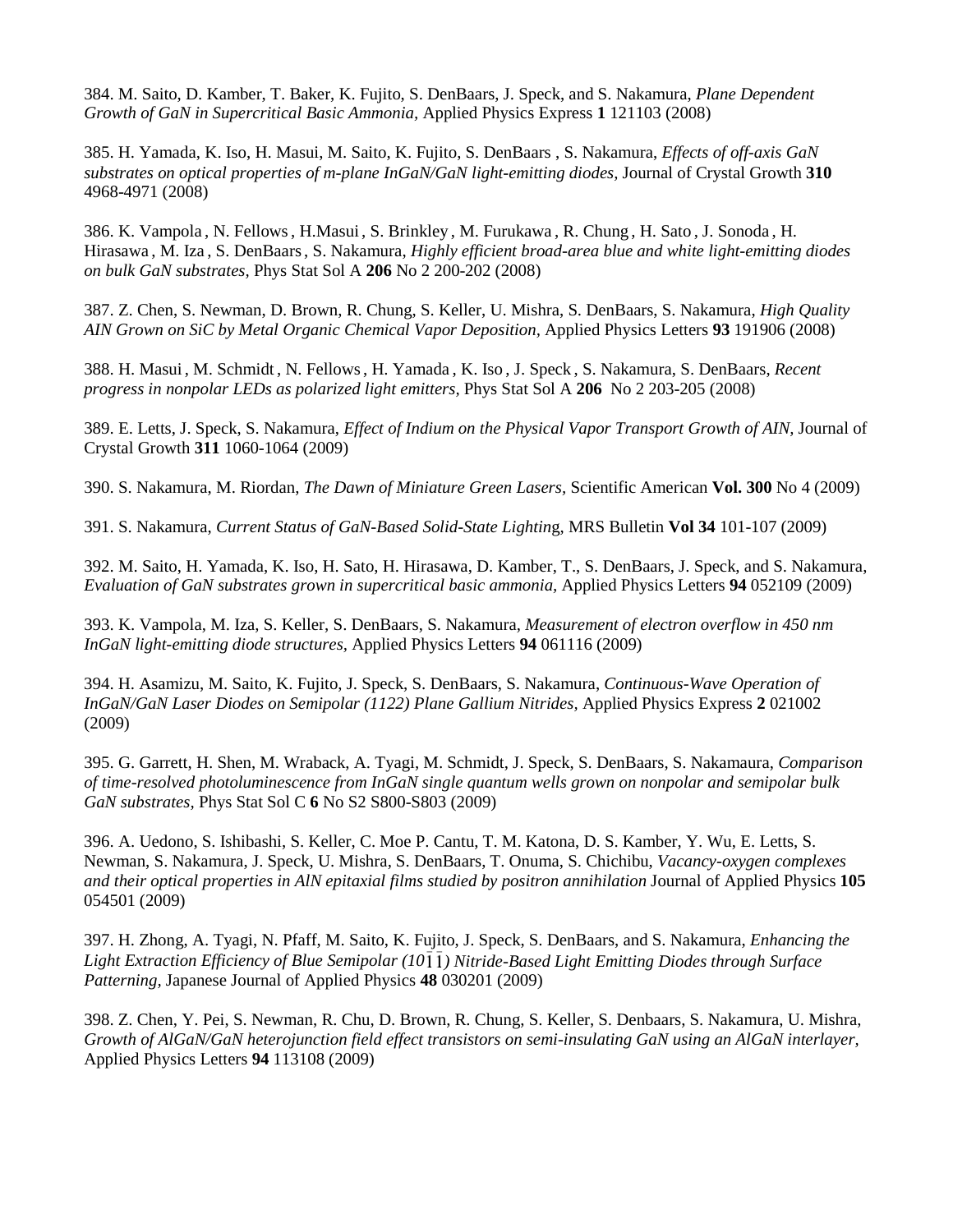384. [M. Saito,](http://apex.ipap.jp/cgi-bin/findarticle?journal=APEX&author=M%2ESaito) [D. Kamber,](http://apex.ipap.jp/cgi-bin/findarticle?journal=APEX&author=D%2ES%2EKamber) [T. Baker,](http://apex.ipap.jp/cgi-bin/findarticle?journal=APEX&author=T%2EJ%2EBaker) [K. Fujito,](http://apex.ipap.jp/cgi-bin/findarticle?journal=APEX&author=K%2EFujito) [S. DenBaars,](http://apex.ipap.jp/cgi-bin/findarticle?journal=APEX&author=S%2EP%2EDenBaars) [J. Speck,](http://apex.ipap.jp/cgi-bin/findarticle?journal=APEX&author=J%2ES%2ESpeck) and [S. Nakamura,](http://apex.ipap.jp/cgi-bin/findarticle?journal=APEX&author=S%2ENakamura) *Plane Dependent Growth of GaN in Supercritical Basic Ammonia,* Applied Physics Express **1** 121103 (2008)

385. H. Yamada, K. Iso, H. Masui, M. Saito, K. Fujito, S. DenBaars , S. Nakamura, *Effects of off-axis GaN substrates on optical properties of m-plane InGaN/GaN light-emitting diodes,* Journal of Crystal Growth **310** 4968-4971 (2008)

386. K. Vampola , N. Fellows, H.Masui , S. Brinkley , M. Furukawa , R. Chung , H. Sato , J. Sonoda , H. Hirasawa , M. Iza , S. DenBaars, S. Nakamura, *Highly efficient broad-area blue and white light-emitting diodes on bulk GaN substrates,* Phys Stat Sol A **206** No 2 200-202 (2008)

387. Z. Chen, S. Newman, D. Brown, R. Chung, S. Keller, U. Mishra, S. DenBaars, S. Nakamura, *High Quality AIN Grown on SiC by Metal Organic Chemical Vapor Deposition,* Applied Physics Letters **93** 191906 (2008)

388. H. Masui , M. Schmidt , N. Fellows, H. Yamada , K. Iso , J. Speck , S. Nakamura, S. DenBaars, *Recent progress in nonpolar LEDs as polarized light emitters,* Phys Stat Sol A **206** No 2 203-205 (2008)

389. E. Letts, J. Speck, S. Nakamura, *Effect of Indium on the Physical Vapor Transport Growth of AIN,* Journal of Crystal Growth **311** 1060-1064 (2009)

390. S. Nakamura, M. Riordan, *The Dawn of Miniature Green Lasers,* Scientific American **Vol. 300** No 4 (2009)

391. S. Nakamura, *Current Status of GaN-Based Solid-State Lightin*g, MRS Bulletin **Vol 34** 101-107 (2009)

392. M. Saito, H. Yamada, K. Iso, H. Sato, H. Hirasawa, D. Kamber, T., S. DenBaars, J. Speck, and S. Nakamura, *Evaluation of GaN substrates grown in supercritical basic ammonia,* Applied Physics Letters **94** 052109 (2009)

393. K. Vampola, M. Iza, S. Keller, S. DenBaars, S. Nakamura, *Measurement of electron overflow in 450 nm InGaN light-emitting diode structures,* Applied Physics Letters **94** 061116 (2009)

394. [H. Asamizu,](http://apex.ipap.jp/cgi-bin/findarticle?journal=APEX&author=H%2EAsamizu) [M. Saito,](http://apex.ipap.jp/cgi-bin/findarticle?journal=APEX&author=M%2ESaito) [K. Fujito,](http://apex.ipap.jp/cgi-bin/findarticle?journal=APEX&author=K%2EFujito) [J. Speck,](http://apex.ipap.jp/cgi-bin/findarticle?journal=APEX&author=J%2ES%2ESpeck) [S. DenBaars,](http://apex.ipap.jp/cgi-bin/findarticle?journal=APEX&author=S%2EP%2EDenBaars) [S. Nakamura,](http://apex.ipap.jp/cgi-bin/findarticle?journal=APEX&author=S%2ENakamura) *Continuous-Wave Operation of InGaN/GaN Laser Diodes on Semipolar (1122) Plane Gallium Nitrides,* Applied Physics Express **2** 021002 (2009)

395. G. Garrett, H. Shen, M. Wraback, A. Tyagi, M. Schmidt, J. Speck, S. DenBaars, S. Nakamaura, *Comparison of time-resolved photoluminescence from InGaN single quantum wells grown on nonpolar and semipolar bulk GaN substrates,* Phys Stat Sol C **6** No S2 S800-S803 (2009)

396. A. Uedono, S. Ishibashi, S. Keller, C. Moe P. Cantu, T. M. Katona, D. S. Kamber, Y. Wu, E. Letts, S. Newman, S. Nakamura, J. Speck, U. Mishra, S. DenBaars, T. Onuma, S. Chichibu, *Vacancy-oxygen complexes and their optical properties in AlN epitaxial films studied by positron annihilation* Journal of Applied Physics **105** 054501 (2009)

397. [H. Zhong,](http://jjap.ipap.jp/cgi-bin/findarticle?journal=JJAP&author=H%2EZhong) [A. Tyagi,](http://jjap.ipap.jp/cgi-bin/findarticle?journal=JJAP&author=A%2ETyagi) [N. Pfaff,](http://jjap.ipap.jp/cgi-bin/findarticle?journal=JJAP&author=N%2EPfaff) [M. Saito,](http://jjap.ipap.jp/cgi-bin/findarticle?journal=JJAP&author=M%2ESaito) [K. Fujito,](http://jjap.ipap.jp/cgi-bin/findarticle?journal=JJAP&author=K%2EFujito) [J. Speck,](http://jjap.ipap.jp/cgi-bin/findarticle?journal=JJAP&author=J%2ES%2ESpeck) [S. DenBaars,](http://jjap.ipap.jp/cgi-bin/findarticle?journal=JJAP&author=S%2EP%2EDenBaars) and [S. Nakamura,](http://jjap.ipap.jp/cgi-bin/findarticle?journal=JJAP&author=S%2ENakamura) *Enhancing the Light Extraction Efficiency of Blue Semipolar (10 ) Nitride-Based Light Emitting Diodes through Surface Patterning,* Japanese Journal of Applied Physics **48** 030201 (2009)

398. Z. Chen, Y. Pei, S. Newman, R. Chu, D. Brown, R. Chung, S. Keller, S. Denbaars, S. Nakamura, U. Mishra, *Growth of AlGaN/GaN heterojunction field effect transistors on semi-insulating GaN using an AlGaN interlayer,*  Applied Physics Letters **94** 113108 (2009)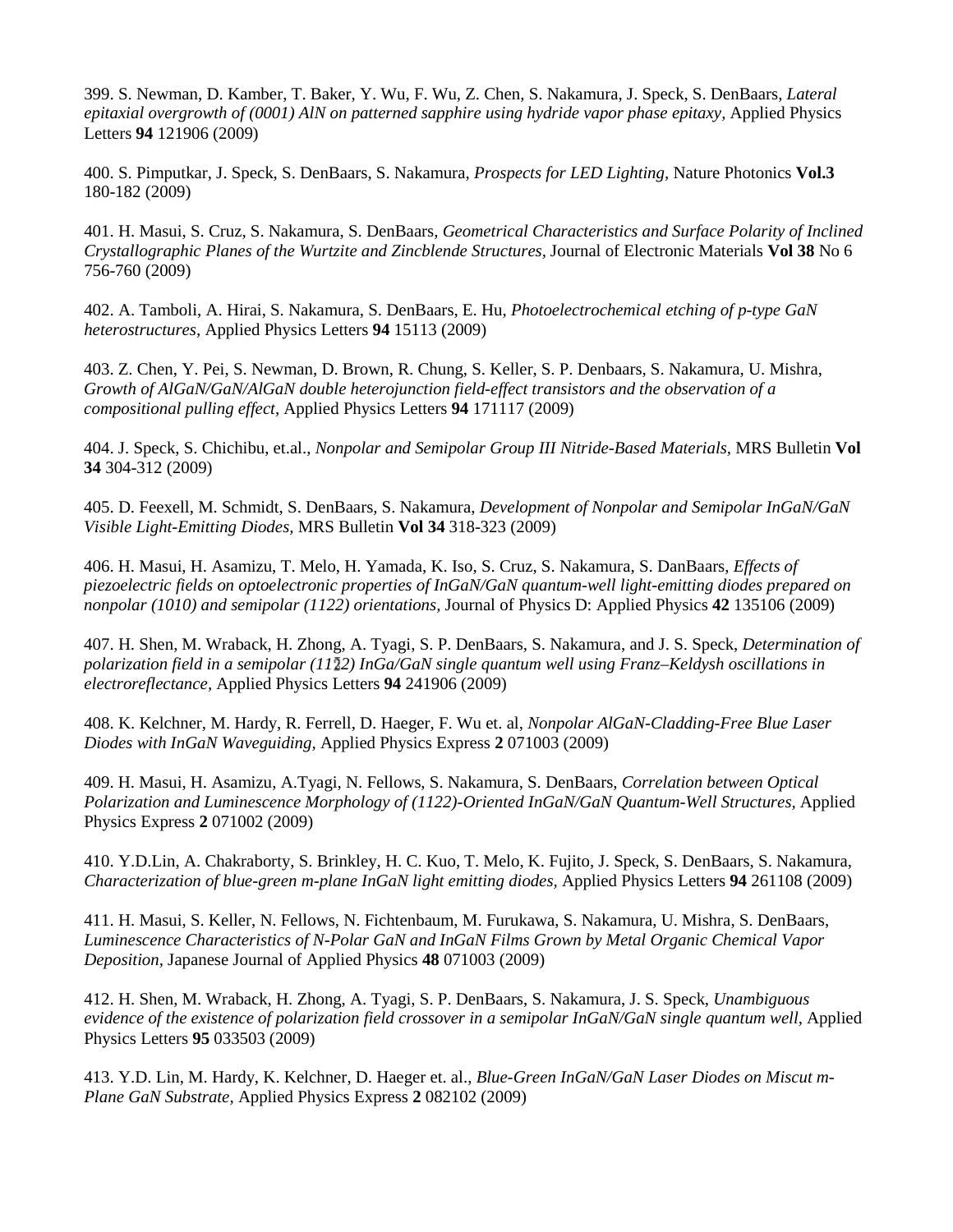399. S. Newman, D. Kamber, T. Baker, Y. Wu, F. Wu, Z. Chen, S. Nakamura, J. Speck, S. DenBaars, *Lateral epitaxial overgrowth of (0001) AlN on patterned sapphire using hydride vapor phase epitaxy,* Applied Physics Letters **94** 121906 (2009)

400. S. Pimputkar, J. Speck, S. DenBaars, S. Nakamura, *Prospects for LED Lighting,* Nature Photonics **Vol.3** 180-182 (2009)

401. H. Masui, S. Cruz, S. Nakamura, S. DenBaars, *Geometrical Characteristics and Surface Polarity of Inclined Crystallographic Planes of the Wurtzite and Zincblende Structures,* Journal of Electronic Materials **Vol 38** No 6 756-760 (2009)

402. A. Tamboli, A. Hirai, S. Nakamura, S. DenBaars, E. Hu, *Photoelectrochemical etching of p-type GaN heterostructures,* Applied Physics Letters **94** 15113 (2009)

403. Z. Chen, Y. Pei, S. Newman, D. Brown, R. Chung, S. Keller, S. P. Denbaars, S. Nakamura, U. Mishra, *Growth of AlGaN/GaN/AlGaN double heterojunction field-effect transistors and the observation of a compositional pulling effect,* Applied Physics Letters **94** 171117 (2009)

404. J. Speck, S. Chichibu, et.al., *Nonpolar and Semipolar Group III Nitride-Based Materials,* MRS Bulletin **Vol 34** 304-312 (2009)

405. D. Feexell, M. Schmidt, S. DenBaars, S. Nakamura, *Development of Nonpolar and Semipolar InGaN/GaN Visible Light-Emitting Diodes,* MRS Bulletin **Vol 34** 318-323 (2009)

406. H. Masui, H. Asamizu, T. Melo, H. Yamada, K. Iso, S. Cruz, S. Nakamura, S. DanBaars, *Effects of piezoelectric fields on optoelectronic properties of InGaN/GaN quantum-well light-emitting diodes prepared on nonpolar (1010) and semipolar (1122) orientations,* Journal of Physics D: Applied Physics **42** 135106 (2009)

407. H. Shen, M. Wraback, H. Zhong, A. Tyagi, S. P. DenBaars, S. Nakamura, and J. S. Speck, *Determination of polarization field in a semipolar (11 2) InGa/GaN single quantum well using Franz–Keldysh oscillations in electroreflectance,* Applied Physics Letters **94** 241906 (2009)

408. K. Kelchner, M. Hardy, R. Ferrell, D. Haeger, F. Wu et. al, *Nonpolar AlGaN-Cladding-Free Blue Laser Diodes with InGaN Waveguiding,* Applied Physics Express **2** 071003 (2009)

409. [H. Masui,](http://apex.ipap.jp/cgi-bin/findarticle?journal=APEX&author=H%2EMasui) [H. Asamizu,](http://apex.ipap.jp/cgi-bin/findarticle?journal=APEX&author=H%2EAsamizu) [A.Tyagi,](http://apex.ipap.jp/cgi-bin/findarticle?journal=APEX&author=A%2ETyagi) [N. Fellows,](http://apex.ipap.jp/cgi-bin/findarticle?journal=APEX&author=N%2EF%2EDeMille) [S. Nakamura,](http://apex.ipap.jp/cgi-bin/findarticle?journal=APEX&author=S%2ENakamura) [S. DenBaars,](http://apex.ipap.jp/cgi-bin/findarticle?journal=APEX&author=S%2EP%2EDenBaars) *Correlation between Optical Polarization and Luminescence Morphology of (1122)-Oriented InGaN/GaN Quantum-Well Structures,* Applied Physics Express **2** 071002 (2009)

410. Y.D.Lin, A. Chakraborty, S. Brinkley, H. C. Kuo, T. Melo, K. Fujito, J. Speck, S. DenBaars, S. Nakamura, *Characterization of blue-green m-plane InGaN light emitting diodes,* Applied Physics Letters **94** 261108 (2009)

411. H. Masui, S. Keller, N. Fellows, N. Fichtenbaum, M. Furukawa, S. Nakamura, U. Mishra, S. DenBaars, *Luminescence Characteristics of N-Polar GaN and InGaN Films Grown by Metal Organic Chemical Vapor Deposition,* Japanese Journal of Applied Physics **48** 071003 (2009)

412. H. Shen, M. Wraback, H. Zhong, A. Tyagi, S. P. DenBaars, S. Nakamura, J. S. Speck, *Unambiguous evidence of the existence of polarization field crossover in a semipolar InGaN/GaN single quantum well,* Applied Physics Letters **95** 033503 (2009)

413. Y.D. Lin, M. Hardy, K. Kelchner, D. Haeger et. al., *Blue-Green InGaN/GaN Laser Diodes on Miscut m-Plane GaN Substrate,* Applied Physics Express **2** 082102 (2009)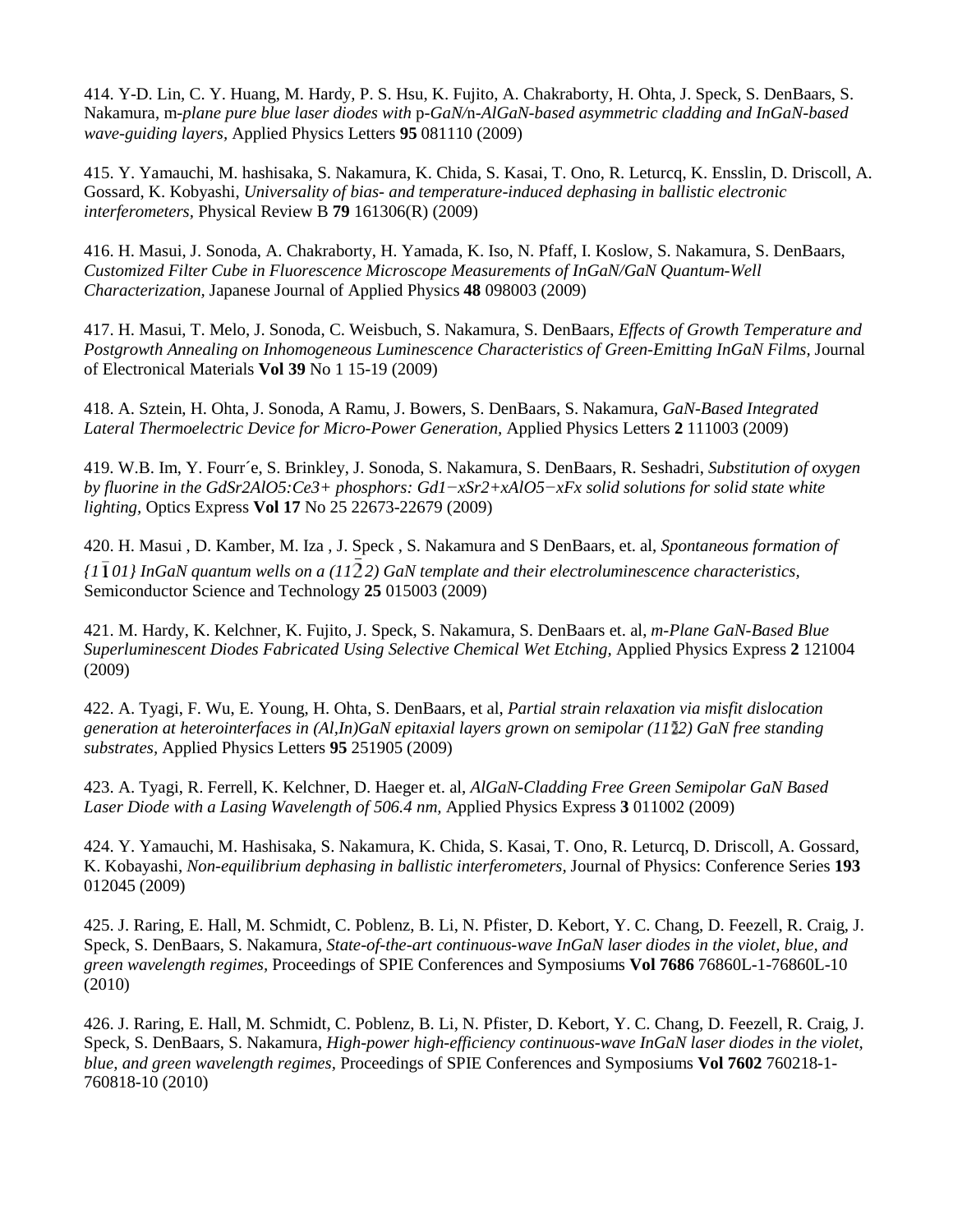414. Y-D. Lin, C. Y. Huang, M. Hardy, P. S. Hsu, K. Fujito, A. Chakraborty, H. Ohta, J. Speck, S. DenBaars, S. Nakamura, m*-plane pure blue laser diodes with* p*-GaN/*n*-AlGaN-based asymmetric cladding and InGaN-based wave-guiding layers,* Applied Physics Letters **95** 081110 (2009)

415. Y. Yamauchi, M. hashisaka, S. Nakamura, K. Chida, S. Kasai, T. Ono, R. Leturcq, K. Ensslin, D. Driscoll, A. Gossard, K. Kobyashi, *Universality of bias- and temperature-induced dephasing in ballistic electronic interferometers,* Physical Review B **79** 161306(R) (2009)

416. [H. Masui,](http://jjap.ipap.jp/cgi-bin/findarticle?journal=JJAP&author=H%2EMasui) [J. Sonoda,](http://jjap.ipap.jp/cgi-bin/findarticle?journal=JJAP&author=J%2ESonoda) [A. Chakraborty,](http://jjap.ipap.jp/cgi-bin/findarticle?journal=JJAP&author=A%2EChakraborty) [H. Yamada,](http://jjap.ipap.jp/cgi-bin/findarticle?journal=JJAP&author=H%2EYamada) K. Iso, N. Pfaff, I. Koslow, S. Nakamura, S. DenBaars, *Customized Filter Cube in Fluorescence Microscope Measurements of InGaN/GaN Quantum-Well Characterization,* Japanese Journal of Applied Physics **48** 098003 (2009)

417. H. Masui, T. Melo, J. Sonoda, C. Weisbuch, S. Nakamura, S. DenBaars, *Effects of Growth Temperature and Postgrowth Annealing on Inhomogeneous Luminescence Characteristics of Green-Emitting InGaN Films,* Journal of Electronical Materials **Vol 39** No 1 15-19 (2009)

418. A. Sztein, H. Ohta, J. Sonoda, A Ramu, J. Bowers, S. DenBaars, S. Nakamura, *GaN-Based Integrated Lateral Thermoelectric Device for Micro-Power Generation,* Applied Physics Letters **2** 111003 (2009)

419. W.B. Im, Y. Fourr´e, S. Brinkley, J. Sonoda, S. Nakamura, S. DenBaars, R. Seshadri, *Substitution of oxygen by fluorine in the GdSr2AlO5:Ce3+ phosphors: Gd1−xSr2+xAlO5−xFx solid solutions for solid state white lighting,* Optics Express **Vol 17** No 25 22673-22679 (2009)

420. H. Masui , D. Kamber, M. Iza , J. Speck , S. Nakamura and S DenBaars, et. al, *Spontaneous formation of {1 01} InGaN quantum wells on a (11 2) GaN template and their electroluminescence characteristics,* Semiconductor Science and Technology **25** 015003 (2009)

421. M. Hardy, K. Kelchner, K. Fujito, J. Speck, S. Nakamura, S. DenBaars et. al, *m-Plane GaN-Based Blue Superluminescent Diodes Fabricated Using Selective Chemical Wet Etching,* Applied Physics Express **2** 121004 (2009)

422. A. Tyagi, F. Wu, E. Young, H. Ohta, S. DenBaars, et al, *Partial strain relaxation via misfit dislocation generation at heterointerfaces in (Al,In)GaN epitaxial layers grown on semipolar (11 2) GaN free standing substrates,* Applied Physics Letters **95** 251905 (2009)

423. A. Tyagi, R. Ferrell, K. Kelchner, D. Haeger et. al, *AlGaN-Cladding Free Green Semipolar GaN Based Laser Diode with a Lasing Wavelength of 506.4 nm,* Applied Physics Express **3** 011002 (2009)

424. Y. Yamauchi, M. Hashisaka, S. Nakamura, K. Chida, S. Kasai, T. Ono, R. Leturcq, D. Driscoll, A. Gossard, K. Kobayashi, *Non-equilibrium dephasing in ballistic interferometers,* Journal of Physics: Conference Series **193**  012045 (2009)

425. J. Raring, E. Hall, M. Schmidt, C. Poblenz, B. Li, N. Pfister, D. Kebort, Y. C. Chang, D. Feezell, R. Craig, J. Speck, S. DenBaars, S. Nakamura, *State-of-the-art continuous-wave InGaN laser diodes in the violet, blue, and green wavelength regimes,* Proceedings of SPIE Conferences and Symposiums **Vol 7686** 76860L-1-76860L-10 (2010)

426. J. Raring, E. Hall, M. Schmidt, C. Poblenz, B. Li, N. Pfister, D. Kebort, Y. C. Chang, D. Feezell, R. Craig, J. Speck, S. DenBaars, S. Nakamura, *High-power high-efficiency continuous-wave InGaN laser diodes in the violet, blue, and green wavelength regimes,* Proceedings of SPIE Conferences and Symposiums **Vol 7602** 760218-1- 760818-10 (2010)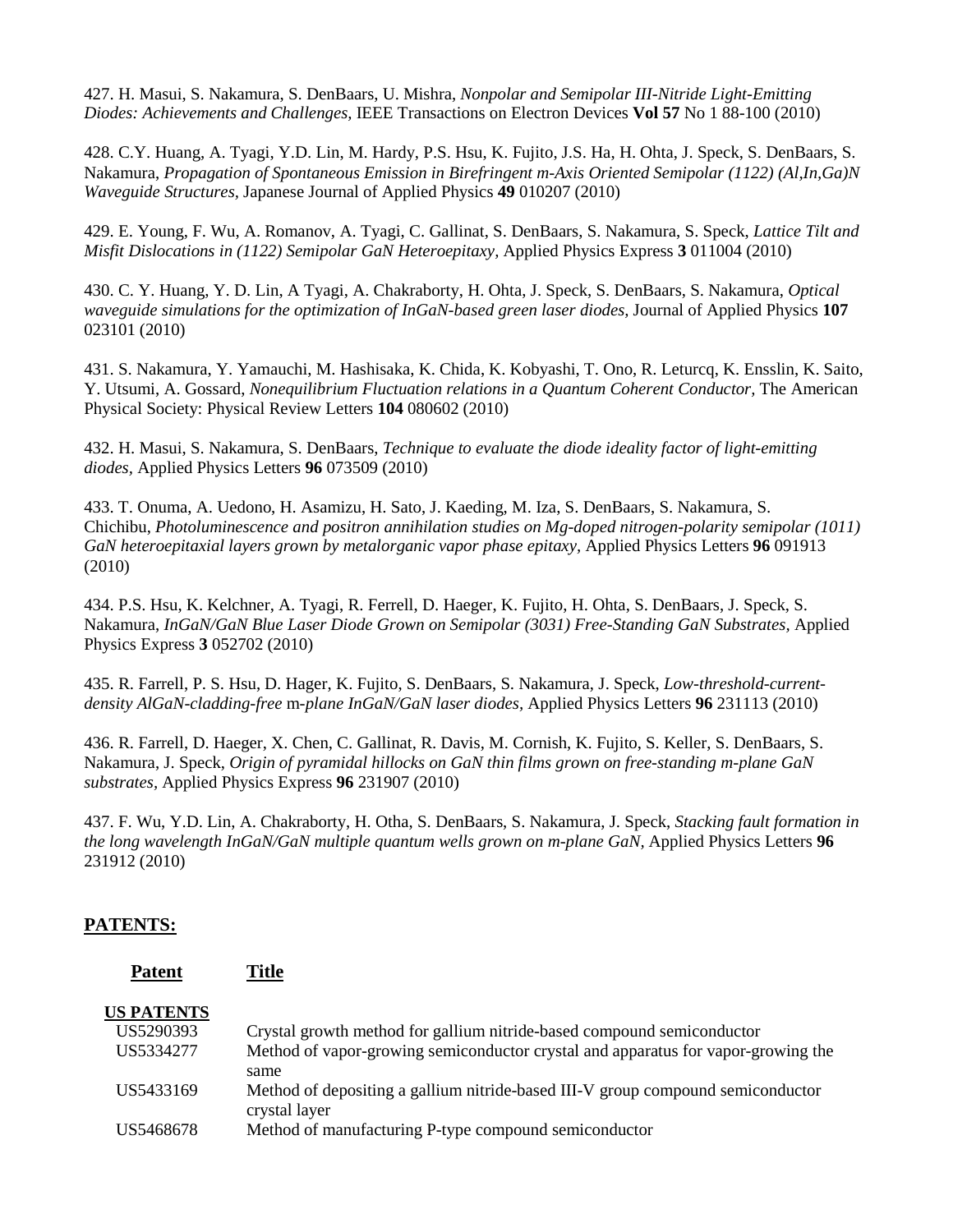427. H. Masui, S. Nakamura, S. DenBaars, U. Mishra, *Nonpolar and Semipolar III-Nitride Light-Emitting Diodes: Achievements and Challenges,* IEEE Transactions on Electron Devices **Vol 57** No 1 88-100 (2010)

428. C.Y. Huang, A. Tyagi, Y.D. Lin, M. Hardy, P.S. Hsu, K. Fujito, J.S. Ha, H. Ohta, J. Speck, S. DenBaars, S. Nakamura, *Propagation of Spontaneous Emission in Birefringent m-Axis Oriented Semipolar (1122) (Al,In,Ga)N Waveguide Structures,* Japanese Journal of Applied Physics **49** 010207 (2010)

429. E. Young, F. Wu, A. Romanov, A. Tyagi, C. Gallinat, S. DenBaars, S. Nakamura, S. Speck, *Lattice Tilt and Misfit Dislocations in (1122) Semipolar GaN Heteroepitaxy,* Applied Physics Express **3** 011004 (2010)

430. C. Y. Huang, Y. D. Lin, A Tyagi, A. Chakraborty, H. Ohta, J. Speck, S. DenBaars, S. Nakamura, *Optical waveguide simulations for the optimization of InGaN-based green laser diodes,* Journal of Applied Physics **107** 023101 (2010)

431. S. Nakamura, Y. Yamauchi, M. Hashisaka, K. Chida, K. Kobyashi, T. Ono, R. Leturcq, K. Ensslin, K. Saito, Y. Utsumi, A. Gossard, *Nonequilibrium Fluctuation relations in a Quantum Coherent Conductor,* The American Physical Society: Physical Review Letters **104** 080602 (2010)

432. H. Masui, S. Nakamura, S. DenBaars, *Technique to evaluate the diode ideality factor of light-emitting diodes,* Applied Physics Letters **96** 073509 (2010)

433. T. Onuma, A. Uedono, H. Asamizu, H. Sato, J. Kaeding, M. Iza, S. DenBaars, S. Nakamura, S. Chichibu, *Photoluminescence and positron annihilation studies on Mg-doped nitrogen-polarity semipolar (1011) GaN heteroepitaxial layers grown by metalorganic vapor phase epitaxy,* Applied Physics Letters **96** 091913 (2010)

434. P.S. Hsu, K. Kelchner, A. Tyagi, R. Ferrell, D. Haeger, K. Fujito, H. Ohta, S. DenBaars, J. Speck, S. Nakamura, *InGaN/GaN Blue Laser Diode Grown on Semipolar (3031) Free-Standing GaN Substrates,* Applied Physics Express **3** 052702 (2010)

435. R. Farrell, P. S. Hsu, D. Hager, K. Fujito, S. DenBaars, S. Nakamura, J. Speck, *Low-threshold-currentdensity AlGaN-cladding-free* m*-plane InGaN/GaN laser diodes,* Applied Physics Letters **96** 231113 (2010)

436. R. Farrell, D. Haeger, X. Chen, C. Gallinat, R. Davis, M. Cornish, K. Fujito, S. Keller, S. DenBaars, S. Nakamura, J. Speck, *Origin of pyramidal hillocks on GaN thin films grown on free-standing m-plane GaN substrates,* Applied Physics Express **96** 231907 (2010)

437. F. Wu, Y.D. Lin, A. Chakraborty, H. Otha, S. DenBaars, S. Nakamura, J. Speck, *Stacking fault formation in the long wavelength InGaN/GaN multiple quantum wells grown on m-plane GaN,* Applied Physics Letters **96** 231912 (2010)

#### **PATENTS:**

**Patent Title**

| <b>US PATENTS</b> |                                                                                   |
|-------------------|-----------------------------------------------------------------------------------|
| US5290393         | Crystal growth method for gallium nitride-based compound semiconductor            |
| US5334277         | Method of vapor-growing semiconductor crystal and apparatus for vapor-growing the |
|                   | same                                                                              |
| US5433169         | Method of depositing a gallium nitride-based III-V group compound semiconductor   |
|                   | crystal layer                                                                     |
| US5468678         | Method of manufacturing P-type compound semiconductor                             |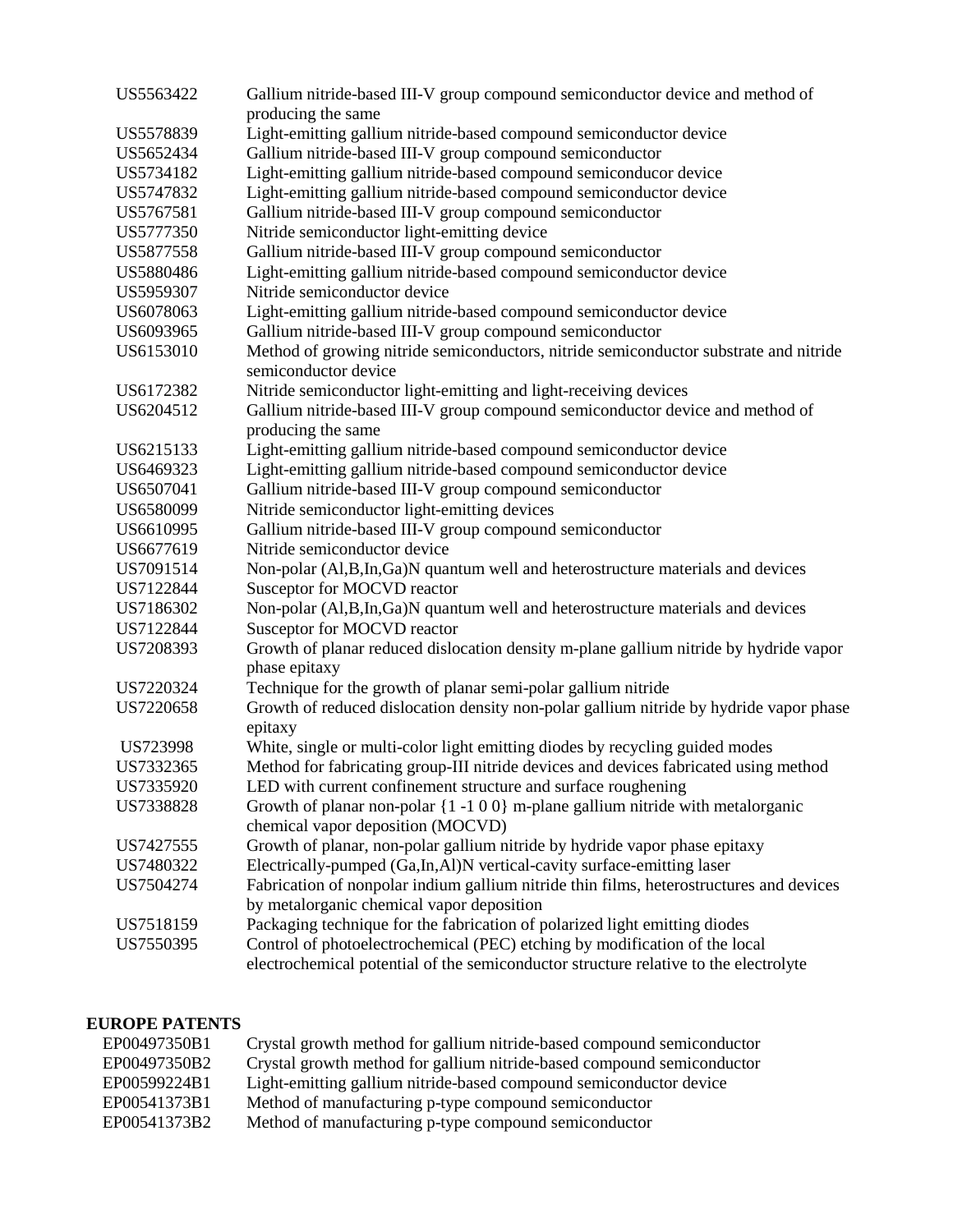| US5563422 | Gallium nitride-based III-V group compound semiconductor device and method of                                 |
|-----------|---------------------------------------------------------------------------------------------------------------|
|           | producing the same                                                                                            |
| US5578839 | Light-emitting gallium nitride-based compound semiconductor device                                            |
| US5652434 | Gallium nitride-based III-V group compound semiconductor                                                      |
| US5734182 | Light-emitting gallium nitride-based compound semiconducor device                                             |
| US5747832 | Light-emitting gallium nitride-based compound semiconductor device                                            |
| US5767581 | Gallium nitride-based III-V group compound semiconductor                                                      |
| US5777350 | Nitride semiconductor light-emitting device                                                                   |
| US5877558 | Gallium nitride-based III-V group compound semiconductor                                                      |
| US5880486 | Light-emitting gallium nitride-based compound semiconductor device                                            |
| US5959307 | Nitride semiconductor device                                                                                  |
| US6078063 | Light-emitting gallium nitride-based compound semiconductor device                                            |
| US6093965 | Gallium nitride-based III-V group compound semiconductor                                                      |
| US6153010 | Method of growing nitride semiconductors, nitride semiconductor substrate and nitride<br>semiconductor device |
| US6172382 | Nitride semiconductor light-emitting and light-receiving devices                                              |
| US6204512 | Gallium nitride-based III-V group compound semiconductor device and method of<br>producing the same           |
| US6215133 | Light-emitting gallium nitride-based compound semiconductor device                                            |
| US6469323 | Light-emitting gallium nitride-based compound semiconductor device                                            |
| US6507041 | Gallium nitride-based III-V group compound semiconductor                                                      |
| US6580099 | Nitride semiconductor light-emitting devices                                                                  |
| US6610995 | Gallium nitride-based III-V group compound semiconductor                                                      |
| US6677619 | Nitride semiconductor device                                                                                  |
| US7091514 | Non-polar (Al,B,In,Ga)N quantum well and heterostructure materials and devices                                |
| US7122844 | Susceptor for MOCVD reactor                                                                                   |
| US7186302 | Non-polar (Al,B,In,Ga)N quantum well and heterostructure materials and devices                                |
| US7122844 | Susceptor for MOCVD reactor                                                                                   |
| US7208393 | Growth of planar reduced dislocation density m-plane gallium nitride by hydride vapor                         |
|           | phase epitaxy                                                                                                 |
| US7220324 | Technique for the growth of planar semi-polar gallium nitride                                                 |
| US7220658 | Growth of reduced dislocation density non-polar gallium nitride by hydride vapor phase<br>epitaxy             |
| US723998  | White, single or multi-color light emitting diodes by recycling guided modes                                  |
| US7332365 | Method for fabricating group-III nitride devices and devices fabricated using method                          |
| US7335920 | LED with current confinement structure and surface roughening                                                 |
| US7338828 | Growth of planar non-polar $\{1 - 1 0 0\}$ m-plane gallium nitride with metalorganic                          |
|           | chemical vapor deposition (MOCVD)                                                                             |
| US7427555 | Growth of planar, non-polar gallium nitride by hydride vapor phase epitaxy                                    |
| US7480322 | Electrically-pumped (Ga,In,Al)N vertical-cavity surface-emitting laser                                        |
| US7504274 | Fabrication of nonpolar indium gallium nitride thin films, heterostructures and devices                       |
|           | by metalorganic chemical vapor deposition                                                                     |
| US7518159 | Packaging technique for the fabrication of polarized light emitting diodes                                    |
| US7550395 | Control of photoelectrochemical (PEC) etching by modification of the local                                    |
|           | electrochemical potential of the semiconductor structure relative to the electrolyte                          |

## **EUROPE PATENTS**

| EP00497350B1 | Crystal growth method for gallium nitride-based compound semiconductor |
|--------------|------------------------------------------------------------------------|
| EP00497350B2 | Crystal growth method for gallium nitride-based compound semiconductor |
| EP00599224B1 | Light-emitting gallium nitride-based compound semiconductor device     |
| EP00541373B1 | Method of manufacturing p-type compound semiconductor                  |
| EP00541373B2 | Method of manufacturing p-type compound semiconductor                  |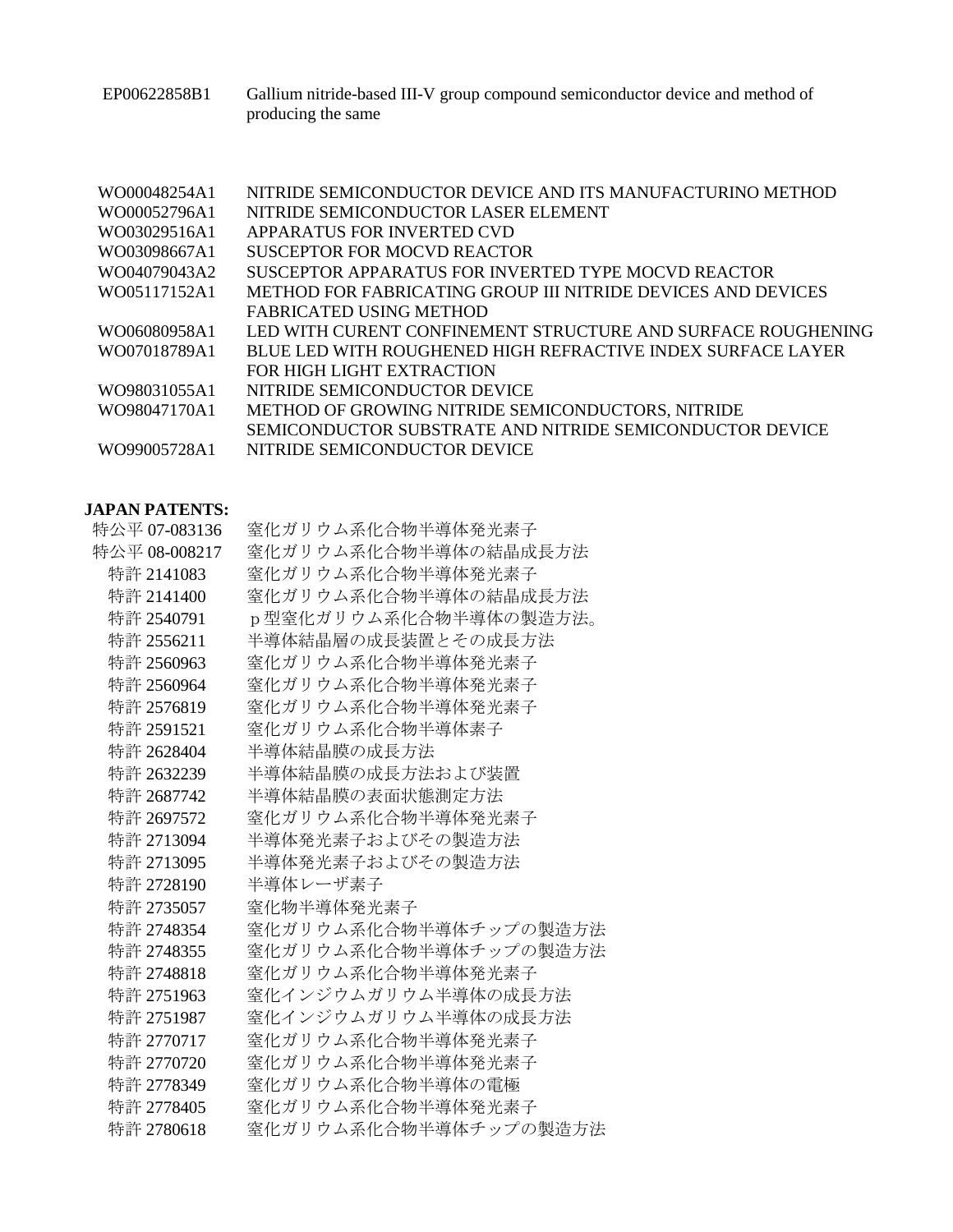EP00622858B1 Gallium nitride-based III-V group compound semiconductor device and method of producing the same

| WO00048254A1 | NITRIDE SEMICONDUCTOR DEVICE AND ITS MANUFACTURINO METHOD    |
|--------------|--------------------------------------------------------------|
| WO00052796A1 | NITRIDE SEMICONDUCTOR LASER ELEMENT                          |
| WO03029516A1 | APPARATUS FOR INVERTED CVD                                   |
| WO03098667A1 | SUSCEPTOR FOR MOCVD REACTOR                                  |
| WO04079043A2 | SUSCEPTOR APPARATUS FOR INVERTED TYPE MOCVD REACTOR          |
| WO05117152A1 | METHOD FOR FABRICATING GROUP III NITRIDE DEVICES AND DEVICES |
|              | FABRICATED USING METHOD                                      |
| WO06080958A1 | LED WITH CURENT CONFINEMENT STRUCTURE AND SURFACE ROUGHENING |
| WO07018789A1 | BLUE LED WITH ROUGHENED HIGH REFRACTIVE INDEX SURFACE LAYER  |
|              | FOR HIGH LIGHT EXTRACTION                                    |
| WO98031055A1 | NITRIDE SEMICONDUCTOR DEVICE                                 |
| WO98047170A1 | METHOD OF GROWING NITRIDE SEMICONDUCTORS, NITRIDE            |
|              | SEMICONDUCTOR SUBSTRATE AND NITRIDE SEMICONDUCTOR DEVICE     |
| WO99005728A1 | NITRIDE SEMICONDUCTOR DEVICE                                 |
|              |                                                              |

# **JAPAN PATENTS:**

| 特公平 07-083136 | 窒化ガリウム系化合物半導体発光素子     |
|---------------|-----------------------|
| 特公平 08-008217 | 窒化ガリウム系化合物半導体の結晶成長方法  |
| 特許 2141083    | 窒化ガリウム系化合物半導体発光素子     |
| 特許 2141400    | 窒化ガリウム系化合物半導体の結晶成長方法  |
| 特許 2540791    | p型窒化ガリウム系化合物半導体の製造方法。 |
| 特許 2556211    | 半導体結晶層の成長装置とその成長方法    |
| 特許 2560963    | 窒化ガリウム系化合物半導体発光素子     |
| 特許 2560964    | 窒化ガリウム系化合物半導体発光素子     |
| 特許 2576819    | 窒化ガリウム系化合物半導体発光素子     |
| 特許 2591521    | 窒化ガリウム系化合物半導体素子       |
| 特許 2628404    | 半導体結晶膜の成長方法           |
| 特許 2632239    | 半導体結晶膜の成長方法および装置      |
| 特許 2687742    | 半導体結晶膜の表面状態測定方法       |
| 特許 2697572    | 窒化ガリウム系化合物半導体発光素子     |
| 特許 2713094    | 半導体発光素子およびその製造方法      |
| 特許 2713095    | 半導体発光素子およびその製造方法      |
| 特許 2728190    | 半導体レーザ素子              |
| 特許 2735057    | 窒化物半導体発光素子            |
| 特許 2748354    | 窒化ガリウム系化合物半導体チップの製造方法 |
| 特許 2748355    | 窒化ガリウム系化合物半導体チップの製造方法 |
| 特許 2748818    | 窒化ガリウム系化合物半導体発光素子     |
| 特許 2751963    | 窒化インジウムガリウム半導体の成長方法   |
| 特許 2751987    | 窒化インジウムガリウム半導体の成長方法   |
| 特許 2770717    | 窒化ガリウム系化合物半導体発光素子     |
| 特許 2770720    | 窒化ガリウム系化合物半導体発光素子     |
| 特許 2778349    | 窒化ガリウム系化合物半導体の電極      |
| 特許 2778405    | 窒化ガリウム系化合物半導体発光素子     |
| 特許 2780618    | 窒化ガリウム系化合物半導体チップの製造方法 |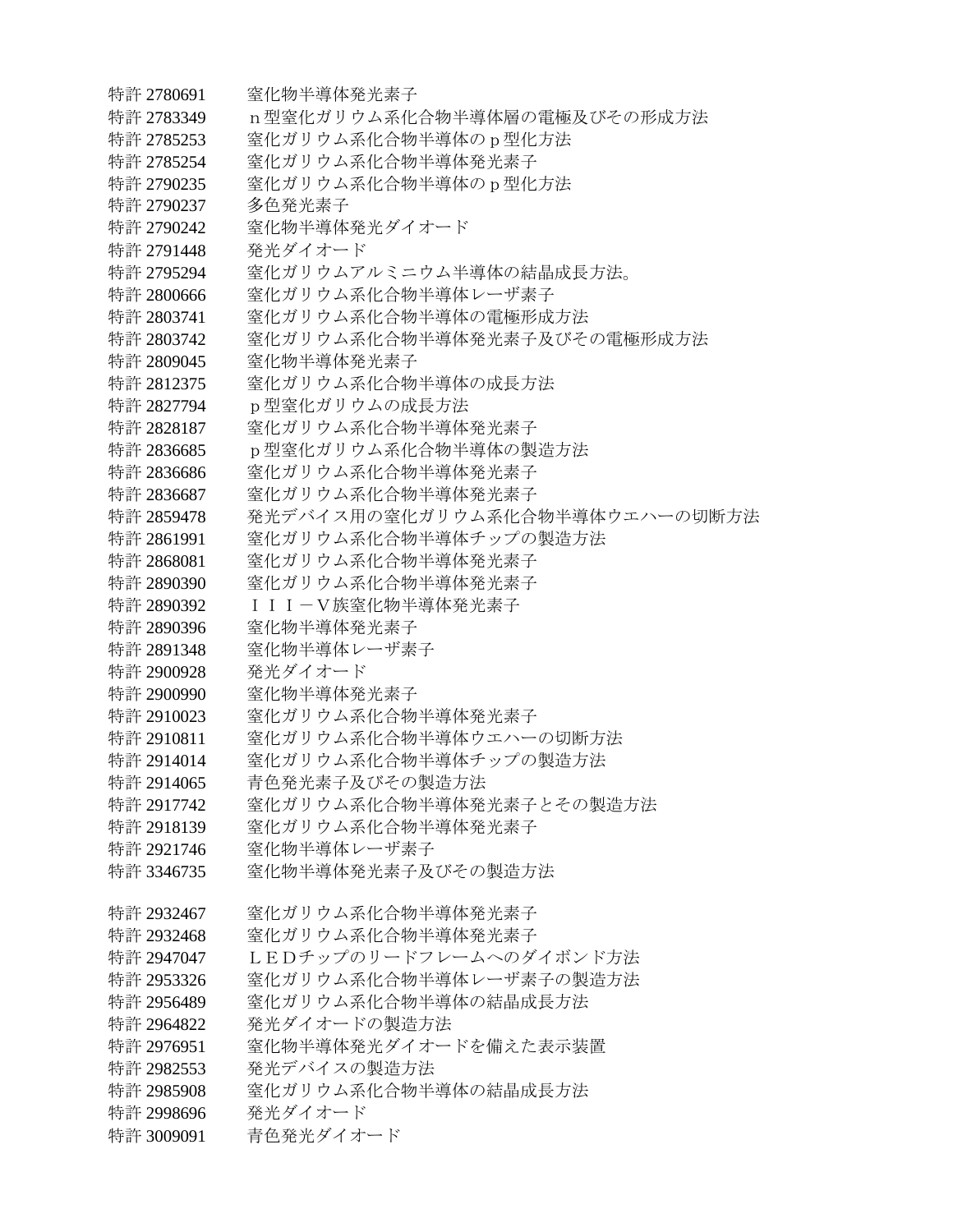特許 2780691 窒化物半導体発光素子 特許 2783349 n型窒化ガリウム系化合物半導体層の電極及びその形成方法 特許 2785253 窒化ガリウム系化合物半導体の p 型化方法 特許 2785254 窒化ガリウム系化合物半導体発光素子 特許 2790235 窒化ガリウム系化合物半導体の p 型化方法 特許 2790237 多色発光素子 特許 2790242 窒化物半導体発光ダイオード 特許 2791448 ――発光ダイオード 特許 2795294 塞化ガリウムアルミニウム半導体の結晶成長方法。 特許 2800666 宰化ガリウム系化合物半導体レーザ素子 特許 2803741 宰化ガリウム系化合物半導体の電極形成方法 特許 2803742 窖化ガリウム系化合物半導体発光素子及びその雷極形成方法 特許 2809045 窒化物半導体発光素子 特許 2812375 窒化ガリウム系化合物半導体の成長方法 特許 2827794 p型窒化ガリウムの成長方法 特許 2828187 窒化ガリウム系化合物半導体発光素子 特許 2836685 p型窒化ガリウム系化合物半導体の製造方法 特許 2836686 宰化ガリウム系化合物半導体発光素子 特許 2836687 窒化ガリウム系化合物半導体発光素子 特許 2859478 発光デバイス用の窒化ガリウム系化合物半導体ウエハーの切断方法 特許 2861991 等化ガリウム系化合物半導体チップの製造方法 特許 2868081 宰化ガリウム系化合物半導体発光素子 特許 2890390 窒化ガリウム系化合物半導体発光素子 特許 2890392 ― III-V族窒化物半導体発光素子 特許 2890396 窒化物半導体発光素子 特許 2891348 窒化物半導体レーザ素子 特許 2900928 発光ダイオード 特許 2900990 等化物半導体発光素子 特許 2910023 窒化ガリウム系化合物半導体発光素子 特許 2910811 害化ガリウム系化合物半導体ウエハーの切断方法 特許 2914014 宰化ガリウム系化合物半導体チップの製造方法 特許 2914065 青色発光素子及びその製造方法 特許 2917742 等化ガリウム系化合物半導体発光素子とその製造方法 特許 2918139 等化ガリウム系化合物半導体発光素子 特許 2921746 宰化物半導体レーザ素子 特許 3346735 宰化物半導体発光素子及びその製造方法 特許 2932467 宰化ガリウム系化合物半導体発光素子 特許 2932468 宰化ガリウム系化合物半導体発光素子 特許 2947047 LEDチップのリードフレームへのダイボンド方法 特許 2953326 宰化ガリウム系化合物半導体レーザ素子の製造方法 特許 2956489 宰化ガリウム系化合物半導体の結晶成長方法 特許 2964822 発光ダイオードの製造方法 特許 2976951 宰化物半導体発光ダイオードを備えた表示装置 特許 2982553 発光デバイスの製造方法 特許 2985908 宰化ガリウム系化合物半導体の結晶成長方法 特許 2998696 発光ダイオード 特許 3009091 青色発光ダイオード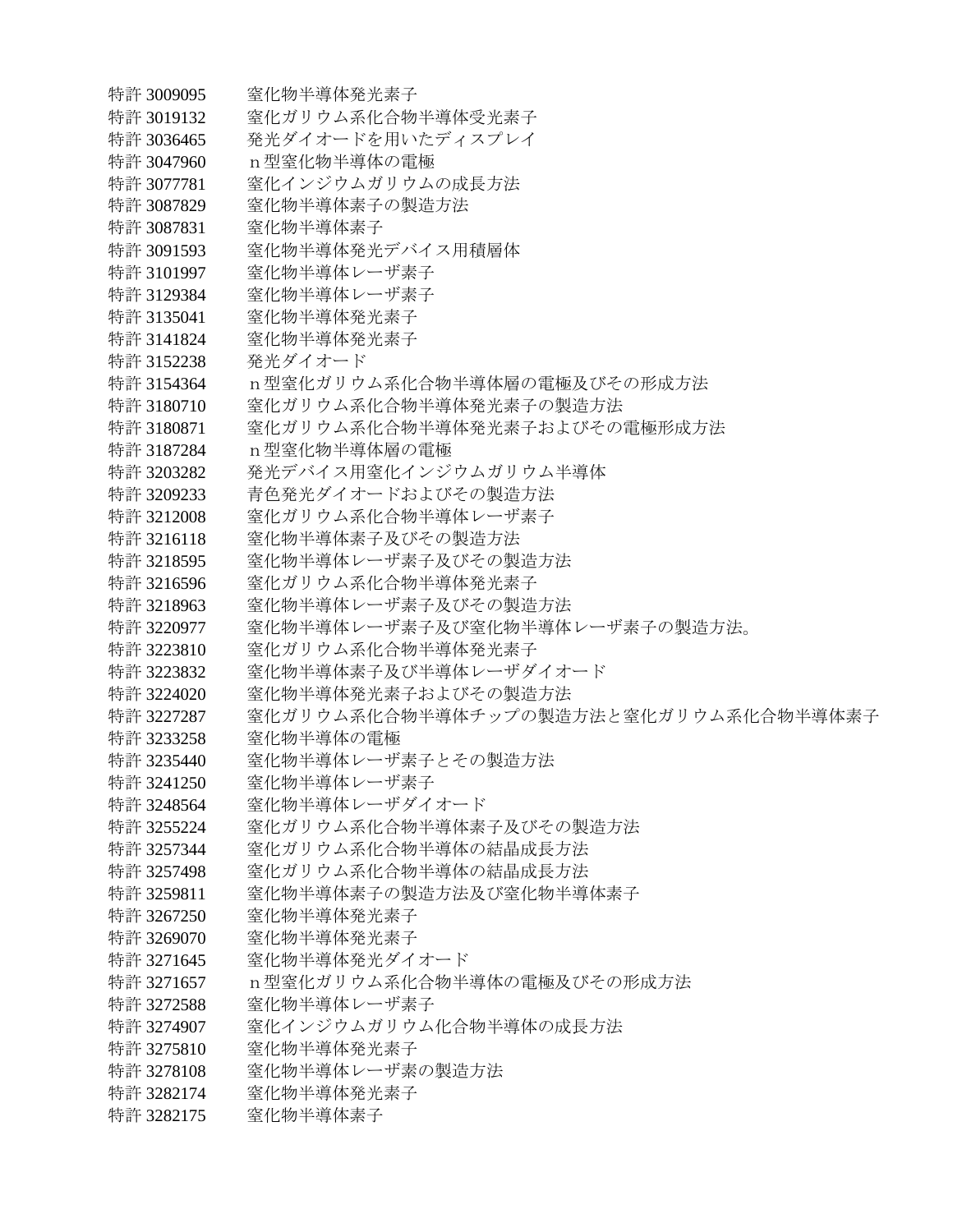特許 3009095 窒化物半導体発光素子 特許 3019132 雲化ガリウム系化合物半導体受光素子 特許 3036465 発光ダイオードを用いたディスプレイ 特許 3047960 n型窒化物半導体の電極 特許 3077781 雲化インジウムガリウムの成長方法 特許 3087829 窒化物半導体素子の製造方法 特許 3087831 窒化物半導体素子 特許 3091593 雲化物半導体発光デバイス用積層体 特許 3101997 窒化物半導体レーザ素子 特許 3129384 窒化物半導体レーザ素子 特許 3135041 窒化物半導体発光素子 特許 3141824 窒化物半導体発光素子 特許 3152238 発光ダイオード 特許 3154364 n型窒化ガリウム系化合物半導体層の電極及びその形成方法 特許 3180710 等化ガリウム系化合物半導体発光素子の製造方法 特許 3180871 窖化ガリウム系化合物半導体発光素子およびその雷極形成方法 特許 3187284 n型窒化物半導体層の雷極 特許 3203282 発光デバイス用窒化インジウムガリウム半導体 特許 3209233 青色発光ダイオードおよびその製造方法 特許 3212008 窒化ガリウム系化合物半導体レーザ素子 特許 3216118 宰化物半導体素子及びその製造方法 特許 3218595 等化物半導体レーザ素子及びその製造方法 特許 3216596 宰化ガリウム系化合物半導体発光素子 特許 3218963 宰化物半導体レーザ素子及びその製造方法 特許 3220977 案化物半導体レーザ素子及び窒化物半導体レーザ素子の製造方法。 特許 3223810 宰化ガリウム系化合物半導体発光素子 特許 3223832 等化物半導体素子及び半導体レーザダイオード 特許 3224020 宰化物半導体発光素子およびその製造方法 特許 3227287 窒化ガリウム系化合物半導体チップの製造方法と窒化ガリウム系化合物半導体素子 特許 3233258 窒化物半導体の雷極 特許 3235440 宰化物半導体レーザ素子とその製造方法 特許 3241250 窒化物半導体レーザ素子 特許 3248564 窒化物半導体レーザダイオード 特許 3255224 宰化ガリウム系化合物半導体素子及びその製造方法 特許 3257344 窒化ガリウム系化合物半導体の結晶成長方法 特許 3257498 宰化ガリウム系化合物半導体の結晶成長方法 特許 3259811 宰化物半導体素子の製造方法及び窒化物半導体素子 特許 3267250 窒化物半導体発光素子 特許 3269070 窒化物半導体発光素子 特許 3271645 窒化物半導体発光ダイオード 特許 3271657 n型窒化ガリウム系化合物半導体の電極及びその形成方法 特許 3272588 窒化物半導体レーザ素子 特許 3274907 等化インジウムガリウム化合物半導体の成長方法 特許 3275810 等化物半導体発光素子 特許 3278108 窒化物半導体レーザ素の製造方法 特許 3282174 窒化物半導体発光素子 特許 3282175 窒化物半導体素子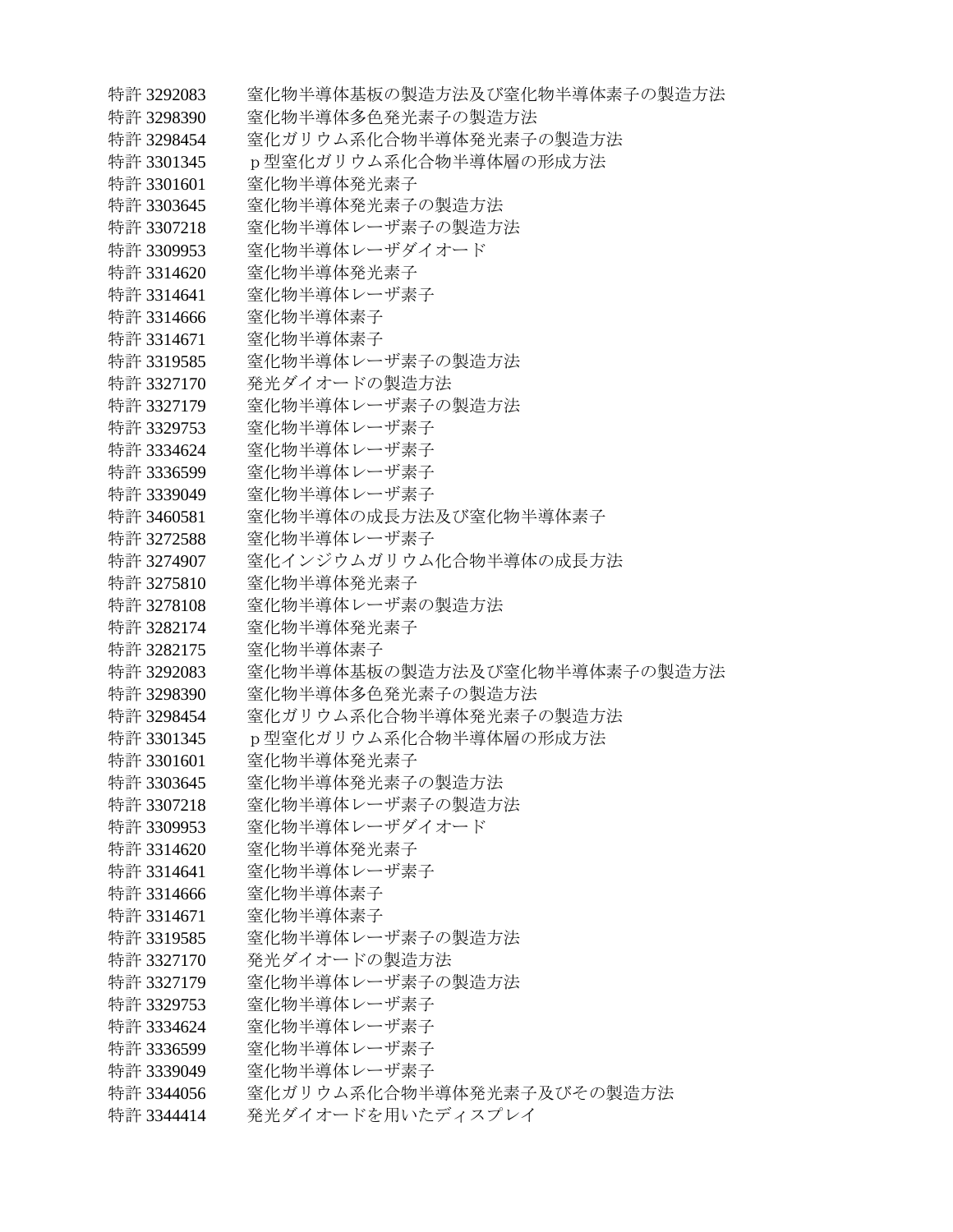特許 3292083 窒化物半導体基板の製造方法及び窒化物半導体素子の製造方法 特許 3298390 窒化物半導体多色発光素子の製造方法 特許 3298454 雲化ガリウム系化合物半導体発光素子の製造方法 特許 3301345 p型窒化ガリウム系化合物半導体層の形成方法 特許 3301601 窒化物半導体発光素子 特許 3303645 窒化物半導体発光素子の製造方法 特許 3307218 窒化物半導体レーザ素子の製造方法 特許 3309953 雲化物半導体レーザダイオード 特許 3314620 窒化物半導体発光素子 特許 3314641 窒化物半導体レーザ素子 特許 3314666 窒化物半導体素子 特許 3314671 窒化物半導体素子 特許 3319585 窒化物半導体レーザ素子の製造方法 特許 3327170 発光ダイオードの製造方法 特許 3327179 等化物半導体レーザ素子の製造方法 特許 3329753 窒化物半導体レーザ素子 特許 3334624 窒化物半導体レーザ素子 特許 3336599 窒化物半導体レーザ素子 特許 3339049 窒化物半導体レーザ素子 特許 3460581 宰化物半導体の成長方法及び窒化物半導体素子 特許 3272588 窒化物半導体レーザ素子 特許 3274907 等化インジウムガリウム化合物半導体の成長方法 特許 3275810 窒化物半導体発光素子 特許 3278108 雲化物半導体レーザ素の製造方法 特許 3282174 窒化物半導体発光素子 特許 3282175 窒化物半導体素子 特許 3292083 窖化物半導体基板の製造方法及び窒化物半導体素子の製造方法 特許 3298390 等化物半導体多色発光素子の製造方法 特許 3298454 害化ガリウム系化合物半導体発光素子の製造方法 特許 3301345 p型窒化ガリウム系化合物半導体層の形成方法 特許 3301601 窒化物半導体発光素子 特許 3303645 害化物半導体発光素子の製造方法 特許 3307218 窒化物半導体レーザ素子の製造方法 特許 3309953 窒化物半導体レーザダイオード 特許 3314620 窒化物半導体発光素子 特許 3314641 窒化物半導体レーザ素子 特許 3314666 宰化物半導体素子 特許 3314671 窒化物半導体素子 特許 3319585 窒化物半導体レーザ素子の製造方法 特許 3327170 発光ダイオードの製造方法 特許 3327179 宰化物半導体レーザ素子の製造方法 特許 3329753 窒化物半導体レーザ素子 特許 3334624 窒化物半導体レーザ素子 特許 3336599 - 窒化物半導体レーザ素子 特許 3339049 窒化物半導体レーザ素子 特許 3344056 室化ガリウム系化合物半導体発光素子及びその製造方法 特許 3344414 発光ダイオードを用いたディスプレイ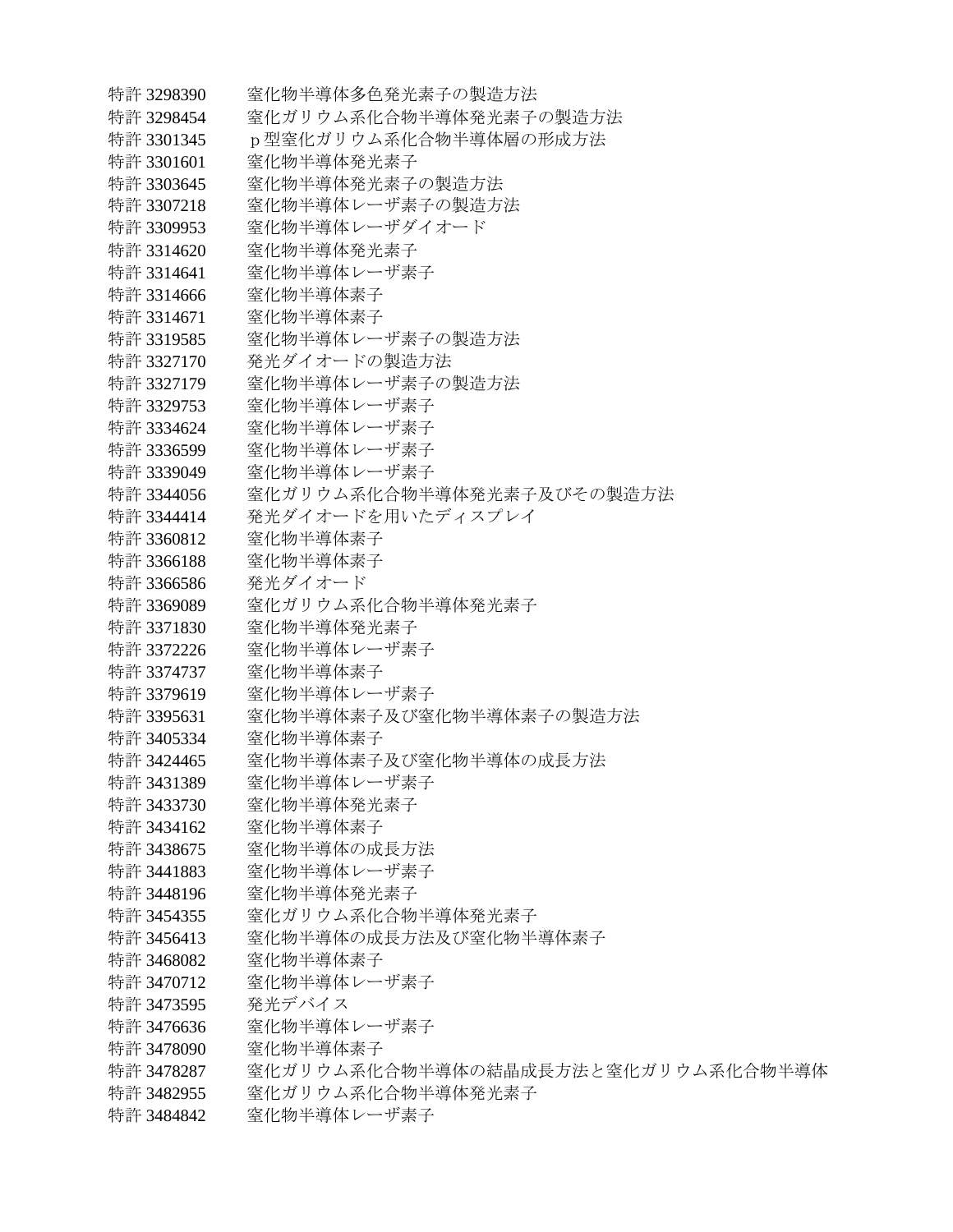特許 3298390 窒化物半導体多色発光素子の製造方法 特許 3298454 雲化ガリウム系化合物半導体発光素子の製造方法 特許 3301345 p型窒化ガリウム系化合物半導体層の形成方法 特許 3301601 窒化物半導体発光素子 特許 3303645 窒化物半導体発光素子の製造方法 特許 3307218 窒化物半導体レーザ素子の製造方法 特許 3309953 雲化物半導体レーザダイオード 特許 3314620 窒化物半導体発光素子 特許 3314641 窒化物半導体レーザ素子 特許 3314666 窒化物半導体素子 特許 3314671 窒化物半導体素子 特許 3319585 等化物半導体レーザ素子の製造方法 特許 3327170 発光ダイオードの製造方法 特許 3327179 窒化物半導体レーザ素子の製造方法 特許 3329753 窒化物半導体レーザ素子 特許 3334624 窒化物半導体レーザ素子 特許 3336599 窒化物半導体レーザ素子 特許 3339049 窒化物半導体レーザ素子 特許 3344056 窒化ガリウム系化合物半導体発光素子及びその製造方法 特許 3344414 発光ダイオードを用いたディスプレイ 特許 3360812 窒化物半導体素子 特許 3366188 窒化物半導体素子 特許 3366586 発光ダイオード 特許 3369089 窒化ガリウム系化合物半導体発光素子 特許 3371830 窒化物半導体発光素子 特許 3372226 窒化物半導体レーザ素子 特許 3374737 窒化物半導体素子 特許 3379619 窒化物半導体レーザ素子 特許 3395631 窒化物半導体素子及び窒化物半導体素子の製造方法 特許 3405334 窒化物半導体素子 特許 3424465 宰化物半導体素子及び窒化物半導体の成長方法 特許 3431389 窒化物半導体レーザ素子 特許 3433730 窒化物半導体発光素子 特許 3434162 窒化物半導体素子 特許 3438675 窒化物半導体の成長方法 特許 3441883 窒化物半導体レーザ素子 特許 3448196 窒化物半導体発光素子 特許 3454355 宰化ガリウム系化合物半導体発光素子 特許 3456413 雲化物半導体の成長方法及び窒化物半導体素子 特許 3468082 窒化物半導体素子 特許 3470712 宰化物半導体レーザ素子 特許 3473595 発光デバイス 特許 3476636 窒化物半導体レーザ素子 特許 3478090 等化物半導体素子 特許 3478287 ──窒化ガリウム系化合物半導体の結晶成長方法と窒化ガリウム系化合物半導体 特許 3482955 窒化ガリウム系化合物半導体発光素子 特許 3484842 宰化物半導体レーザ素子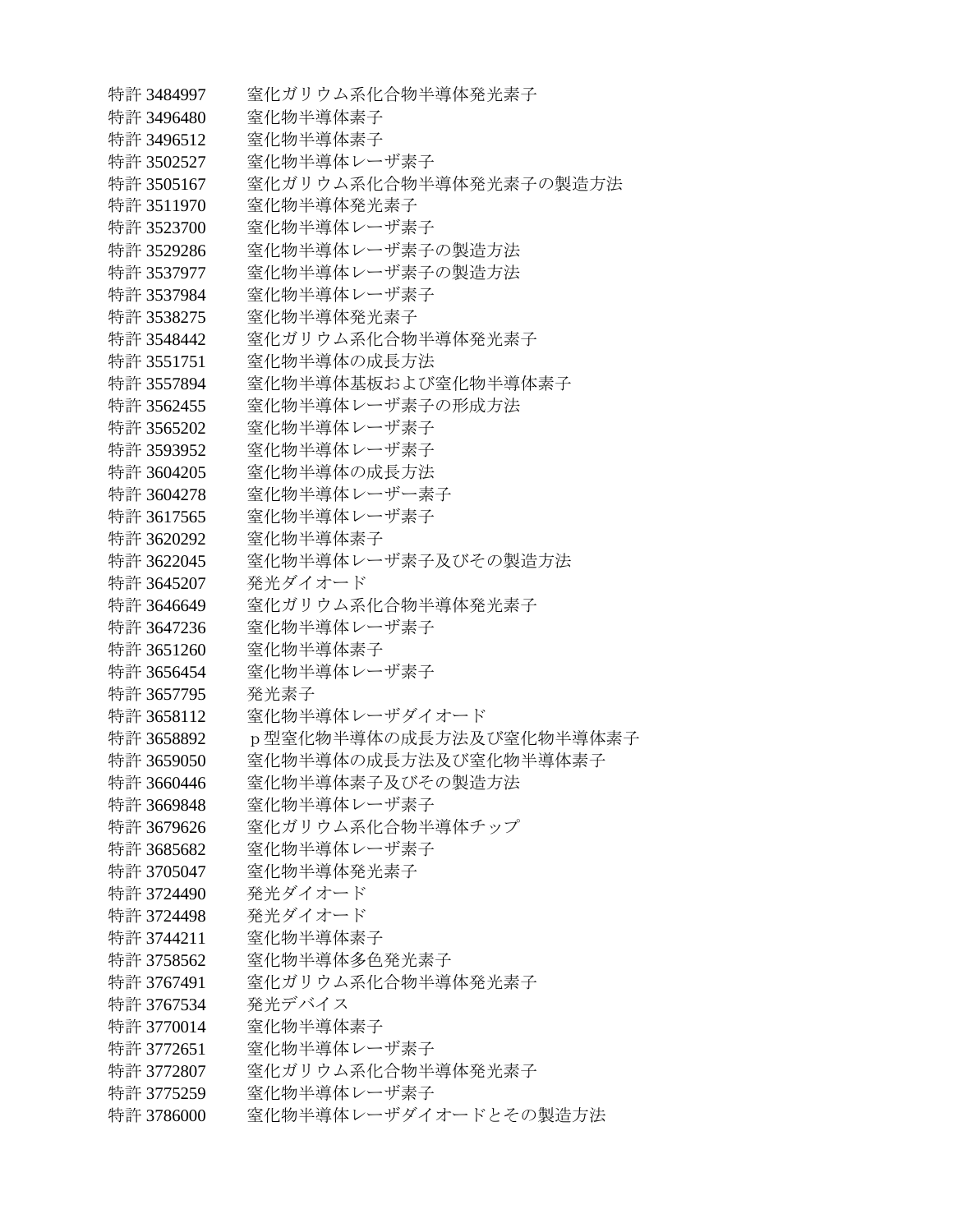特許 3484997 窒化ガリウム系化合物半導体発光素子 特許 3496480 窒化物半導体素子 特許 3496512 雲化物半導体素子 特許 3502527 窒化物半導体レーザ素子 特許 3505167 雲化ガリウム系化合物半導体発光素子の製造方法 特許 3511970 窒化物半導体発光素子 特許 3523700 窒化物半導体レーザ素子 特許 3529286 窒化物半導体レーザ素子の製造方法 特許 3537977 窒化物半導体レーザ素子の製造方法 特許 3537984 窒化物半導体レーザ素子 特許 3538275 窒化物半導体発光素子 特許 3548442 宰化ガリウム系化合物半導体発光素子 特許 3551751 窒化物半導体の成長方法 特許 3557894 窒化物半導体基板および窒化物半導体素子 特許 3562455 宰化物半導体レーザ素子の形成方法 特許 3565202 窒化物半導体レーザ素子 特許 3593952 窒化物半導体レーザ素子 特許 3604205 窒化物半導体の成長方法 特許 3604278 窒化物半導体レーザー素子 特許 3617565 窒化物半道体レーザ素子 特許 3620292 窒化物半導体素子 特許 3622045 窒化物半導体レーザ素子及びその製造方法 特許 3645207 発光ダイオード 特許 3646649 宰化ガリウム系化合物半導体発光素子 特許 3647236 窒化物半導体レーザ素子 特許 3651260 窒化物半導体素子 特許 3656454 窒化物半導体レーザ素子 特許 3657795 発光素子 特許 3658112 窒化物半導体レーザダイオード 特許 3658892 p型窒化物半導体の成長方法及び窒化物半導体素子 特許 3659050 客化物半導体の成長方法及び窒化物半導体素子 特許 3660446 宰化物半導体素子及びその製造方法 特許 3669848 窒化物半導体レーザ素子 特許 3679626 宰化ガリウム系化合物半導体チップ 特許 3685682 窒化物半導体レーザ素子 特許 3705047 窒化物半導体発光素子 特許 3724490 発光ダイオード 特許 3724498 発光ダイオード 特許 3744211 窒化物半導体素子 特許 3758562 窒化物半導体多色発光素子 特許 3767491 宰化ガリウム系化合物半導体発光素子 特許 3767534 発光デバイス 特許 3770014 窒化物半導体素子 特許 3772651 窒化物半導体レーザ素子 特許 3772807 窒化ガリウム系化合物半導体発光素子 特許 3775259 窒化物半導体レーザ素子 特許 3786000 宰化物半導体レーザダイオードとその製造方法